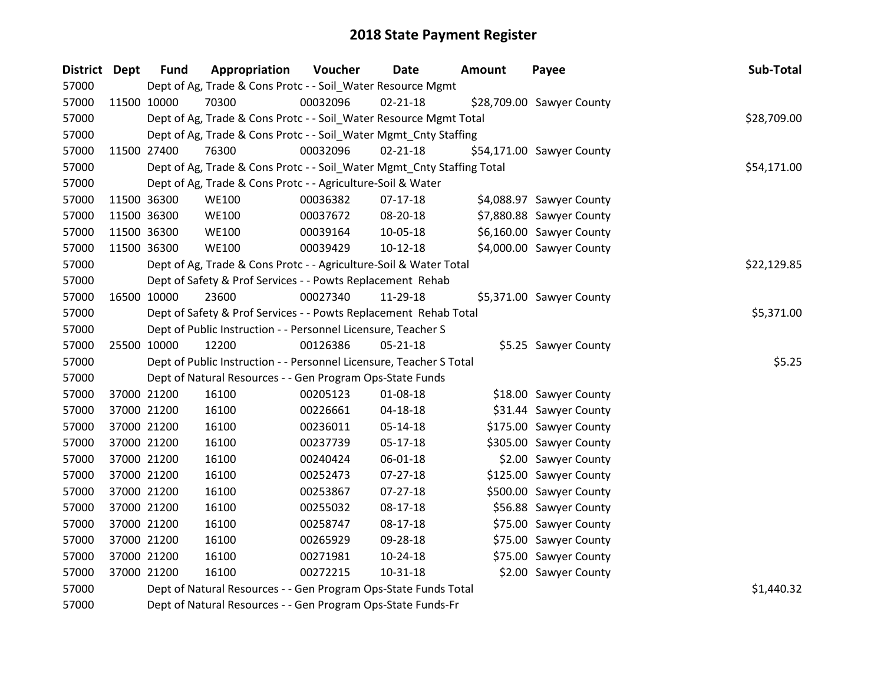| District Dept | <b>Fund</b> | Appropriation                                                          | Voucher  | <b>Date</b>    | <b>Amount</b> | Payee                     | Sub-Total   |
|---------------|-------------|------------------------------------------------------------------------|----------|----------------|---------------|---------------------------|-------------|
| 57000         |             | Dept of Ag, Trade & Cons Protc - - Soil_Water Resource Mgmt            |          |                |               |                           |             |
| 57000         | 11500 10000 | 70300                                                                  | 00032096 | $02 - 21 - 18$ |               | \$28,709.00 Sawyer County |             |
| 57000         |             | Dept of Ag, Trade & Cons Protc - - Soil_Water Resource Mgmt Total      |          |                |               |                           | \$28,709.00 |
| 57000         |             | Dept of Ag, Trade & Cons Protc - - Soil_Water Mgmt_Cnty Staffing       |          |                |               |                           |             |
| 57000         | 11500 27400 | 76300                                                                  | 00032096 | $02 - 21 - 18$ |               | \$54,171.00 Sawyer County |             |
| 57000         |             | Dept of Ag, Trade & Cons Protc - - Soil_Water Mgmt_Cnty Staffing Total |          |                |               |                           | \$54,171.00 |
| 57000         |             | Dept of Ag, Trade & Cons Protc - - Agriculture-Soil & Water            |          |                |               |                           |             |
| 57000         | 11500 36300 | <b>WE100</b>                                                           | 00036382 | $07-17-18$     |               | \$4,088.97 Sawyer County  |             |
| 57000         | 11500 36300 | <b>WE100</b>                                                           | 00037672 | 08-20-18       |               | \$7,880.88 Sawyer County  |             |
| 57000         | 11500 36300 | <b>WE100</b>                                                           | 00039164 | 10-05-18       |               | \$6,160.00 Sawyer County  |             |
| 57000         | 11500 36300 | <b>WE100</b>                                                           | 00039429 | $10-12-18$     |               | \$4,000.00 Sawyer County  |             |
| 57000         |             | Dept of Ag, Trade & Cons Protc - - Agriculture-Soil & Water Total      |          |                |               |                           | \$22,129.85 |
| 57000         |             | Dept of Safety & Prof Services - - Powts Replacement Rehab             |          |                |               |                           |             |
| 57000         | 16500 10000 | 23600                                                                  | 00027340 | 11-29-18       |               | \$5,371.00 Sawyer County  |             |
| 57000         |             | Dept of Safety & Prof Services - - Powts Replacement Rehab Total       |          |                |               |                           | \$5,371.00  |
| 57000         |             | Dept of Public Instruction - - Personnel Licensure, Teacher S          |          |                |               |                           |             |
| 57000         | 25500 10000 | 12200                                                                  | 00126386 | $05 - 21 - 18$ |               | \$5.25 Sawyer County      |             |
| 57000         |             | Dept of Public Instruction - - Personnel Licensure, Teacher S Total    |          |                |               |                           | \$5.25      |
| 57000         |             | Dept of Natural Resources - - Gen Program Ops-State Funds              |          |                |               |                           |             |
| 57000         | 37000 21200 | 16100                                                                  | 00205123 | 01-08-18       |               | \$18.00 Sawyer County     |             |
| 57000         | 37000 21200 | 16100                                                                  | 00226661 | 04-18-18       |               | \$31.44 Sawyer County     |             |
| 57000         | 37000 21200 | 16100                                                                  | 00236011 | 05-14-18       |               | \$175.00 Sawyer County    |             |
| 57000         | 37000 21200 | 16100                                                                  | 00237739 | $05-17-18$     |               | \$305.00 Sawyer County    |             |
| 57000         | 37000 21200 | 16100                                                                  | 00240424 | 06-01-18       |               | \$2.00 Sawyer County      |             |
| 57000         | 37000 21200 | 16100                                                                  | 00252473 | 07-27-18       |               | \$125.00 Sawyer County    |             |
| 57000         | 37000 21200 | 16100                                                                  | 00253867 | $07 - 27 - 18$ |               | \$500.00 Sawyer County    |             |
| 57000         | 37000 21200 | 16100                                                                  | 00255032 | 08-17-18       |               | \$56.88 Sawyer County     |             |
| 57000         | 37000 21200 | 16100                                                                  | 00258747 | $08-17-18$     |               | \$75.00 Sawyer County     |             |
| 57000         | 37000 21200 | 16100                                                                  | 00265929 | 09-28-18       |               | \$75.00 Sawyer County     |             |
| 57000         | 37000 21200 | 16100                                                                  | 00271981 | 10-24-18       |               | \$75.00 Sawyer County     |             |
| 57000         | 37000 21200 | 16100                                                                  | 00272215 | $10 - 31 - 18$ |               | \$2.00 Sawyer County      |             |
| 57000         |             | Dept of Natural Resources - - Gen Program Ops-State Funds Total        |          |                |               |                           | \$1,440.32  |

Dept of Natural Resources - - Gen Program Ops-State Funds-Fr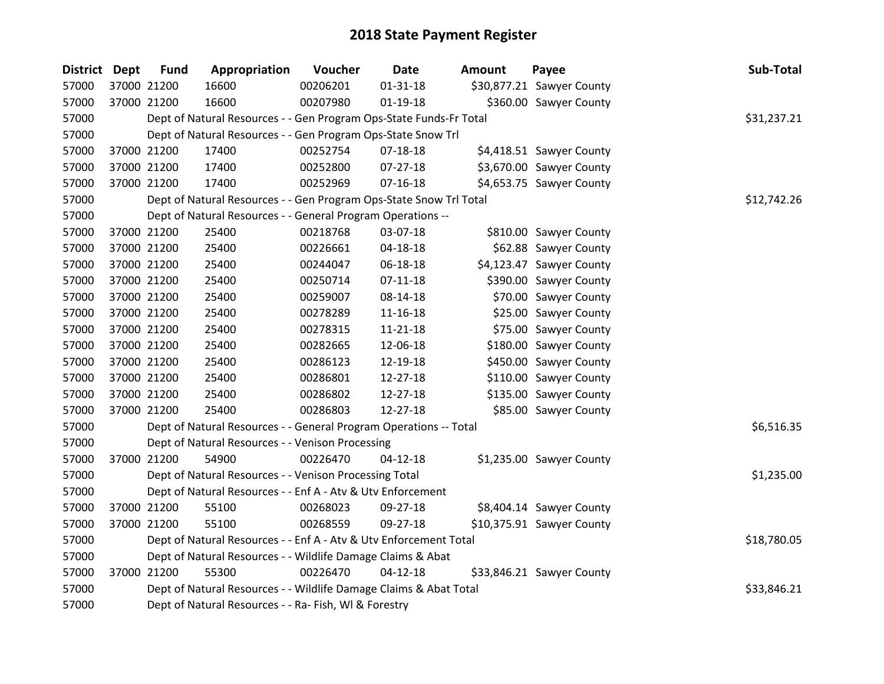| <b>District Dept</b> | <b>Fund</b> | Appropriation                                                      | Voucher  | Date           | <b>Amount</b> | Payee                     | Sub-Total   |
|----------------------|-------------|--------------------------------------------------------------------|----------|----------------|---------------|---------------------------|-------------|
| 57000                | 37000 21200 | 16600                                                              | 00206201 | $01 - 31 - 18$ |               | \$30,877.21 Sawyer County |             |
| 57000                | 37000 21200 | 16600                                                              | 00207980 | $01-19-18$     |               | \$360.00 Sawyer County    |             |
| 57000                |             | Dept of Natural Resources - - Gen Program Ops-State Funds-Fr Total |          |                |               |                           | \$31,237.21 |
| 57000                |             | Dept of Natural Resources - - Gen Program Ops-State Snow Trl       |          |                |               |                           |             |
| 57000                | 37000 21200 | 17400                                                              | 00252754 | $07 - 18 - 18$ |               | \$4,418.51 Sawyer County  |             |
| 57000                | 37000 21200 | 17400                                                              | 00252800 | $07-27-18$     |               | \$3,670.00 Sawyer County  |             |
| 57000                | 37000 21200 | 17400                                                              | 00252969 | $07 - 16 - 18$ |               | \$4,653.75 Sawyer County  |             |
| 57000                |             | Dept of Natural Resources - - Gen Program Ops-State Snow Trl Total |          |                |               |                           | \$12,742.26 |
| 57000                |             | Dept of Natural Resources - - General Program Operations --        |          |                |               |                           |             |
| 57000                | 37000 21200 | 25400                                                              | 00218768 | 03-07-18       |               | \$810.00 Sawyer County    |             |
| 57000                | 37000 21200 | 25400                                                              | 00226661 | 04-18-18       |               | \$62.88 Sawyer County     |             |
| 57000                | 37000 21200 | 25400                                                              | 00244047 | 06-18-18       |               | \$4,123.47 Sawyer County  |             |
| 57000                | 37000 21200 | 25400                                                              | 00250714 | $07-11-18$     |               | \$390.00 Sawyer County    |             |
| 57000                | 37000 21200 | 25400                                                              | 00259007 | 08-14-18       |               | \$70.00 Sawyer County     |             |
| 57000                | 37000 21200 | 25400                                                              | 00278289 | 11-16-18       |               | \$25.00 Sawyer County     |             |
| 57000                | 37000 21200 | 25400                                                              | 00278315 | 11-21-18       |               | \$75.00 Sawyer County     |             |
| 57000                | 37000 21200 | 25400                                                              | 00282665 | 12-06-18       |               | \$180.00 Sawyer County    |             |
| 57000                | 37000 21200 | 25400                                                              | 00286123 | 12-19-18       |               | \$450.00 Sawyer County    |             |
| 57000                | 37000 21200 | 25400                                                              | 00286801 | 12-27-18       |               | \$110.00 Sawyer County    |             |
| 57000                | 37000 21200 | 25400                                                              | 00286802 | 12-27-18       |               | \$135.00 Sawyer County    |             |
| 57000                | 37000 21200 | 25400                                                              | 00286803 | 12-27-18       |               | \$85.00 Sawyer County     |             |
| 57000                |             | Dept of Natural Resources - - General Program Operations -- Total  |          |                |               |                           | \$6,516.35  |
| 57000                |             | Dept of Natural Resources - - Venison Processing                   |          |                |               |                           |             |
| 57000                | 37000 21200 | 54900                                                              | 00226470 | $04 - 12 - 18$ |               | \$1,235.00 Sawyer County  |             |
| 57000                |             | Dept of Natural Resources - - Venison Processing Total             |          |                |               |                           | \$1,235.00  |
| 57000                |             | Dept of Natural Resources - - Enf A - Atv & Utv Enforcement        |          |                |               |                           |             |
| 57000                | 37000 21200 | 55100                                                              | 00268023 | 09-27-18       |               | \$8,404.14 Sawyer County  |             |
| 57000                | 37000 21200 | 55100                                                              | 00268559 | 09-27-18       |               | \$10,375.91 Sawyer County |             |
| 57000                |             | Dept of Natural Resources - - Enf A - Atv & Utv Enforcement Total  |          |                |               |                           | \$18,780.05 |
| 57000                |             | Dept of Natural Resources - - Wildlife Damage Claims & Abat        |          |                |               |                           |             |
| 57000                | 37000 21200 | 55300                                                              | 00226470 | $04 - 12 - 18$ |               | \$33,846.21 Sawyer County |             |
| 57000                |             | Dept of Natural Resources - - Wildlife Damage Claims & Abat Total  |          |                |               |                           | \$33,846.21 |
| 57000                |             | Dept of Natural Resources - - Ra- Fish, WI & Forestry              |          |                |               |                           |             |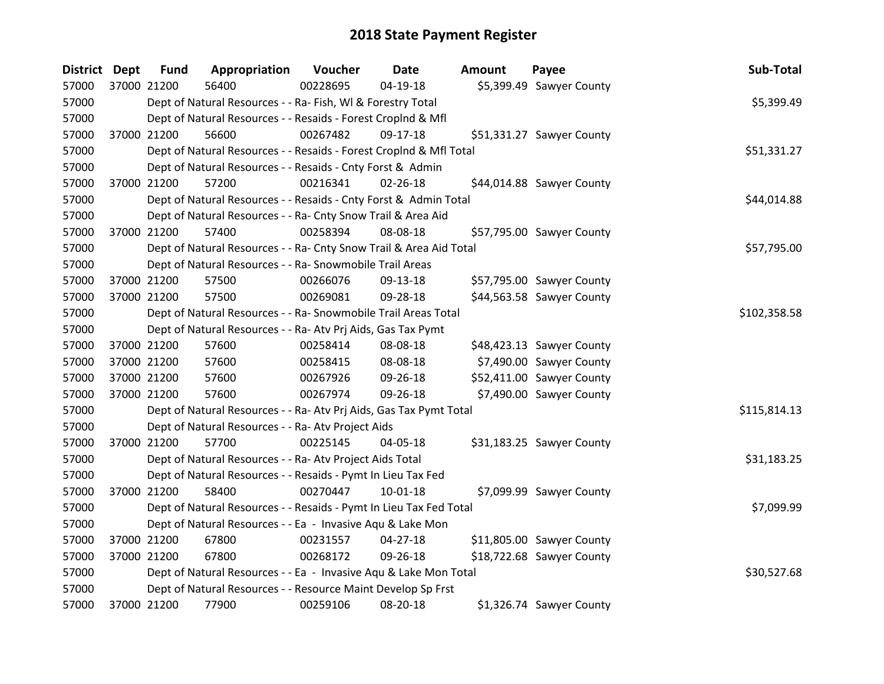| <b>District</b> | <b>Dept</b> | <b>Fund</b> | Appropriation                                                      | Voucher  | <b>Date</b>    | <b>Amount</b> | Payee                     | Sub-Total    |
|-----------------|-------------|-------------|--------------------------------------------------------------------|----------|----------------|---------------|---------------------------|--------------|
| 57000           | 37000 21200 |             | 56400                                                              | 00228695 | 04-19-18       |               | \$5,399.49 Sawyer County  |              |
| 57000           |             |             | Dept of Natural Resources - - Ra- Fish, WI & Forestry Total        |          |                |               |                           | \$5,399.49   |
| 57000           |             |             | Dept of Natural Resources - - Resaids - Forest CropInd & Mfl       |          |                |               |                           |              |
| 57000           |             | 37000 21200 | 56600                                                              | 00267482 | 09-17-18       |               | \$51,331.27 Sawyer County |              |
| 57000           |             |             | Dept of Natural Resources - - Resaids - Forest CropInd & Mfl Total |          |                |               |                           | \$51,331.27  |
| 57000           |             |             | Dept of Natural Resources - - Resaids - Cnty Forst & Admin         |          |                |               |                           |              |
| 57000           |             | 37000 21200 | 57200                                                              | 00216341 | 02-26-18       |               | \$44,014.88 Sawyer County |              |
| 57000           |             |             | Dept of Natural Resources - - Resaids - Cnty Forst & Admin Total   |          |                |               |                           | \$44,014.88  |
| 57000           |             |             | Dept of Natural Resources - - Ra- Cnty Snow Trail & Area Aid       |          |                |               |                           |              |
| 57000           | 37000 21200 |             | 57400                                                              | 00258394 | 08-08-18       |               | \$57,795.00 Sawyer County |              |
| 57000           |             |             | Dept of Natural Resources - - Ra- Cnty Snow Trail & Area Aid Total |          |                |               |                           | \$57,795.00  |
| 57000           |             |             | Dept of Natural Resources - - Ra- Snowmobile Trail Areas           |          |                |               |                           |              |
| 57000           |             | 37000 21200 | 57500                                                              | 00266076 | 09-13-18       |               | \$57,795.00 Sawyer County |              |
| 57000           |             | 37000 21200 | 57500                                                              | 00269081 | 09-28-18       |               | \$44,563.58 Sawyer County |              |
| 57000           |             |             | Dept of Natural Resources - - Ra- Snowmobile Trail Areas Total     |          |                |               |                           | \$102,358.58 |
| 57000           |             |             | Dept of Natural Resources - - Ra- Atv Prj Aids, Gas Tax Pymt       |          |                |               |                           |              |
| 57000           |             | 37000 21200 | 57600                                                              | 00258414 | 08-08-18       |               | \$48,423.13 Sawyer County |              |
| 57000           |             | 37000 21200 | 57600                                                              | 00258415 | 08-08-18       |               | \$7,490.00 Sawyer County  |              |
| 57000           |             | 37000 21200 | 57600                                                              | 00267926 | 09-26-18       |               | \$52,411.00 Sawyer County |              |
| 57000           | 37000 21200 |             | 57600                                                              | 00267974 | 09-26-18       |               | \$7,490.00 Sawyer County  |              |
| 57000           |             |             | Dept of Natural Resources - - Ra- Atv Prj Aids, Gas Tax Pymt Total |          |                |               |                           | \$115,814.13 |
| 57000           |             |             | Dept of Natural Resources - - Ra- Atv Project Aids                 |          |                |               |                           |              |
| 57000           |             | 37000 21200 | 57700                                                              | 00225145 | 04-05-18       |               | \$31,183.25 Sawyer County |              |
| 57000           |             |             | Dept of Natural Resources - - Ra- Atv Project Aids Total           |          |                |               |                           | \$31,183.25  |
| 57000           |             |             | Dept of Natural Resources - - Resaids - Pymt In Lieu Tax Fed       |          |                |               |                           |              |
| 57000           | 37000 21200 |             | 58400                                                              | 00270447 | $10 - 01 - 18$ |               | \$7,099.99 Sawyer County  |              |
| 57000           |             |             | Dept of Natural Resources - - Resaids - Pymt In Lieu Tax Fed Total |          |                |               |                           | \$7,099.99   |
| 57000           |             |             | Dept of Natural Resources - - Ea - Invasive Aqu & Lake Mon         |          |                |               |                           |              |
| 57000           |             | 37000 21200 | 67800                                                              | 00231557 | $04 - 27 - 18$ |               | \$11,805.00 Sawyer County |              |
| 57000           | 37000 21200 |             | 67800                                                              | 00268172 | 09-26-18       |               | \$18,722.68 Sawyer County |              |
| 57000           |             |             | Dept of Natural Resources - - Ea - Invasive Aqu & Lake Mon Total   |          |                |               |                           | \$30,527.68  |
| 57000           |             |             | Dept of Natural Resources - - Resource Maint Develop Sp Frst       |          |                |               |                           |              |
| 57000           |             | 37000 21200 | 77900                                                              | 00259106 | 08-20-18       |               | \$1,326.74 Sawyer County  |              |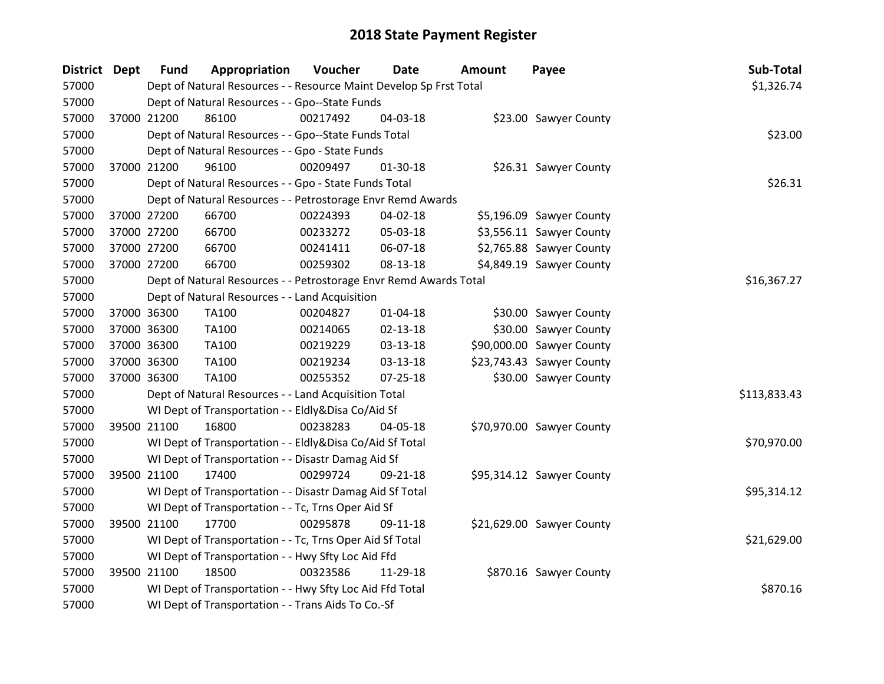| <b>District Dept</b> |             | <b>Fund</b> | Appropriation                                                      | Voucher  | Date           | Amount | Payee                     | Sub-Total    |
|----------------------|-------------|-------------|--------------------------------------------------------------------|----------|----------------|--------|---------------------------|--------------|
| 57000                |             |             | Dept of Natural Resources - - Resource Maint Develop Sp Frst Total |          |                |        |                           | \$1,326.74   |
| 57000                |             |             | Dept of Natural Resources - - Gpo--State Funds                     |          |                |        |                           |              |
| 57000                |             | 37000 21200 | 86100                                                              | 00217492 | 04-03-18       |        | \$23.00 Sawyer County     |              |
| 57000                |             |             | Dept of Natural Resources - - Gpo--State Funds Total               |          |                |        |                           | \$23.00      |
| 57000                |             |             | Dept of Natural Resources - - Gpo - State Funds                    |          |                |        |                           |              |
| 57000                |             | 37000 21200 | 96100                                                              | 00209497 | 01-30-18       |        | \$26.31 Sawyer County     |              |
| 57000                |             |             | Dept of Natural Resources - - Gpo - State Funds Total              |          |                |        |                           | \$26.31      |
| 57000                |             |             | Dept of Natural Resources - - Petrostorage Envr Remd Awards        |          |                |        |                           |              |
| 57000                |             | 37000 27200 | 66700                                                              | 00224393 | 04-02-18       |        | \$5,196.09 Sawyer County  |              |
| 57000                |             | 37000 27200 | 66700                                                              | 00233272 | 05-03-18       |        | \$3,556.11 Sawyer County  |              |
| 57000                |             | 37000 27200 | 66700                                                              | 00241411 | 06-07-18       |        | \$2,765.88 Sawyer County  |              |
| 57000                |             | 37000 27200 | 66700                                                              | 00259302 | 08-13-18       |        | \$4,849.19 Sawyer County  |              |
| 57000                |             |             | Dept of Natural Resources - - Petrostorage Envr Remd Awards Total  |          |                |        |                           | \$16,367.27  |
| 57000                |             |             | Dept of Natural Resources - - Land Acquisition                     |          |                |        |                           |              |
| 57000                |             | 37000 36300 | TA100                                                              | 00204827 | $01 - 04 - 18$ |        | \$30.00 Sawyer County     |              |
| 57000                |             | 37000 36300 | TA100                                                              | 00214065 | 02-13-18       |        | \$30.00 Sawyer County     |              |
| 57000                |             | 37000 36300 | TA100                                                              | 00219229 | 03-13-18       |        | \$90,000.00 Sawyer County |              |
| 57000                | 37000 36300 |             | <b>TA100</b>                                                       | 00219234 | 03-13-18       |        | \$23,743.43 Sawyer County |              |
| 57000                | 37000 36300 |             | TA100                                                              | 00255352 | 07-25-18       |        | \$30.00 Sawyer County     |              |
| 57000                |             |             | Dept of Natural Resources - - Land Acquisition Total               |          |                |        |                           | \$113,833.43 |
| 57000                |             |             | WI Dept of Transportation - - Eldly&Disa Co/Aid Sf                 |          |                |        |                           |              |
| 57000                |             | 39500 21100 | 16800                                                              | 00238283 | 04-05-18       |        | \$70,970.00 Sawyer County |              |
| 57000                |             |             | WI Dept of Transportation - - Eldly&Disa Co/Aid Sf Total           |          |                |        |                           | \$70,970.00  |
| 57000                |             |             | WI Dept of Transportation - - Disastr Damag Aid Sf                 |          |                |        |                           |              |
| 57000                |             | 39500 21100 | 17400                                                              | 00299724 | 09-21-18       |        | \$95,314.12 Sawyer County |              |
| 57000                |             |             | WI Dept of Transportation - - Disastr Damag Aid Sf Total           |          |                |        |                           | \$95,314.12  |
| 57000                |             |             | WI Dept of Transportation - - Tc, Trns Oper Aid Sf                 |          |                |        |                           |              |
| 57000                |             | 39500 21100 | 17700                                                              | 00295878 | 09-11-18       |        | \$21,629.00 Sawyer County |              |
| 57000                |             |             | WI Dept of Transportation - - Tc, Trns Oper Aid Sf Total           |          |                |        |                           | \$21,629.00  |
| 57000                |             |             | WI Dept of Transportation - - Hwy Sfty Loc Aid Ffd                 |          |                |        |                           |              |
| 57000                |             | 39500 21100 | 18500                                                              | 00323586 | 11-29-18       |        | \$870.16 Sawyer County    |              |
| 57000                |             |             | WI Dept of Transportation - - Hwy Sfty Loc Aid Ffd Total           |          |                |        |                           | \$870.16     |
| 57000                |             |             | WI Dept of Transportation - - Trans Aids To Co.-Sf                 |          |                |        |                           |              |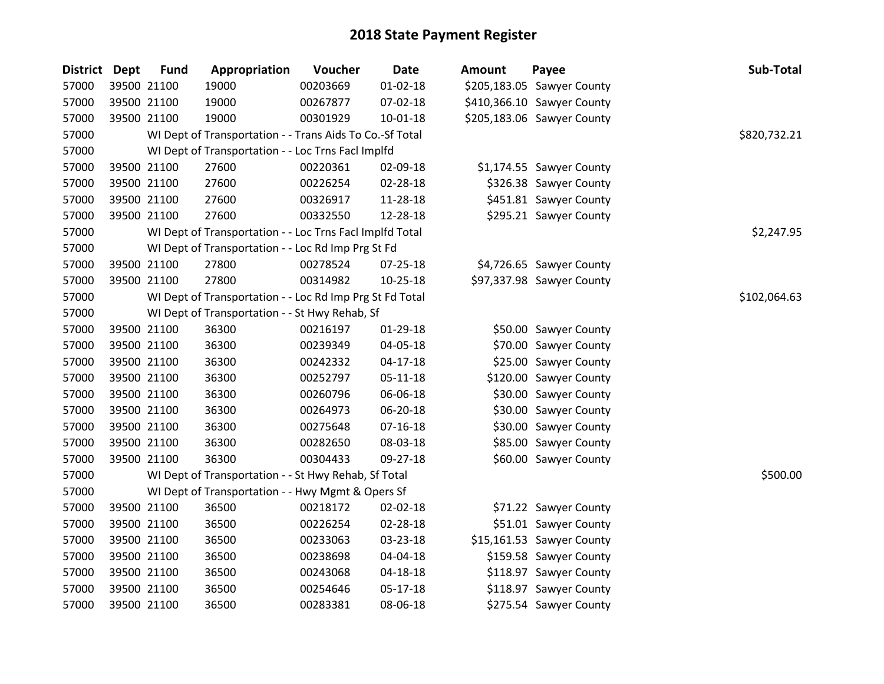| <b>District Dept</b> |             | <b>Fund</b> | Appropriation                                            | Voucher  | <b>Date</b>    | <b>Amount</b> | Payee                      | Sub-Total    |
|----------------------|-------------|-------------|----------------------------------------------------------|----------|----------------|---------------|----------------------------|--------------|
| 57000                |             | 39500 21100 | 19000                                                    | 00203669 | $01 - 02 - 18$ |               | \$205,183.05 Sawyer County |              |
| 57000                | 39500 21100 |             | 19000                                                    | 00267877 | 07-02-18       |               | \$410,366.10 Sawyer County |              |
| 57000                | 39500 21100 |             | 19000                                                    | 00301929 | 10-01-18       |               | \$205,183.06 Sawyer County |              |
| 57000                |             |             | WI Dept of Transportation - - Trans Aids To Co.-Sf Total |          |                |               |                            | \$820,732.21 |
| 57000                |             |             | WI Dept of Transportation - - Loc Trns Facl Implfd       |          |                |               |                            |              |
| 57000                |             | 39500 21100 | 27600                                                    | 00220361 | 02-09-18       |               | \$1,174.55 Sawyer County   |              |
| 57000                |             | 39500 21100 | 27600                                                    | 00226254 | 02-28-18       |               | \$326.38 Sawyer County     |              |
| 57000                |             | 39500 21100 | 27600                                                    | 00326917 | 11-28-18       |               | \$451.81 Sawyer County     |              |
| 57000                |             | 39500 21100 | 27600                                                    | 00332550 | 12-28-18       |               | \$295.21 Sawyer County     |              |
| 57000                |             |             | WI Dept of Transportation - - Loc Trns Facl Implfd Total |          |                |               |                            | \$2,247.95   |
| 57000                |             |             | WI Dept of Transportation - - Loc Rd Imp Prg St Fd       |          |                |               |                            |              |
| 57000                |             | 39500 21100 | 27800                                                    | 00278524 | 07-25-18       |               | \$4,726.65 Sawyer County   |              |
| 57000                | 39500 21100 |             | 27800                                                    | 00314982 | $10 - 25 - 18$ |               | \$97,337.98 Sawyer County  |              |
| 57000                |             |             | WI Dept of Transportation - - Loc Rd Imp Prg St Fd Total |          |                |               |                            | \$102,064.63 |
| 57000                |             |             | WI Dept of Transportation - - St Hwy Rehab, Sf           |          |                |               |                            |              |
| 57000                |             | 39500 21100 | 36300                                                    | 00216197 | 01-29-18       |               | \$50.00 Sawyer County      |              |
| 57000                |             | 39500 21100 | 36300                                                    | 00239349 | 04-05-18       |               | \$70.00 Sawyer County      |              |
| 57000                |             | 39500 21100 | 36300                                                    | 00242332 | $04 - 17 - 18$ |               | \$25.00 Sawyer County      |              |
| 57000                |             | 39500 21100 | 36300                                                    | 00252797 | $05 - 11 - 18$ |               | \$120.00 Sawyer County     |              |
| 57000                |             | 39500 21100 | 36300                                                    | 00260796 | 06-06-18       |               | \$30.00 Sawyer County      |              |
| 57000                |             | 39500 21100 | 36300                                                    | 00264973 | 06-20-18       |               | \$30.00 Sawyer County      |              |
| 57000                |             | 39500 21100 | 36300                                                    | 00275648 | $07 - 16 - 18$ |               | \$30.00 Sawyer County      |              |
| 57000                | 39500 21100 |             | 36300                                                    | 00282650 | 08-03-18       |               | \$85.00 Sawyer County      |              |
| 57000                |             | 39500 21100 | 36300                                                    | 00304433 | 09-27-18       |               | \$60.00 Sawyer County      |              |
| 57000                |             |             | WI Dept of Transportation - - St Hwy Rehab, Sf Total     |          |                |               |                            | \$500.00     |
| 57000                |             |             | WI Dept of Transportation - - Hwy Mgmt & Opers Sf        |          |                |               |                            |              |
| 57000                |             | 39500 21100 | 36500                                                    | 00218172 | 02-02-18       |               | \$71.22 Sawyer County      |              |
| 57000                | 39500 21100 |             | 36500                                                    | 00226254 | 02-28-18       |               | \$51.01 Sawyer County      |              |
| 57000                | 39500 21100 |             | 36500                                                    | 00233063 | 03-23-18       |               | \$15,161.53 Sawyer County  |              |
| 57000                |             | 39500 21100 | 36500                                                    | 00238698 | 04-04-18       |               | \$159.58 Sawyer County     |              |
| 57000                |             | 39500 21100 | 36500                                                    | 00243068 | $04 - 18 - 18$ |               | \$118.97 Sawyer County     |              |
| 57000                | 39500 21100 |             | 36500                                                    | 00254646 | $05 - 17 - 18$ |               | \$118.97 Sawyer County     |              |
| 57000                |             | 39500 21100 | 36500                                                    | 00283381 | 08-06-18       |               | \$275.54 Sawyer County     |              |
|                      |             |             |                                                          |          |                |               |                            |              |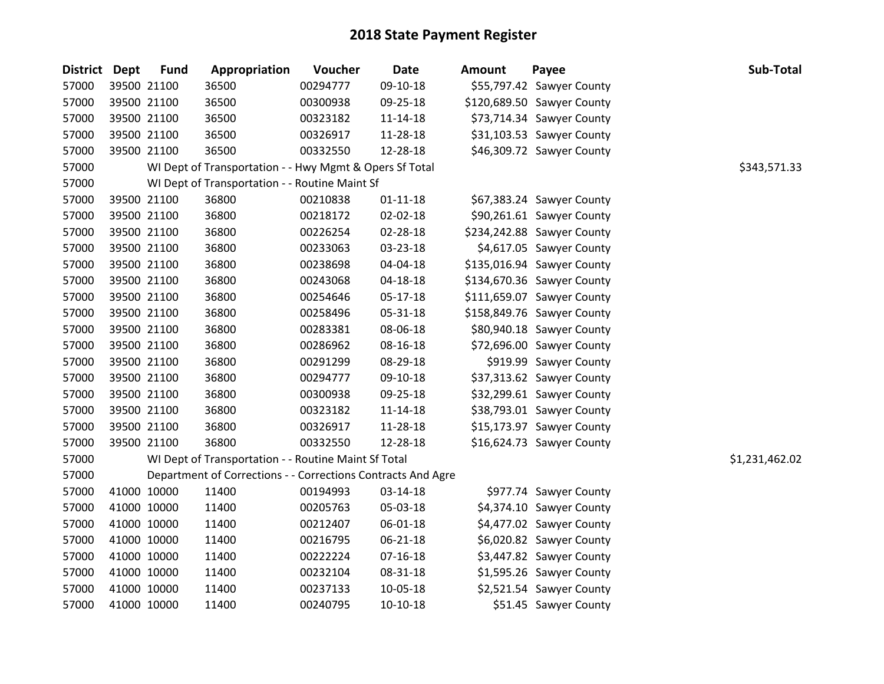| District Dept | <b>Fund</b> | Appropriation                                                | Voucher  | <b>Date</b>    | <b>Amount</b> | Payee                      | Sub-Total      |
|---------------|-------------|--------------------------------------------------------------|----------|----------------|---------------|----------------------------|----------------|
| 57000         | 39500 21100 | 36500                                                        | 00294777 | 09-10-18       |               | \$55,797.42 Sawyer County  |                |
| 57000         | 39500 21100 | 36500                                                        | 00300938 | 09-25-18       |               | \$120,689.50 Sawyer County |                |
| 57000         | 39500 21100 | 36500                                                        | 00323182 | $11 - 14 - 18$ |               | \$73,714.34 Sawyer County  |                |
| 57000         | 39500 21100 | 36500                                                        | 00326917 | 11-28-18       |               | \$31,103.53 Sawyer County  |                |
| 57000         | 39500 21100 | 36500                                                        | 00332550 | 12-28-18       |               | \$46,309.72 Sawyer County  |                |
| 57000         |             | WI Dept of Transportation - - Hwy Mgmt & Opers Sf Total      |          |                |               |                            | \$343,571.33   |
| 57000         |             | WI Dept of Transportation - - Routine Maint Sf               |          |                |               |                            |                |
| 57000         | 39500 21100 | 36800                                                        | 00210838 | $01 - 11 - 18$ |               | \$67,383.24 Sawyer County  |                |
| 57000         | 39500 21100 | 36800                                                        | 00218172 | 02-02-18       |               | \$90,261.61 Sawyer County  |                |
| 57000         | 39500 21100 | 36800                                                        | 00226254 | 02-28-18       |               | \$234,242.88 Sawyer County |                |
| 57000         | 39500 21100 | 36800                                                        | 00233063 | 03-23-18       |               | \$4,617.05 Sawyer County   |                |
| 57000         | 39500 21100 | 36800                                                        | 00238698 | 04-04-18       |               | \$135,016.94 Sawyer County |                |
| 57000         | 39500 21100 | 36800                                                        | 00243068 | 04-18-18       |               | \$134,670.36 Sawyer County |                |
| 57000         | 39500 21100 | 36800                                                        | 00254646 | $05-17-18$     |               | \$111,659.07 Sawyer County |                |
| 57000         | 39500 21100 | 36800                                                        | 00258496 | 05-31-18       |               | \$158,849.76 Sawyer County |                |
| 57000         | 39500 21100 | 36800                                                        | 00283381 | 08-06-18       |               | \$80,940.18 Sawyer County  |                |
| 57000         | 39500 21100 | 36800                                                        | 00286962 | 08-16-18       |               | \$72,696.00 Sawyer County  |                |
| 57000         | 39500 21100 | 36800                                                        | 00291299 | 08-29-18       |               | \$919.99 Sawyer County     |                |
| 57000         | 39500 21100 | 36800                                                        | 00294777 | 09-10-18       |               | \$37,313.62 Sawyer County  |                |
| 57000         | 39500 21100 | 36800                                                        | 00300938 | 09-25-18       |               | \$32,299.61 Sawyer County  |                |
| 57000         | 39500 21100 | 36800                                                        | 00323182 | $11 - 14 - 18$ |               | \$38,793.01 Sawyer County  |                |
| 57000         | 39500 21100 | 36800                                                        | 00326917 | 11-28-18       |               | \$15,173.97 Sawyer County  |                |
| 57000         | 39500 21100 | 36800                                                        | 00332550 | 12-28-18       |               | \$16,624.73 Sawyer County  |                |
| 57000         |             | WI Dept of Transportation - - Routine Maint Sf Total         |          |                |               |                            | \$1,231,462.02 |
| 57000         |             | Department of Corrections - - Corrections Contracts And Agre |          |                |               |                            |                |
| 57000         | 41000 10000 | 11400                                                        | 00194993 | 03-14-18       |               | \$977.74 Sawyer County     |                |
| 57000         | 41000 10000 | 11400                                                        | 00205763 | 05-03-18       |               | \$4,374.10 Sawyer County   |                |
| 57000         | 41000 10000 | 11400                                                        | 00212407 | 06-01-18       |               | \$4,477.02 Sawyer County   |                |
| 57000         | 41000 10000 | 11400                                                        | 00216795 | $06 - 21 - 18$ |               | \$6,020.82 Sawyer County   |                |
| 57000         | 41000 10000 | 11400                                                        | 00222224 | $07 - 16 - 18$ |               | \$3,447.82 Sawyer County   |                |
| 57000         | 41000 10000 | 11400                                                        | 00232104 | 08-31-18       |               | \$1,595.26 Sawyer County   |                |
| 57000         | 41000 10000 | 11400                                                        | 00237133 | 10-05-18       |               | \$2,521.54 Sawyer County   |                |
| 57000         | 41000 10000 | 11400                                                        | 00240795 | $10-10-18$     |               | \$51.45 Sawyer County      |                |
|               |             |                                                              |          |                |               |                            |                |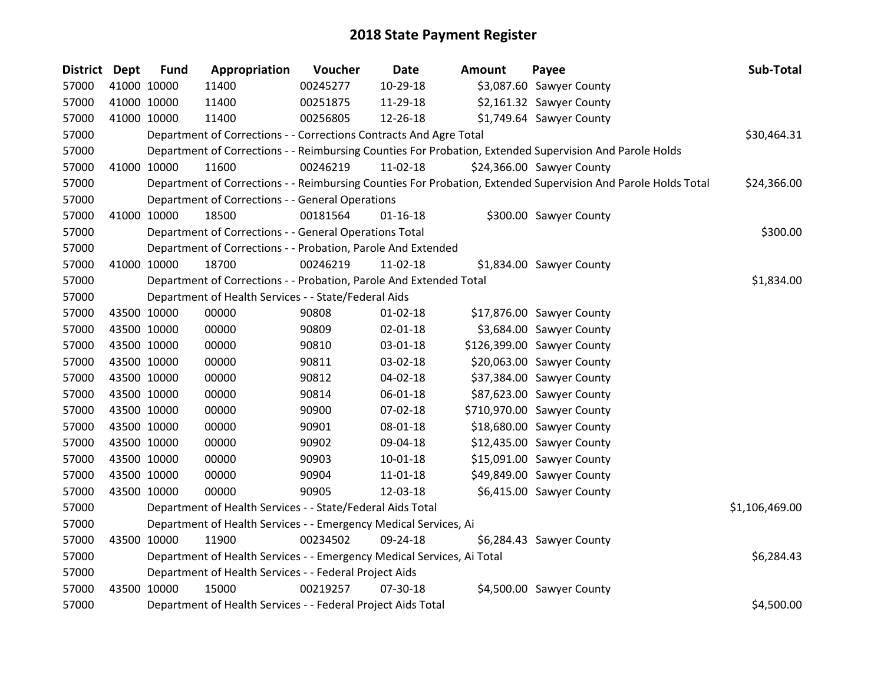| District Dept | <b>Fund</b> | Appropriation                                                          | Voucher  | <b>Date</b>    | <b>Amount</b> | Payee                                                                                                         | Sub-Total      |
|---------------|-------------|------------------------------------------------------------------------|----------|----------------|---------------|---------------------------------------------------------------------------------------------------------------|----------------|
| 57000         | 41000 10000 | 11400                                                                  | 00245277 | 10-29-18       |               | \$3,087.60 Sawyer County                                                                                      |                |
| 57000         | 41000 10000 | 11400                                                                  | 00251875 | 11-29-18       |               | \$2,161.32 Sawyer County                                                                                      |                |
| 57000         | 41000 10000 | 11400                                                                  | 00256805 | 12-26-18       |               | \$1,749.64 Sawyer County                                                                                      |                |
| 57000         |             | Department of Corrections - - Corrections Contracts And Agre Total     |          |                |               |                                                                                                               | \$30,464.31    |
| 57000         |             |                                                                        |          |                |               | Department of Corrections - - Reimbursing Counties For Probation, Extended Supervision And Parole Holds       |                |
| 57000         | 41000 10000 | 11600                                                                  | 00246219 | 11-02-18       |               | \$24,366.00 Sawyer County                                                                                     |                |
| 57000         |             |                                                                        |          |                |               | Department of Corrections - - Reimbursing Counties For Probation, Extended Supervision And Parole Holds Total | \$24,366.00    |
| 57000         |             | Department of Corrections - - General Operations                       |          |                |               |                                                                                                               |                |
| 57000         | 41000 10000 | 18500                                                                  | 00181564 | $01 - 16 - 18$ |               | \$300.00 Sawyer County                                                                                        |                |
| 57000         |             | Department of Corrections - - General Operations Total                 |          |                |               |                                                                                                               | \$300.00       |
| 57000         |             | Department of Corrections - - Probation, Parole And Extended           |          |                |               |                                                                                                               |                |
| 57000         | 41000 10000 | 18700                                                                  | 00246219 | 11-02-18       |               | \$1,834.00 Sawyer County                                                                                      |                |
| 57000         |             | Department of Corrections - - Probation, Parole And Extended Total     |          |                |               |                                                                                                               | \$1,834.00     |
| 57000         |             | Department of Health Services - - State/Federal Aids                   |          |                |               |                                                                                                               |                |
| 57000         | 43500 10000 | 00000                                                                  | 90808    | $01 - 02 - 18$ |               | \$17,876.00 Sawyer County                                                                                     |                |
| 57000         | 43500 10000 | 00000                                                                  | 90809    | 02-01-18       |               | \$3,684.00 Sawyer County                                                                                      |                |
| 57000         | 43500 10000 | 00000                                                                  | 90810    | 03-01-18       |               | \$126,399.00 Sawyer County                                                                                    |                |
| 57000         | 43500 10000 | 00000                                                                  | 90811    | 03-02-18       |               | \$20,063.00 Sawyer County                                                                                     |                |
| 57000         | 43500 10000 | 00000                                                                  | 90812    | 04-02-18       |               | \$37,384.00 Sawyer County                                                                                     |                |
| 57000         | 43500 10000 | 00000                                                                  | 90814    | 06-01-18       |               | \$87,623.00 Sawyer County                                                                                     |                |
| 57000         | 43500 10000 | 00000                                                                  | 90900    | 07-02-18       |               | \$710,970.00 Sawyer County                                                                                    |                |
| 57000         | 43500 10000 | 00000                                                                  | 90901    | 08-01-18       |               | \$18,680.00 Sawyer County                                                                                     |                |
| 57000         | 43500 10000 | 00000                                                                  | 90902    | 09-04-18       |               | \$12,435.00 Sawyer County                                                                                     |                |
| 57000         | 43500 10000 | 00000                                                                  | 90903    | $10 - 01 - 18$ |               | \$15,091.00 Sawyer County                                                                                     |                |
| 57000         | 43500 10000 | 00000                                                                  | 90904    | 11-01-18       |               | \$49,849.00 Sawyer County                                                                                     |                |
| 57000         | 43500 10000 | 00000                                                                  | 90905    | 12-03-18       |               | \$6,415.00 Sawyer County                                                                                      |                |
| 57000         |             | Department of Health Services - - State/Federal Aids Total             |          |                |               |                                                                                                               | \$1,106,469.00 |
| 57000         |             | Department of Health Services - - Emergency Medical Services, Ai       |          |                |               |                                                                                                               |                |
| 57000         | 43500 10000 | 11900                                                                  | 00234502 | 09-24-18       |               | \$6,284.43 Sawyer County                                                                                      |                |
| 57000         |             | Department of Health Services - - Emergency Medical Services, Ai Total |          |                |               |                                                                                                               | \$6,284.43     |
| 57000         |             | Department of Health Services - - Federal Project Aids                 |          |                |               |                                                                                                               |                |
| 57000         | 43500 10000 | 15000                                                                  | 00219257 | 07-30-18       |               | \$4,500.00 Sawyer County                                                                                      |                |
| 57000         |             | Department of Health Services - - Federal Project Aids Total           |          |                |               |                                                                                                               | \$4,500.00     |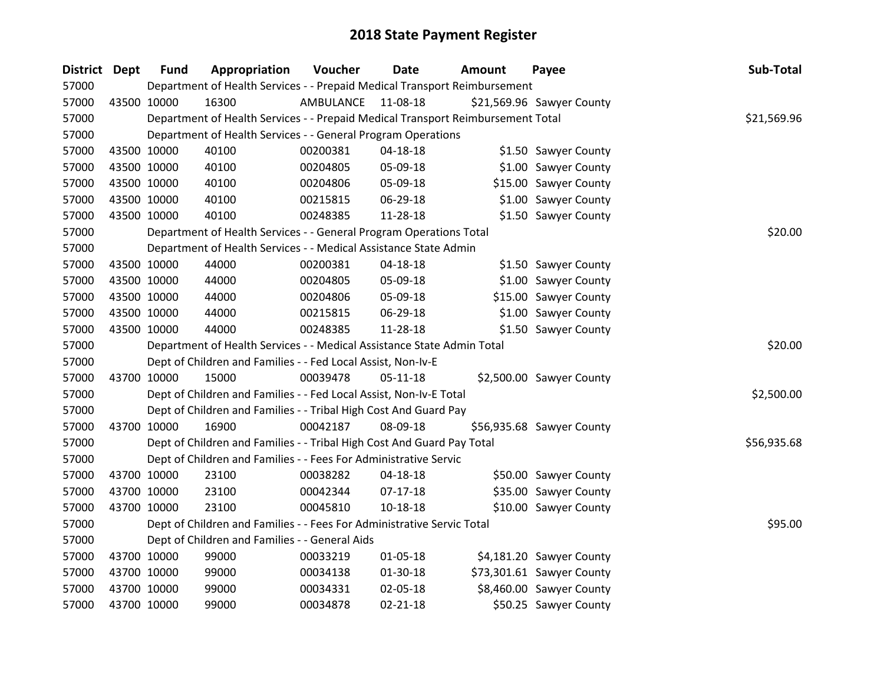| District Dept | <b>Fund</b> | Appropriation                                                                   | Voucher   | <b>Date</b>    | <b>Amount</b> | Payee                     | Sub-Total   |
|---------------|-------------|---------------------------------------------------------------------------------|-----------|----------------|---------------|---------------------------|-------------|
| 57000         |             | Department of Health Services - - Prepaid Medical Transport Reimbursement       |           |                |               |                           |             |
| 57000         | 43500 10000 | 16300                                                                           | AMBULANCE | 11-08-18       |               | \$21,569.96 Sawyer County |             |
| 57000         |             | Department of Health Services - - Prepaid Medical Transport Reimbursement Total |           |                |               |                           | \$21,569.96 |
| 57000         |             | Department of Health Services - - General Program Operations                    |           |                |               |                           |             |
| 57000         | 43500 10000 | 40100                                                                           | 00200381  | $04 - 18 - 18$ |               | \$1.50 Sawyer County      |             |
| 57000         | 43500 10000 | 40100                                                                           | 00204805  | 05-09-18       |               | \$1.00 Sawyer County      |             |
| 57000         | 43500 10000 | 40100                                                                           | 00204806  | 05-09-18       |               | \$15.00 Sawyer County     |             |
| 57000         | 43500 10000 | 40100                                                                           | 00215815  | 06-29-18       |               | \$1.00 Sawyer County      |             |
| 57000         | 43500 10000 | 40100                                                                           | 00248385  | 11-28-18       |               | \$1.50 Sawyer County      |             |
| 57000         |             | Department of Health Services - - General Program Operations Total              |           |                |               |                           | \$20.00     |
| 57000         |             | Department of Health Services - - Medical Assistance State Admin                |           |                |               |                           |             |
| 57000         | 43500 10000 | 44000                                                                           | 00200381  | 04-18-18       |               | \$1.50 Sawyer County      |             |
| 57000         | 43500 10000 | 44000                                                                           | 00204805  | 05-09-18       |               | \$1.00 Sawyer County      |             |
| 57000         | 43500 10000 | 44000                                                                           | 00204806  | 05-09-18       |               | \$15.00 Sawyer County     |             |
| 57000         | 43500 10000 | 44000                                                                           | 00215815  | 06-29-18       |               | \$1.00 Sawyer County      |             |
| 57000         | 43500 10000 | 44000                                                                           | 00248385  | 11-28-18       |               | \$1.50 Sawyer County      |             |
| 57000         |             | Department of Health Services - - Medical Assistance State Admin Total          |           |                |               |                           | \$20.00     |
| 57000         |             | Dept of Children and Families - - Fed Local Assist, Non-Iv-E                    |           |                |               |                           |             |
| 57000         | 43700 10000 | 15000                                                                           | 00039478  | $05-11-18$     |               | \$2,500.00 Sawyer County  |             |
| 57000         |             | Dept of Children and Families - - Fed Local Assist, Non-Iv-E Total              |           |                |               |                           | \$2,500.00  |
| 57000         |             | Dept of Children and Families - - Tribal High Cost And Guard Pay                |           |                |               |                           |             |
| 57000         | 43700 10000 | 16900                                                                           | 00042187  | 08-09-18       |               | \$56,935.68 Sawyer County |             |
| 57000         |             | Dept of Children and Families - - Tribal High Cost And Guard Pay Total          |           |                |               |                           | \$56,935.68 |
| 57000         |             | Dept of Children and Families - - Fees For Administrative Servic                |           |                |               |                           |             |
| 57000         | 43700 10000 | 23100                                                                           | 00038282  | 04-18-18       |               | \$50.00 Sawyer County     |             |
| 57000         | 43700 10000 | 23100                                                                           | 00042344  | $07-17-18$     |               | \$35.00 Sawyer County     |             |
| 57000         | 43700 10000 | 23100                                                                           | 00045810  | 10-18-18       |               | \$10.00 Sawyer County     |             |
| 57000         |             | Dept of Children and Families - - Fees For Administrative Servic Total          |           |                |               |                           | \$95.00     |
| 57000         |             | Dept of Children and Families - - General Aids                                  |           |                |               |                           |             |
| 57000         | 43700 10000 | 99000                                                                           | 00033219  | 01-05-18       |               | \$4,181.20 Sawyer County  |             |
| 57000         | 43700 10000 | 99000                                                                           | 00034138  | $01-30-18$     |               | \$73,301.61 Sawyer County |             |
| 57000         | 43700 10000 | 99000                                                                           | 00034331  | 02-05-18       |               | \$8,460.00 Sawyer County  |             |
| 57000         | 43700 10000 | 99000                                                                           | 00034878  | $02 - 21 - 18$ |               | \$50.25 Sawyer County     |             |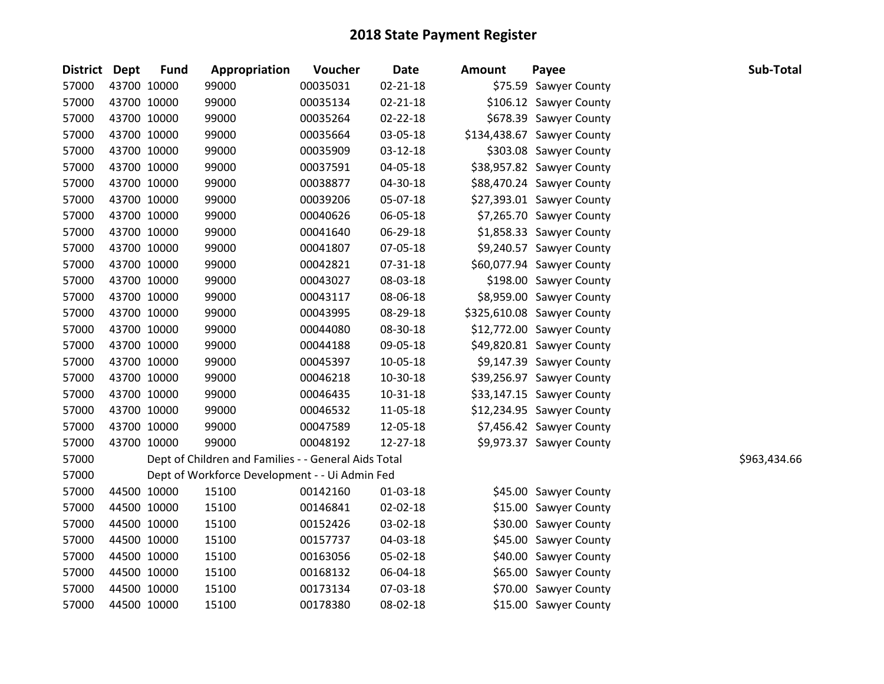| <b>District Dept</b> |             | <b>Fund</b> | Appropriation                                        | Voucher  | <b>Date</b>    | <b>Amount</b> | Payee                      | Sub-Total    |
|----------------------|-------------|-------------|------------------------------------------------------|----------|----------------|---------------|----------------------------|--------------|
| 57000                |             | 43700 10000 | 99000                                                | 00035031 | $02 - 21 - 18$ |               | \$75.59 Sawyer County      |              |
| 57000                |             | 43700 10000 | 99000                                                | 00035134 | $02 - 21 - 18$ |               | \$106.12 Sawyer County     |              |
| 57000                |             | 43700 10000 | 99000                                                | 00035264 | $02 - 22 - 18$ |               | \$678.39 Sawyer County     |              |
| 57000                |             | 43700 10000 | 99000                                                | 00035664 | 03-05-18       |               | \$134,438.67 Sawyer County |              |
| 57000                | 43700 10000 |             | 99000                                                | 00035909 | 03-12-18       |               | \$303.08 Sawyer County     |              |
| 57000                |             | 43700 10000 | 99000                                                | 00037591 | 04-05-18       |               | \$38,957.82 Sawyer County  |              |
| 57000                |             | 43700 10000 | 99000                                                | 00038877 | 04-30-18       |               | \$88,470.24 Sawyer County  |              |
| 57000                |             | 43700 10000 | 99000                                                | 00039206 | 05-07-18       |               | \$27,393.01 Sawyer County  |              |
| 57000                |             | 43700 10000 | 99000                                                | 00040626 | 06-05-18       |               | \$7,265.70 Sawyer County   |              |
| 57000                | 43700 10000 |             | 99000                                                | 00041640 | 06-29-18       |               | \$1,858.33 Sawyer County   |              |
| 57000                |             | 43700 10000 | 99000                                                | 00041807 | 07-05-18       |               | \$9,240.57 Sawyer County   |              |
| 57000                |             | 43700 10000 | 99000                                                | 00042821 | 07-31-18       |               | \$60,077.94 Sawyer County  |              |
| 57000                |             | 43700 10000 | 99000                                                | 00043027 | 08-03-18       |               | \$198.00 Sawyer County     |              |
| 57000                |             | 43700 10000 | 99000                                                | 00043117 | 08-06-18       |               | \$8,959.00 Sawyer County   |              |
| 57000                | 43700 10000 |             | 99000                                                | 00043995 | 08-29-18       |               | \$325,610.08 Sawyer County |              |
| 57000                |             | 43700 10000 | 99000                                                | 00044080 | 08-30-18       |               | \$12,772.00 Sawyer County  |              |
| 57000                |             | 43700 10000 | 99000                                                | 00044188 | 09-05-18       |               | \$49,820.81 Sawyer County  |              |
| 57000                |             | 43700 10000 | 99000                                                | 00045397 | 10-05-18       |               | \$9,147.39 Sawyer County   |              |
| 57000                |             | 43700 10000 | 99000                                                | 00046218 | 10-30-18       |               | \$39,256.97 Sawyer County  |              |
| 57000                |             | 43700 10000 | 99000                                                | 00046435 | 10-31-18       |               | \$33,147.15 Sawyer County  |              |
| 57000                |             | 43700 10000 | 99000                                                | 00046532 | 11-05-18       |               | \$12,234.95 Sawyer County  |              |
| 57000                |             | 43700 10000 | 99000                                                | 00047589 | 12-05-18       |               | \$7,456.42 Sawyer County   |              |
| 57000                |             | 43700 10000 | 99000                                                | 00048192 | 12-27-18       |               | \$9,973.37 Sawyer County   |              |
| 57000                |             |             | Dept of Children and Families - - General Aids Total |          |                |               |                            | \$963,434.66 |
| 57000                |             |             | Dept of Workforce Development - - Ui Admin Fed       |          |                |               |                            |              |
| 57000                |             | 44500 10000 | 15100                                                | 00142160 | 01-03-18       |               | \$45.00 Sawyer County      |              |
| 57000                |             | 44500 10000 | 15100                                                | 00146841 | 02-02-18       |               | \$15.00 Sawyer County      |              |
| 57000                |             | 44500 10000 | 15100                                                | 00152426 | 03-02-18       |               | \$30.00 Sawyer County      |              |
| 57000                |             | 44500 10000 | 15100                                                | 00157737 | 04-03-18       |               | \$45.00 Sawyer County      |              |
| 57000                |             | 44500 10000 | 15100                                                | 00163056 | 05-02-18       |               | \$40.00 Sawyer County      |              |
| 57000                |             | 44500 10000 | 15100                                                | 00168132 | 06-04-18       |               | \$65.00 Sawyer County      |              |
| 57000                |             | 44500 10000 | 15100                                                | 00173134 | 07-03-18       |               | \$70.00 Sawyer County      |              |
| 57000                |             | 44500 10000 | 15100                                                | 00178380 | 08-02-18       |               | \$15.00 Sawyer County      |              |
|                      |             |             |                                                      |          |                |               |                            |              |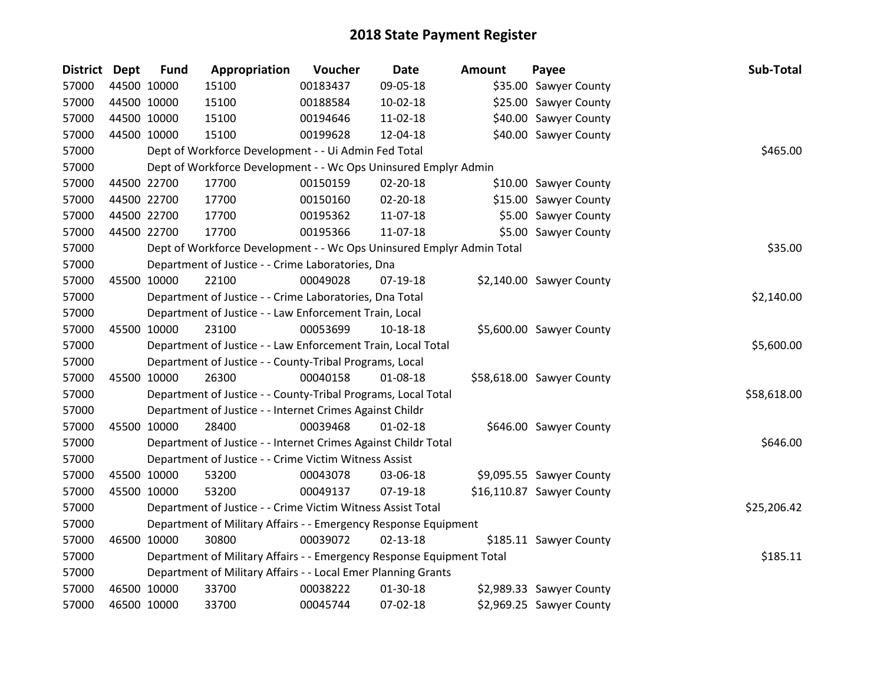| <b>District</b> | Dept        | <b>Fund</b> | Appropriation                                                         | Voucher  | <b>Date</b>    | <b>Amount</b> | Payee                     | Sub-Total   |
|-----------------|-------------|-------------|-----------------------------------------------------------------------|----------|----------------|---------------|---------------------------|-------------|
| 57000           |             | 44500 10000 | 15100                                                                 | 00183437 | 09-05-18       |               | \$35.00 Sawyer County     |             |
| 57000           |             | 44500 10000 | 15100                                                                 | 00188584 | 10-02-18       |               | \$25.00 Sawyer County     |             |
| 57000           |             | 44500 10000 | 15100                                                                 | 00194646 | 11-02-18       |               | \$40.00 Sawyer County     |             |
| 57000           | 44500 10000 |             | 15100                                                                 | 00199628 | 12-04-18       |               | \$40.00 Sawyer County     |             |
| 57000           |             |             | Dept of Workforce Development - - Ui Admin Fed Total                  |          |                |               |                           | \$465.00    |
| 57000           |             |             | Dept of Workforce Development - - Wc Ops Uninsured Emplyr Admin       |          |                |               |                           |             |
| 57000           |             | 44500 22700 | 17700                                                                 | 00150159 | 02-20-18       |               | \$10.00 Sawyer County     |             |
| 57000           |             | 44500 22700 | 17700                                                                 | 00150160 | 02-20-18       |               | \$15.00 Sawyer County     |             |
| 57000           |             | 44500 22700 | 17700                                                                 | 00195362 | 11-07-18       |               | \$5.00 Sawyer County      |             |
| 57000           |             | 44500 22700 | 17700                                                                 | 00195366 | 11-07-18       |               | \$5.00 Sawyer County      |             |
| 57000           |             |             | Dept of Workforce Development - - Wc Ops Uninsured Emplyr Admin Total |          |                |               |                           | \$35.00     |
| 57000           |             |             | Department of Justice - - Crime Laboratories, Dna                     |          |                |               |                           |             |
| 57000           |             | 45500 10000 | 22100                                                                 | 00049028 | 07-19-18       |               | \$2,140.00 Sawyer County  |             |
| 57000           |             |             | Department of Justice - - Crime Laboratories, Dna Total               |          |                |               |                           | \$2,140.00  |
| 57000           |             |             | Department of Justice - - Law Enforcement Train, Local                |          |                |               |                           |             |
| 57000           | 45500 10000 |             | 23100                                                                 | 00053699 | 10-18-18       |               | \$5,600.00 Sawyer County  |             |
| 57000           |             |             | Department of Justice - - Law Enforcement Train, Local Total          |          |                |               |                           | \$5,600.00  |
| 57000           |             |             | Department of Justice - - County-Tribal Programs, Local               |          |                |               |                           |             |
| 57000           |             | 45500 10000 | 26300                                                                 | 00040158 | 01-08-18       |               | \$58,618.00 Sawyer County |             |
| 57000           |             |             | Department of Justice - - County-Tribal Programs, Local Total         |          |                |               |                           | \$58,618.00 |
| 57000           |             |             | Department of Justice - - Internet Crimes Against Childr              |          |                |               |                           |             |
| 57000           |             | 45500 10000 | 28400                                                                 | 00039468 | $01 - 02 - 18$ |               | \$646.00 Sawyer County    |             |
| 57000           |             |             | Department of Justice - - Internet Crimes Against Childr Total        |          |                |               |                           | \$646.00    |
| 57000           |             |             | Department of Justice - - Crime Victim Witness Assist                 |          |                |               |                           |             |
| 57000           |             | 45500 10000 | 53200                                                                 | 00043078 | 03-06-18       |               | \$9,095.55 Sawyer County  |             |
| 57000           |             | 45500 10000 | 53200                                                                 | 00049137 | 07-19-18       |               | \$16,110.87 Sawyer County |             |
| 57000           |             |             | Department of Justice - - Crime Victim Witness Assist Total           |          |                |               |                           | \$25,206.42 |
| 57000           |             |             | Department of Military Affairs - - Emergency Response Equipment       |          |                |               |                           |             |
| 57000           | 46500 10000 |             | 30800                                                                 | 00039072 | $02 - 13 - 18$ |               | \$185.11 Sawyer County    |             |
| 57000           |             |             | Department of Military Affairs - - Emergency Response Equipment Total |          |                |               |                           | \$185.11    |
| 57000           |             |             | Department of Military Affairs - - Local Emer Planning Grants         |          |                |               |                           |             |
| 57000           |             | 46500 10000 | 33700                                                                 | 00038222 | 01-30-18       |               | \$2,989.33 Sawyer County  |             |
| 57000           | 46500 10000 |             | 33700                                                                 | 00045744 | 07-02-18       |               | \$2,969.25 Sawyer County  |             |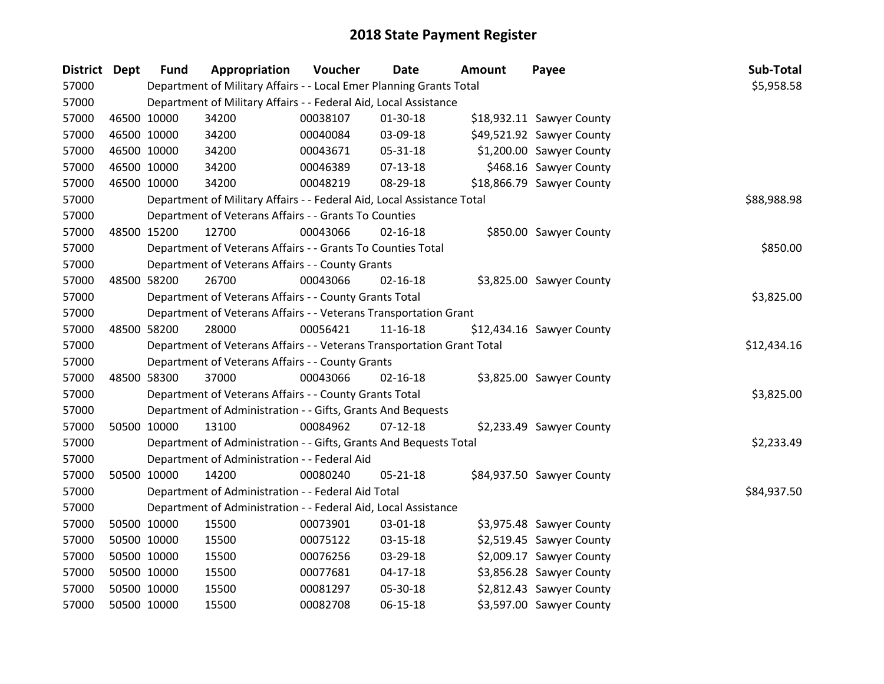| <b>District</b> | Dept        | <b>Fund</b> | Appropriation                                                          | Voucher  | <b>Date</b>    | <b>Amount</b> | Payee                     | Sub-Total   |
|-----------------|-------------|-------------|------------------------------------------------------------------------|----------|----------------|---------------|---------------------------|-------------|
| 57000           |             |             | Department of Military Affairs - - Local Emer Planning Grants Total    |          |                |               |                           | \$5,958.58  |
| 57000           |             |             | Department of Military Affairs - - Federal Aid, Local Assistance       |          |                |               |                           |             |
| 57000           | 46500 10000 |             | 34200                                                                  | 00038107 | 01-30-18       |               | \$18,932.11 Sawyer County |             |
| 57000           | 46500 10000 |             | 34200                                                                  | 00040084 | 03-09-18       |               | \$49,521.92 Sawyer County |             |
| 57000           | 46500 10000 |             | 34200                                                                  | 00043671 | 05-31-18       |               | \$1,200.00 Sawyer County  |             |
| 57000           | 46500 10000 |             | 34200                                                                  | 00046389 | $07 - 13 - 18$ |               | \$468.16 Sawyer County    |             |
| 57000           | 46500 10000 |             | 34200                                                                  | 00048219 | 08-29-18       |               | \$18,866.79 Sawyer County |             |
| 57000           |             |             | Department of Military Affairs - - Federal Aid, Local Assistance Total |          |                |               |                           | \$88,988.98 |
| 57000           |             |             | Department of Veterans Affairs - - Grants To Counties                  |          |                |               |                           |             |
| 57000           | 48500 15200 |             | 12700                                                                  | 00043066 | $02 - 16 - 18$ |               | \$850.00 Sawyer County    |             |
| 57000           |             |             | Department of Veterans Affairs - - Grants To Counties Total            |          |                |               |                           | \$850.00    |
| 57000           |             |             | Department of Veterans Affairs - - County Grants                       |          |                |               |                           |             |
| 57000           |             | 48500 58200 | 26700                                                                  | 00043066 | $02 - 16 - 18$ |               | \$3,825.00 Sawyer County  |             |
| 57000           |             |             | Department of Veterans Affairs - - County Grants Total                 |          |                |               |                           | \$3,825.00  |
| 57000           |             |             | Department of Veterans Affairs - - Veterans Transportation Grant       |          |                |               |                           |             |
| 57000           | 48500 58200 |             | 28000                                                                  | 00056421 | $11 - 16 - 18$ |               | \$12,434.16 Sawyer County |             |
| 57000           |             |             | Department of Veterans Affairs - - Veterans Transportation Grant Total |          |                |               |                           | \$12,434.16 |
| 57000           |             |             | Department of Veterans Affairs - - County Grants                       |          |                |               |                           |             |
| 57000           | 48500 58300 |             | 37000                                                                  | 00043066 | $02 - 16 - 18$ |               | \$3,825.00 Sawyer County  |             |
| 57000           |             |             | Department of Veterans Affairs - - County Grants Total                 |          |                |               |                           | \$3,825.00  |
| 57000           |             |             | Department of Administration - - Gifts, Grants And Bequests            |          |                |               |                           |             |
| 57000           |             | 50500 10000 | 13100                                                                  | 00084962 | $07-12-18$     |               | \$2,233.49 Sawyer County  |             |
| 57000           |             |             | Department of Administration - - Gifts, Grants And Bequests Total      |          |                |               |                           | \$2,233.49  |
| 57000           |             |             | Department of Administration - - Federal Aid                           |          |                |               |                           |             |
| 57000           | 50500 10000 |             | 14200                                                                  | 00080240 | $05 - 21 - 18$ |               | \$84,937.50 Sawyer County |             |
| 57000           |             |             | Department of Administration - - Federal Aid Total                     |          |                |               |                           | \$84,937.50 |
| 57000           |             |             | Department of Administration - - Federal Aid, Local Assistance         |          |                |               |                           |             |
| 57000           | 50500 10000 |             | 15500                                                                  | 00073901 | 03-01-18       |               | \$3,975.48 Sawyer County  |             |
| 57000           | 50500 10000 |             | 15500                                                                  | 00075122 | 03-15-18       |               | \$2,519.45 Sawyer County  |             |
| 57000           | 50500 10000 |             | 15500                                                                  | 00076256 | 03-29-18       |               | \$2,009.17 Sawyer County  |             |
| 57000           | 50500 10000 |             | 15500                                                                  | 00077681 | 04-17-18       |               | \$3,856.28 Sawyer County  |             |
| 57000           | 50500 10000 |             | 15500                                                                  | 00081297 | 05-30-18       |               | \$2,812.43 Sawyer County  |             |
| 57000           |             | 50500 10000 | 15500                                                                  | 00082708 | 06-15-18       |               | \$3,597.00 Sawyer County  |             |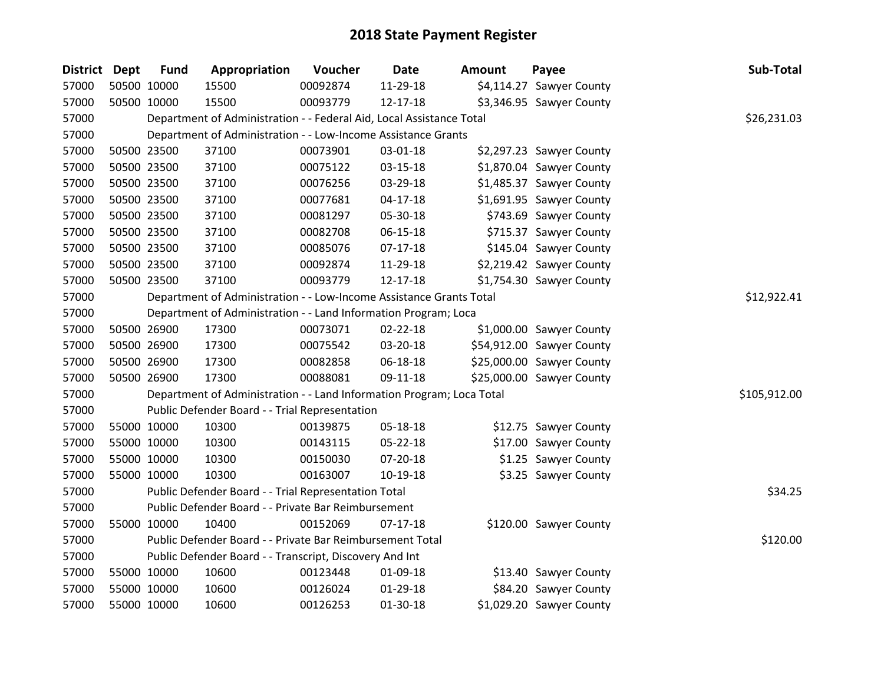| District Dept | <b>Fund</b> | Appropriation                                                         | Voucher  | Date           | <b>Amount</b> | Payee                     | Sub-Total    |
|---------------|-------------|-----------------------------------------------------------------------|----------|----------------|---------------|---------------------------|--------------|
| 57000         | 50500 10000 | 15500                                                                 | 00092874 | 11-29-18       |               | \$4,114.27 Sawyer County  |              |
| 57000         | 50500 10000 | 15500                                                                 | 00093779 | 12-17-18       |               | \$3,346.95 Sawyer County  |              |
| 57000         |             | Department of Administration - - Federal Aid, Local Assistance Total  |          |                |               |                           | \$26,231.03  |
| 57000         |             | Department of Administration - - Low-Income Assistance Grants         |          |                |               |                           |              |
| 57000         | 50500 23500 | 37100                                                                 | 00073901 | 03-01-18       |               | \$2,297.23 Sawyer County  |              |
| 57000         | 50500 23500 | 37100                                                                 | 00075122 | 03-15-18       |               | \$1,870.04 Sawyer County  |              |
| 57000         | 50500 23500 | 37100                                                                 | 00076256 | 03-29-18       |               | \$1,485.37 Sawyer County  |              |
| 57000         | 50500 23500 | 37100                                                                 | 00077681 | $04 - 17 - 18$ |               | \$1,691.95 Sawyer County  |              |
| 57000         | 50500 23500 | 37100                                                                 | 00081297 | 05-30-18       |               | \$743.69 Sawyer County    |              |
| 57000         | 50500 23500 | 37100                                                                 | 00082708 | 06-15-18       |               | \$715.37 Sawyer County    |              |
| 57000         | 50500 23500 | 37100                                                                 | 00085076 | $07-17-18$     |               | \$145.04 Sawyer County    |              |
| 57000         | 50500 23500 | 37100                                                                 | 00092874 | 11-29-18       |               | \$2,219.42 Sawyer County  |              |
| 57000         | 50500 23500 | 37100                                                                 | 00093779 | 12-17-18       |               | \$1,754.30 Sawyer County  |              |
| 57000         |             | Department of Administration - - Low-Income Assistance Grants Total   |          |                |               |                           | \$12,922.41  |
| 57000         |             | Department of Administration - - Land Information Program; Loca       |          |                |               |                           |              |
| 57000         | 50500 26900 | 17300                                                                 | 00073071 | $02 - 22 - 18$ |               | \$1,000.00 Sawyer County  |              |
| 57000         | 50500 26900 | 17300                                                                 | 00075542 | 03-20-18       |               | \$54,912.00 Sawyer County |              |
| 57000         | 50500 26900 | 17300                                                                 | 00082858 | 06-18-18       |               | \$25,000.00 Sawyer County |              |
| 57000         | 50500 26900 | 17300                                                                 | 00088081 | 09-11-18       |               | \$25,000.00 Sawyer County |              |
| 57000         |             | Department of Administration - - Land Information Program; Loca Total |          |                |               |                           | \$105,912.00 |
| 57000         |             | Public Defender Board - - Trial Representation                        |          |                |               |                           |              |
| 57000         | 55000 10000 | 10300                                                                 | 00139875 | 05-18-18       |               | \$12.75 Sawyer County     |              |
| 57000         | 55000 10000 | 10300                                                                 | 00143115 | 05-22-18       |               | \$17.00 Sawyer County     |              |
| 57000         | 55000 10000 | 10300                                                                 | 00150030 | 07-20-18       |               | \$1.25 Sawyer County      |              |
| 57000         | 55000 10000 | 10300                                                                 | 00163007 | 10-19-18       |               | \$3.25 Sawyer County      |              |
| 57000         |             | Public Defender Board - - Trial Representation Total                  |          |                |               |                           | \$34.25      |
| 57000         |             | Public Defender Board - - Private Bar Reimbursement                   |          |                |               |                           |              |
| 57000         | 55000 10000 | 10400                                                                 | 00152069 | $07-17-18$     |               | \$120.00 Sawyer County    |              |
| 57000         |             | Public Defender Board - - Private Bar Reimbursement Total             |          |                |               |                           | \$120.00     |
| 57000         |             | Public Defender Board - - Transcript, Discovery And Int               |          |                |               |                           |              |
| 57000         | 55000 10000 | 10600                                                                 | 00123448 | 01-09-18       |               | \$13.40 Sawyer County     |              |
| 57000         | 55000 10000 | 10600                                                                 | 00126024 | 01-29-18       |               | \$84.20 Sawyer County     |              |
| 57000         | 55000 10000 | 10600                                                                 | 00126253 | 01-30-18       |               | \$1,029.20 Sawyer County  |              |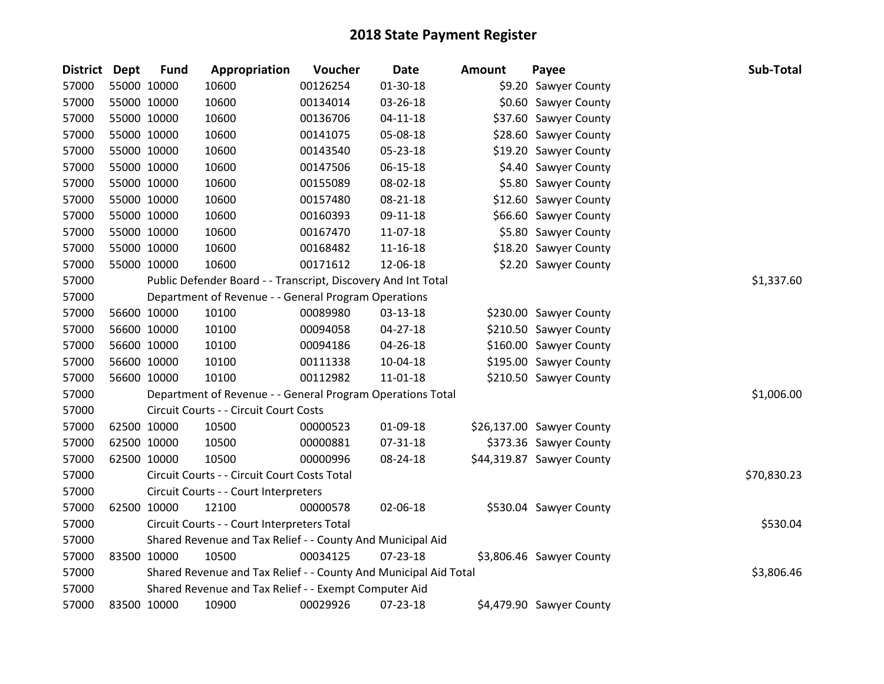| <b>District</b> | <b>Dept</b> | <b>Fund</b> | Appropriation                                                    | Voucher  | <b>Date</b>    | <b>Amount</b> | Payee                     | Sub-Total   |
|-----------------|-------------|-------------|------------------------------------------------------------------|----------|----------------|---------------|---------------------------|-------------|
| 57000           |             | 55000 10000 | 10600                                                            | 00126254 | 01-30-18       |               | \$9.20 Sawyer County      |             |
| 57000           |             | 55000 10000 | 10600                                                            | 00134014 | 03-26-18       |               | \$0.60 Sawyer County      |             |
| 57000           |             | 55000 10000 | 10600                                                            | 00136706 | $04 - 11 - 18$ |               | \$37.60 Sawyer County     |             |
| 57000           |             | 55000 10000 | 10600                                                            | 00141075 | 05-08-18       |               | \$28.60 Sawyer County     |             |
| 57000           |             | 55000 10000 | 10600                                                            | 00143540 | 05-23-18       |               | \$19.20 Sawyer County     |             |
| 57000           |             | 55000 10000 | 10600                                                            | 00147506 | $06 - 15 - 18$ |               | \$4.40 Sawyer County      |             |
| 57000           |             | 55000 10000 | 10600                                                            | 00155089 | 08-02-18       |               | \$5.80 Sawyer County      |             |
| 57000           |             | 55000 10000 | 10600                                                            | 00157480 | 08-21-18       |               | \$12.60 Sawyer County     |             |
| 57000           |             | 55000 10000 | 10600                                                            | 00160393 | 09-11-18       |               | \$66.60 Sawyer County     |             |
| 57000           |             | 55000 10000 | 10600                                                            | 00167470 | 11-07-18       |               | \$5.80 Sawyer County      |             |
| 57000           |             | 55000 10000 | 10600                                                            | 00168482 | 11-16-18       |               | \$18.20 Sawyer County     |             |
| 57000           |             | 55000 10000 | 10600                                                            | 00171612 | 12-06-18       |               | \$2.20 Sawyer County      |             |
| 57000           |             |             | Public Defender Board - - Transcript, Discovery And Int Total    |          |                |               |                           | \$1,337.60  |
| 57000           |             |             | Department of Revenue - - General Program Operations             |          |                |               |                           |             |
| 57000           |             | 56600 10000 | 10100                                                            | 00089980 | 03-13-18       |               | \$230.00 Sawyer County    |             |
| 57000           |             | 56600 10000 | 10100                                                            | 00094058 | $04 - 27 - 18$ |               | \$210.50 Sawyer County    |             |
| 57000           |             | 56600 10000 | 10100                                                            | 00094186 | 04-26-18       |               | \$160.00 Sawyer County    |             |
| 57000           |             | 56600 10000 | 10100                                                            | 00111338 | 10-04-18       |               | \$195.00 Sawyer County    |             |
| 57000           |             | 56600 10000 | 10100                                                            | 00112982 | 11-01-18       |               | \$210.50 Sawyer County    |             |
| 57000           |             |             | Department of Revenue - - General Program Operations Total       |          |                |               |                           | \$1,006.00  |
| 57000           |             |             | Circuit Courts - - Circuit Court Costs                           |          |                |               |                           |             |
| 57000           |             | 62500 10000 | 10500                                                            | 00000523 | 01-09-18       |               | \$26,137.00 Sawyer County |             |
| 57000           |             | 62500 10000 | 10500                                                            | 00000881 | 07-31-18       |               | \$373.36 Sawyer County    |             |
| 57000           |             | 62500 10000 | 10500                                                            | 00000996 | 08-24-18       |               | \$44,319.87 Sawyer County |             |
| 57000           |             |             | Circuit Courts - - Circuit Court Costs Total                     |          |                |               |                           | \$70,830.23 |
| 57000           |             |             | Circuit Courts - - Court Interpreters                            |          |                |               |                           |             |
| 57000           |             | 62500 10000 | 12100                                                            | 00000578 | 02-06-18       |               | \$530.04 Sawyer County    |             |
| 57000           |             |             | Circuit Courts - - Court Interpreters Total                      |          |                |               |                           | \$530.04    |
| 57000           |             |             | Shared Revenue and Tax Relief - - County And Municipal Aid       |          |                |               |                           |             |
| 57000           |             | 83500 10000 | 10500                                                            | 00034125 | $07 - 23 - 18$ |               | \$3,806.46 Sawyer County  |             |
| 57000           |             |             | Shared Revenue and Tax Relief - - County And Municipal Aid Total |          |                |               |                           | \$3,806.46  |
| 57000           |             |             | Shared Revenue and Tax Relief - - Exempt Computer Aid            |          |                |               |                           |             |
| 57000           |             | 83500 10000 | 10900                                                            | 00029926 | 07-23-18       |               | \$4,479.90 Sawyer County  |             |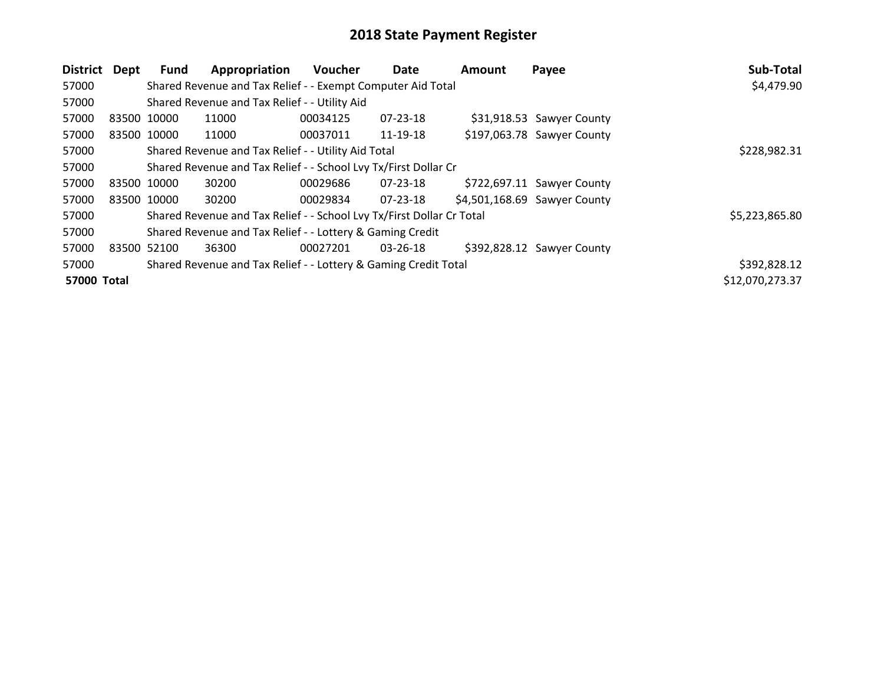| District    | Dept        | Fund                                                            | Appropriation                                                         | Voucher  | Date     | Amount | Payee                        | Sub-Total       |
|-------------|-------------|-----------------------------------------------------------------|-----------------------------------------------------------------------|----------|----------|--------|------------------------------|-----------------|
| 57000       |             |                                                                 | Shared Revenue and Tax Relief - - Exempt Computer Aid Total           |          |          |        |                              | \$4,479.90      |
| 57000       |             |                                                                 | Shared Revenue and Tax Relief - - Utility Aid                         |          |          |        |                              |                 |
| 57000       | 83500 10000 |                                                                 | 11000                                                                 | 00034125 | 07-23-18 |        | \$31,918.53 Sawyer County    |                 |
| 57000       | 83500 10000 |                                                                 | 11000                                                                 | 00037011 | 11-19-18 |        | \$197,063.78 Sawyer County   |                 |
| 57000       |             |                                                                 | Shared Revenue and Tax Relief - - Utility Aid Total                   |          |          |        |                              | \$228,982.31    |
| 57000       |             | Shared Revenue and Tax Relief - - School Lvy Tx/First Dollar Cr |                                                                       |          |          |        |                              |                 |
| 57000       | 83500 10000 |                                                                 | 30200                                                                 | 00029686 | 07-23-18 |        | \$722,697.11 Sawyer County   |                 |
| 57000       | 83500 10000 |                                                                 | 30200                                                                 | 00029834 | 07-23-18 |        | \$4,501,168.69 Sawyer County |                 |
| 57000       |             |                                                                 | Shared Revenue and Tax Relief - - School Lvy Tx/First Dollar Cr Total |          |          |        |                              | \$5,223,865.80  |
| 57000       |             |                                                                 | Shared Revenue and Tax Relief - - Lottery & Gaming Credit             |          |          |        |                              |                 |
| 57000       | 83500 52100 |                                                                 | 36300                                                                 | 00027201 | 03-26-18 |        | \$392,828.12 Sawyer County   |                 |
| 57000       |             |                                                                 | Shared Revenue and Tax Relief - - Lottery & Gaming Credit Total       |          |          |        |                              | \$392,828.12    |
| 57000 Total |             |                                                                 |                                                                       |          |          |        |                              | \$12,070,273.37 |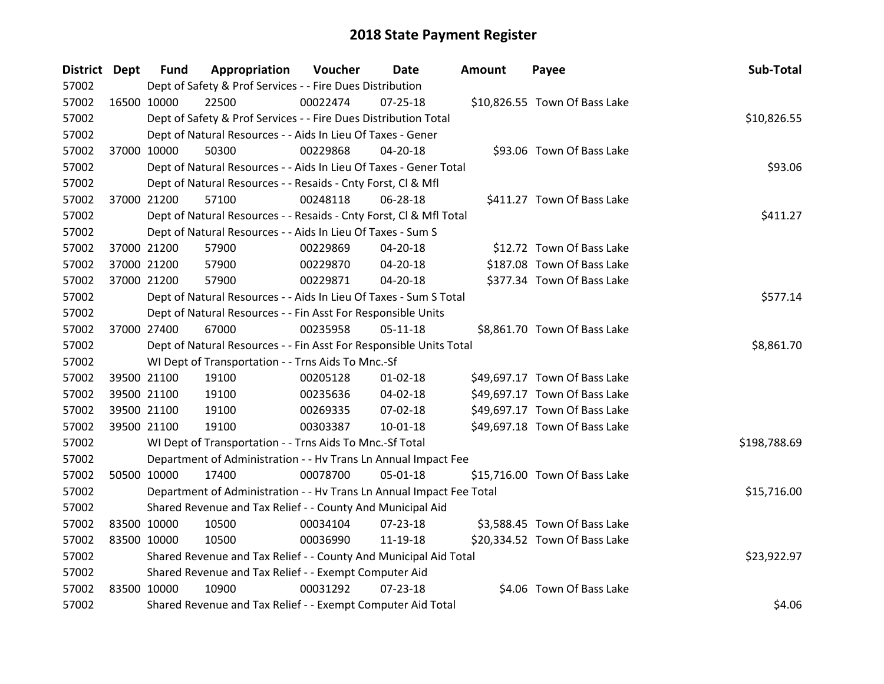| <b>District Dept</b> |             | <b>Fund</b> | Appropriation                                                        | Voucher  | Date           | <b>Amount</b> | Payee                         | Sub-Total    |
|----------------------|-------------|-------------|----------------------------------------------------------------------|----------|----------------|---------------|-------------------------------|--------------|
| 57002                |             |             | Dept of Safety & Prof Services - - Fire Dues Distribution            |          |                |               |                               |              |
| 57002                | 16500 10000 |             | 22500                                                                | 00022474 | 07-25-18       |               | \$10,826.55 Town Of Bass Lake |              |
| 57002                |             |             | Dept of Safety & Prof Services - - Fire Dues Distribution Total      |          |                |               |                               | \$10,826.55  |
| 57002                |             |             | Dept of Natural Resources - - Aids In Lieu Of Taxes - Gener          |          |                |               |                               |              |
| 57002                |             | 37000 10000 | 50300                                                                | 00229868 | 04-20-18       |               | \$93.06 Town Of Bass Lake     |              |
| 57002                |             |             | Dept of Natural Resources - - Aids In Lieu Of Taxes - Gener Total    |          |                |               |                               | \$93.06      |
| 57002                |             |             | Dept of Natural Resources - - Resaids - Cnty Forst, Cl & Mfl         |          |                |               |                               |              |
| 57002                |             | 37000 21200 | 57100                                                                | 00248118 | 06-28-18       |               | \$411.27 Town Of Bass Lake    |              |
| 57002                |             |             | Dept of Natural Resources - - Resaids - Cnty Forst, Cl & Mfl Total   |          |                |               |                               | \$411.27     |
| 57002                |             |             | Dept of Natural Resources - - Aids In Lieu Of Taxes - Sum S          |          |                |               |                               |              |
| 57002                |             | 37000 21200 | 57900                                                                | 00229869 | 04-20-18       |               | \$12.72 Town Of Bass Lake     |              |
| 57002                |             | 37000 21200 | 57900                                                                | 00229870 | 04-20-18       |               | \$187.08 Town Of Bass Lake    |              |
| 57002                |             | 37000 21200 | 57900                                                                | 00229871 | 04-20-18       |               | \$377.34 Town Of Bass Lake    |              |
| 57002                |             |             | Dept of Natural Resources - - Aids In Lieu Of Taxes - Sum S Total    |          |                |               |                               | \$577.14     |
| 57002                |             |             | Dept of Natural Resources - - Fin Asst For Responsible Units         |          |                |               |                               |              |
| 57002                |             | 37000 27400 | 67000                                                                | 00235958 | $05-11-18$     |               | \$8,861.70 Town Of Bass Lake  |              |
| 57002                |             |             | Dept of Natural Resources - - Fin Asst For Responsible Units Total   |          |                |               |                               | \$8,861.70   |
| 57002                |             |             | WI Dept of Transportation - - Trns Aids To Mnc.-Sf                   |          |                |               |                               |              |
| 57002                |             | 39500 21100 | 19100                                                                | 00205128 | $01 - 02 - 18$ |               | \$49,697.17 Town Of Bass Lake |              |
| 57002                |             | 39500 21100 | 19100                                                                | 00235636 | 04-02-18       |               | \$49,697.17 Town Of Bass Lake |              |
| 57002                |             | 39500 21100 | 19100                                                                | 00269335 | 07-02-18       |               | \$49,697.17 Town Of Bass Lake |              |
| 57002                |             | 39500 21100 | 19100                                                                | 00303387 | $10 - 01 - 18$ |               | \$49,697.18 Town Of Bass Lake |              |
| 57002                |             |             | WI Dept of Transportation - - Trns Aids To Mnc.-Sf Total             |          |                |               |                               | \$198,788.69 |
| 57002                |             |             | Department of Administration - - Hv Trans Ln Annual Impact Fee       |          |                |               |                               |              |
| 57002                |             | 50500 10000 | 17400                                                                | 00078700 | 05-01-18       |               | \$15,716.00 Town Of Bass Lake |              |
| 57002                |             |             | Department of Administration - - Hv Trans Ln Annual Impact Fee Total |          |                |               |                               | \$15,716.00  |
| 57002                |             |             | Shared Revenue and Tax Relief - - County And Municipal Aid           |          |                |               |                               |              |
| 57002                |             | 83500 10000 | 10500                                                                | 00034104 | $07 - 23 - 18$ |               | \$3,588.45 Town Of Bass Lake  |              |
| 57002                | 83500 10000 |             | 10500                                                                | 00036990 | 11-19-18       |               | \$20,334.52 Town Of Bass Lake |              |
| 57002                |             |             | Shared Revenue and Tax Relief - - County And Municipal Aid Total     |          |                |               |                               | \$23,922.97  |
| 57002                |             |             | Shared Revenue and Tax Relief - - Exempt Computer Aid                |          |                |               |                               |              |
| 57002                | 83500 10000 |             | 10900                                                                | 00031292 | $07 - 23 - 18$ |               | \$4.06 Town Of Bass Lake      |              |
| 57002                |             |             | Shared Revenue and Tax Relief - - Exempt Computer Aid Total          |          |                |               |                               | \$4.06       |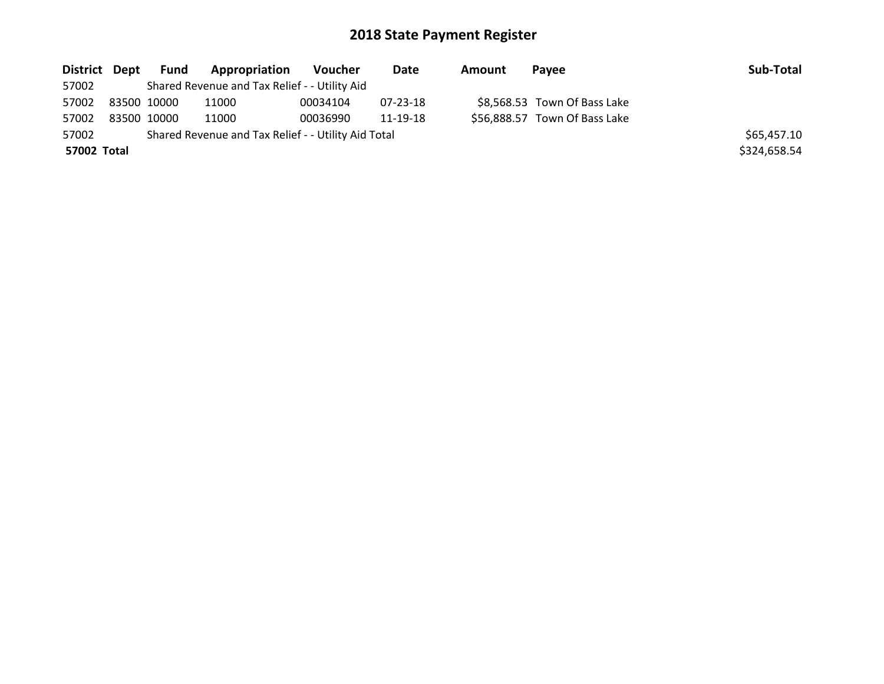| District Dept | Fund        | <b>Appropriation</b>                                | Voucher  | Date     | Amount | Pavee                         | Sub-Total    |
|---------------|-------------|-----------------------------------------------------|----------|----------|--------|-------------------------------|--------------|
| 57002         |             | Shared Revenue and Tax Relief - - Utility Aid       |          |          |        |                               |              |
| 57002         | 83500 10000 | 11000                                               | 00034104 | 07-23-18 |        | \$8,568.53 Town Of Bass Lake  |              |
| 57002         | 83500 10000 | 11000                                               | 00036990 | 11-19-18 |        | \$56,888.57 Town Of Bass Lake |              |
| 57002         |             | Shared Revenue and Tax Relief - - Utility Aid Total |          |          |        |                               | \$65,457.10  |
| 57002 Total   |             |                                                     |          |          |        |                               | \$324,658.54 |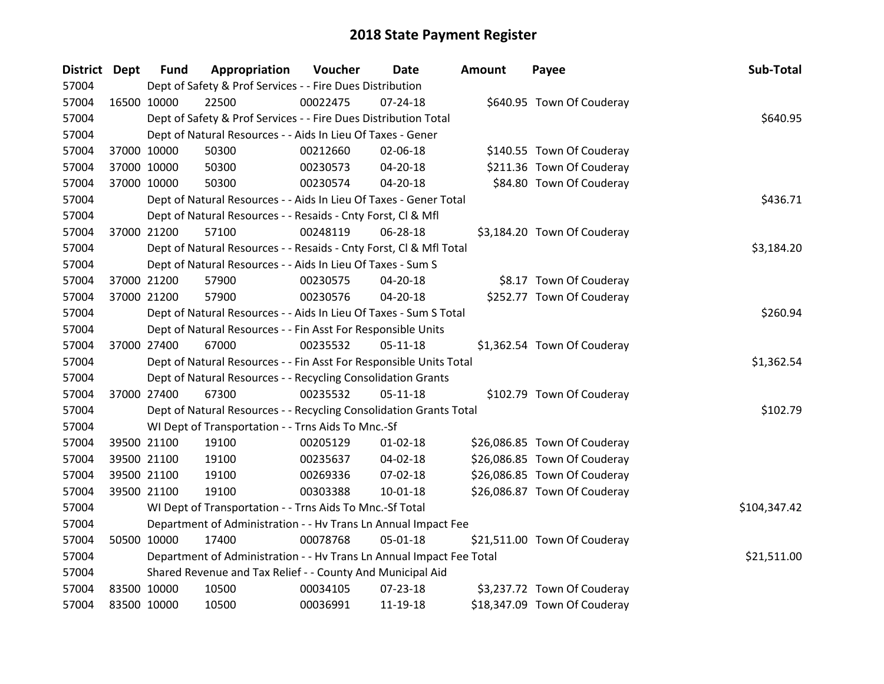| District Dept |             | <b>Fund</b> | Appropriation                                                        | Voucher  | Date           | <b>Amount</b> | Payee                        | Sub-Total    |
|---------------|-------------|-------------|----------------------------------------------------------------------|----------|----------------|---------------|------------------------------|--------------|
| 57004         |             |             | Dept of Safety & Prof Services - - Fire Dues Distribution            |          |                |               |                              |              |
| 57004         | 16500 10000 |             | 22500                                                                | 00022475 | $07 - 24 - 18$ |               | \$640.95 Town Of Couderay    |              |
| 57004         |             |             | Dept of Safety & Prof Services - - Fire Dues Distribution Total      |          |                |               |                              | \$640.95     |
| 57004         |             |             | Dept of Natural Resources - - Aids In Lieu Of Taxes - Gener          |          |                |               |                              |              |
| 57004         |             | 37000 10000 | 50300                                                                | 00212660 | 02-06-18       |               | \$140.55 Town Of Couderay    |              |
| 57004         |             | 37000 10000 | 50300                                                                | 00230573 | 04-20-18       |               | \$211.36 Town Of Couderay    |              |
| 57004         |             | 37000 10000 | 50300                                                                | 00230574 | $04 - 20 - 18$ |               | \$84.80 Town Of Couderay     |              |
| 57004         |             |             | Dept of Natural Resources - - Aids In Lieu Of Taxes - Gener Total    |          |                |               |                              | \$436.71     |
| 57004         |             |             | Dept of Natural Resources - - Resaids - Cnty Forst, Cl & Mfl         |          |                |               |                              |              |
| 57004         | 37000 21200 |             | 57100                                                                | 00248119 | $06 - 28 - 18$ |               | \$3,184.20 Town Of Couderay  |              |
| 57004         |             |             | Dept of Natural Resources - - Resaids - Cnty Forst, CI & Mfl Total   |          |                |               |                              | \$3,184.20   |
| 57004         |             |             | Dept of Natural Resources - - Aids In Lieu Of Taxes - Sum S          |          |                |               |                              |              |
| 57004         | 37000 21200 |             | 57900                                                                | 00230575 | 04-20-18       |               | \$8.17 Town Of Couderay      |              |
| 57004         |             | 37000 21200 | 57900                                                                | 00230576 | 04-20-18       |               | \$252.77 Town Of Couderay    |              |
| 57004         |             |             | Dept of Natural Resources - - Aids In Lieu Of Taxes - Sum S Total    | \$260.94 |                |               |                              |              |
| 57004         |             |             | Dept of Natural Resources - - Fin Asst For Responsible Units         |          |                |               |                              |              |
| 57004         |             | 37000 27400 | 67000                                                                | 00235532 | $05 - 11 - 18$ |               | \$1,362.54 Town Of Couderay  |              |
| 57004         |             |             | Dept of Natural Resources - - Fin Asst For Responsible Units Total   |          |                |               |                              | \$1,362.54   |
| 57004         |             |             | Dept of Natural Resources - - Recycling Consolidation Grants         |          |                |               |                              |              |
| 57004         |             | 37000 27400 | 67300                                                                | 00235532 | $05-11-18$     |               | \$102.79 Town Of Couderay    |              |
| 57004         |             |             | Dept of Natural Resources - - Recycling Consolidation Grants Total   |          |                |               |                              | \$102.79     |
| 57004         |             |             | WI Dept of Transportation - - Trns Aids To Mnc.-Sf                   |          |                |               |                              |              |
| 57004         |             | 39500 21100 | 19100                                                                | 00205129 | $01 - 02 - 18$ |               | \$26,086.85 Town Of Couderay |              |
| 57004         | 39500 21100 |             | 19100                                                                | 00235637 | 04-02-18       |               | \$26,086.85 Town Of Couderay |              |
| 57004         |             | 39500 21100 | 19100                                                                | 00269336 | 07-02-18       |               | \$26,086.85 Town Of Couderay |              |
| 57004         |             | 39500 21100 | 19100                                                                | 00303388 | 10-01-18       |               | \$26,086.87 Town Of Couderay |              |
| 57004         |             |             | WI Dept of Transportation - - Trns Aids To Mnc.-Sf Total             |          |                |               |                              | \$104,347.42 |
| 57004         |             |             | Department of Administration - - Hv Trans Ln Annual Impact Fee       |          |                |               |                              |              |
| 57004         | 50500 10000 |             | 17400                                                                | 00078768 | 05-01-18       |               | \$21,511.00 Town Of Couderay |              |
| 57004         |             |             | Department of Administration - - Hv Trans Ln Annual Impact Fee Total |          |                |               |                              | \$21,511.00  |
| 57004         |             |             | Shared Revenue and Tax Relief - - County And Municipal Aid           |          |                |               |                              |              |
| 57004         | 83500 10000 |             | 10500                                                                | 00034105 | 07-23-18       |               | \$3,237.72 Town Of Couderay  |              |
| 57004         | 83500 10000 |             | 10500                                                                | 00036991 | 11-19-18       |               | \$18,347.09 Town Of Couderay |              |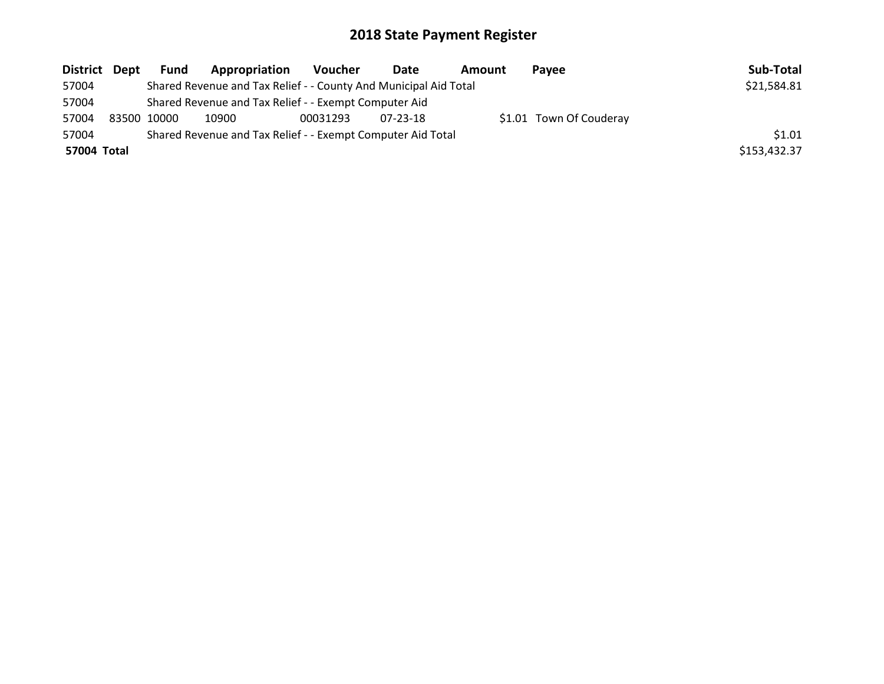| District Dept | Fund        | Appropriation                                                    | <b>Voucher</b> | Date           | <b>Amount</b> | <b>Pavee</b>            | Sub-Total    |
|---------------|-------------|------------------------------------------------------------------|----------------|----------------|---------------|-------------------------|--------------|
| 57004         |             | Shared Revenue and Tax Relief - - County And Municipal Aid Total |                |                |               |                         | \$21,584.81  |
| 57004         |             | Shared Revenue and Tax Relief - - Exempt Computer Aid            |                |                |               |                         |              |
| 57004         | 83500 10000 | 10900                                                            | 00031293       | $07 - 23 - 18$ |               | \$1.01 Town Of Couderay |              |
| 57004         |             | Shared Revenue and Tax Relief - - Exempt Computer Aid Total      |                |                |               |                         | \$1.01       |
| 57004 Total   |             |                                                                  |                |                |               |                         | \$153,432.37 |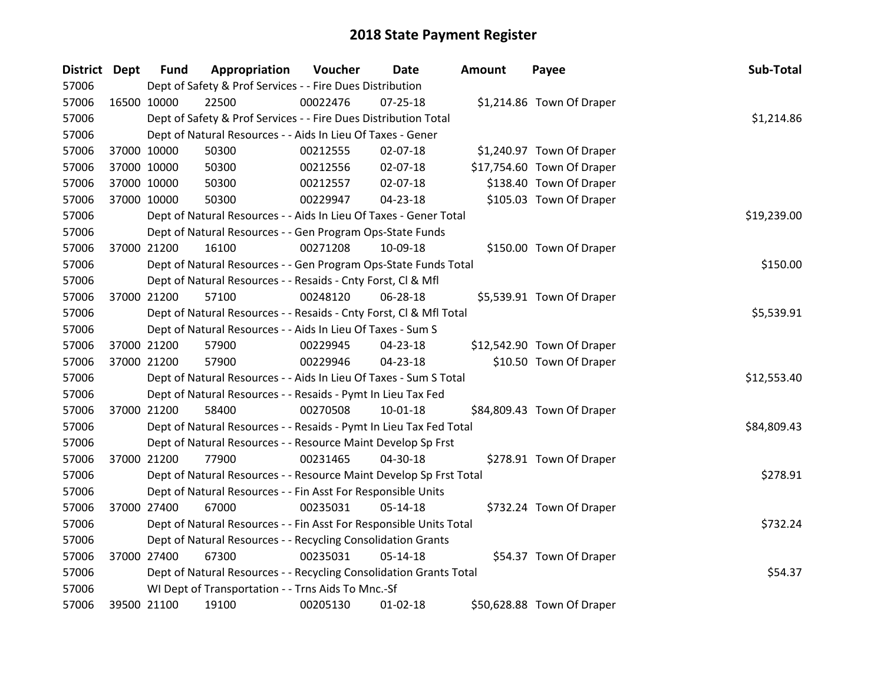| District Dept |             | <b>Fund</b> | Appropriation                                                      | Voucher    | Date           | <b>Amount</b> | Payee                      | Sub-Total   |
|---------------|-------------|-------------|--------------------------------------------------------------------|------------|----------------|---------------|----------------------------|-------------|
| 57006         |             |             | Dept of Safety & Prof Services - - Fire Dues Distribution          |            |                |               |                            |             |
| 57006         | 16500 10000 |             | 22500                                                              | 00022476   | $07 - 25 - 18$ |               | \$1,214.86 Town Of Draper  |             |
| 57006         |             |             | Dept of Safety & Prof Services - - Fire Dues Distribution Total    |            |                |               |                            | \$1,214.86  |
| 57006         |             |             | Dept of Natural Resources - - Aids In Lieu Of Taxes - Gener        |            |                |               |                            |             |
| 57006         | 37000 10000 |             | 50300                                                              | 00212555   | 02-07-18       |               | \$1,240.97 Town Of Draper  |             |
| 57006         |             | 37000 10000 | 50300                                                              | 00212556   | 02-07-18       |               | \$17,754.60 Town Of Draper |             |
| 57006         |             | 37000 10000 | 50300                                                              | 00212557   | $02 - 07 - 18$ |               | \$138.40 Town Of Draper    |             |
| 57006         |             | 37000 10000 | 50300                                                              | 00229947   | 04-23-18       |               | \$105.03 Town Of Draper    |             |
| 57006         |             |             | Dept of Natural Resources - - Aids In Lieu Of Taxes - Gener Total  |            |                |               |                            | \$19,239.00 |
| 57006         |             |             | Dept of Natural Resources - - Gen Program Ops-State Funds          |            |                |               |                            |             |
| 57006         |             | 37000 21200 | 16100                                                              | 00271208   | 10-09-18       |               | \$150.00 Town Of Draper    |             |
| 57006         |             |             | Dept of Natural Resources - - Gen Program Ops-State Funds Total    |            |                |               |                            | \$150.00    |
| 57006         |             |             | Dept of Natural Resources - - Resaids - Cnty Forst, CI & Mfl       |            |                |               |                            |             |
| 57006         | 37000 21200 |             | 57100                                                              | 00248120   | 06-28-18       |               | \$5,539.91 Town Of Draper  |             |
| 57006         |             |             | Dept of Natural Resources - - Resaids - Cnty Forst, CI & Mfl Total | \$5,539.91 |                |               |                            |             |
| 57006         |             |             | Dept of Natural Resources - - Aids In Lieu Of Taxes - Sum S        |            |                |               |                            |             |
| 57006         |             | 37000 21200 | 57900                                                              | 00229945   | 04-23-18       |               | \$12,542.90 Town Of Draper |             |
| 57006         |             | 37000 21200 | 57900                                                              | 00229946   | 04-23-18       |               | \$10.50 Town Of Draper     |             |
| 57006         |             |             | Dept of Natural Resources - - Aids In Lieu Of Taxes - Sum S Total  |            |                |               |                            | \$12,553.40 |
| 57006         |             |             | Dept of Natural Resources - - Resaids - Pymt In Lieu Tax Fed       |            |                |               |                            |             |
| 57006         |             | 37000 21200 | 58400                                                              | 00270508   | 10-01-18       |               | \$84,809.43 Town Of Draper |             |
| 57006         |             |             | Dept of Natural Resources - - Resaids - Pymt In Lieu Tax Fed Total |            |                |               |                            | \$84,809.43 |
| 57006         |             |             | Dept of Natural Resources - - Resource Maint Develop Sp Frst       |            |                |               |                            |             |
| 57006         | 37000 21200 |             | 77900                                                              | 00231465   | 04-30-18       |               | \$278.91 Town Of Draper    |             |
| 57006         |             |             | Dept of Natural Resources - - Resource Maint Develop Sp Frst Total |            |                |               |                            | \$278.91    |
| 57006         |             |             | Dept of Natural Resources - - Fin Asst For Responsible Units       |            |                |               |                            |             |
| 57006         | 37000 27400 |             | 67000                                                              | 00235031   | 05-14-18       |               | \$732.24 Town Of Draper    |             |
| 57006         |             |             | Dept of Natural Resources - - Fin Asst For Responsible Units Total |            |                |               |                            | \$732.24    |
| 57006         |             |             | Dept of Natural Resources - - Recycling Consolidation Grants       |            |                |               |                            |             |
| 57006         | 37000 27400 |             | 67300                                                              | 00235031   | 05-14-18       |               | \$54.37 Town Of Draper     |             |
| 57006         |             |             | Dept of Natural Resources - - Recycling Consolidation Grants Total |            |                |               |                            | \$54.37     |
| 57006         |             |             | WI Dept of Transportation - - Trns Aids To Mnc.-Sf                 |            |                |               |                            |             |
| 57006         | 39500 21100 |             | 19100                                                              | 00205130   | $01 - 02 - 18$ |               | \$50,628.88 Town Of Draper |             |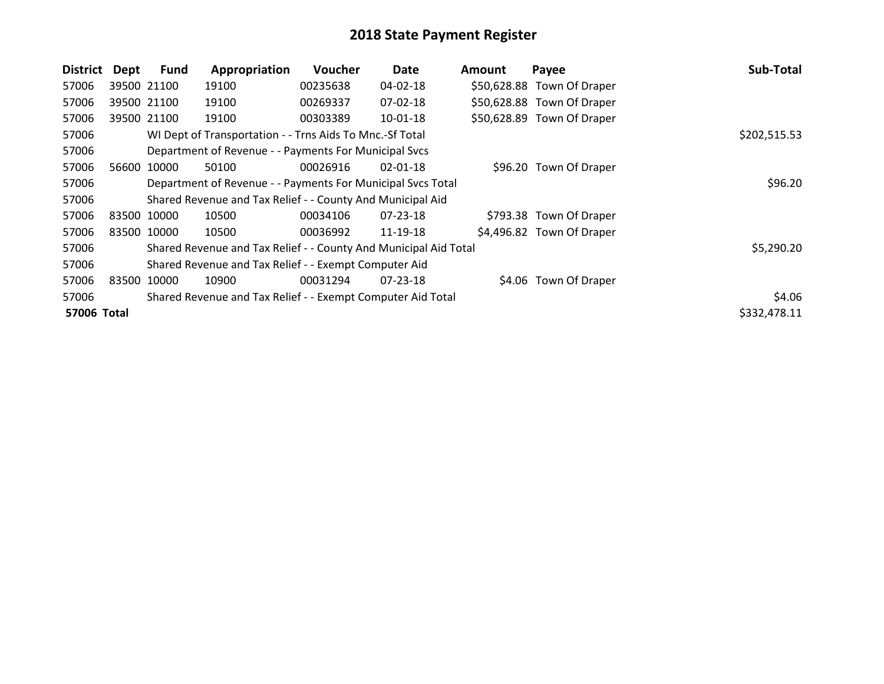| <b>District</b> | Dept        | <b>Fund</b> | Appropriation                                                    | <b>Voucher</b> | Date           | Amount | Payee                      | Sub-Total    |
|-----------------|-------------|-------------|------------------------------------------------------------------|----------------|----------------|--------|----------------------------|--------------|
| 57006           | 39500 21100 |             | 19100                                                            | 00235638       | 04-02-18       |        | \$50,628.88 Town Of Draper |              |
| 57006           | 39500 21100 |             | 19100                                                            | 00269337       | 07-02-18       |        | \$50,628.88 Town Of Draper |              |
| 57006           | 39500 21100 |             | 19100                                                            | 00303389       | $10 - 01 - 18$ |        | \$50,628.89 Town Of Draper |              |
| 57006           |             |             | WI Dept of Transportation - - Trns Aids To Mnc.-Sf Total         |                |                |        |                            | \$202,515.53 |
| 57006           |             |             | Department of Revenue - - Payments For Municipal Svcs            |                |                |        |                            |              |
| 57006           | 56600       | 10000       | 50100                                                            | 00026916       | $02 - 01 - 18$ |        | \$96.20 Town Of Draper     |              |
| 57006           |             |             | Department of Revenue - - Payments For Municipal Svcs Total      |                | \$96.20        |        |                            |              |
| 57006           |             |             | Shared Revenue and Tax Relief - - County And Municipal Aid       |                |                |        |                            |              |
| 57006           | 83500       | 10000       | 10500                                                            | 00034106       | $07 - 23 - 18$ |        | \$793.38 Town Of Draper    |              |
| 57006           | 83500 10000 |             | 10500                                                            | 00036992       | 11-19-18       |        | \$4,496.82 Town Of Draper  |              |
| 57006           |             |             | Shared Revenue and Tax Relief - - County And Municipal Aid Total |                |                |        |                            | \$5,290.20   |
| 57006           |             |             | Shared Revenue and Tax Relief - - Exempt Computer Aid            |                |                |        |                            |              |
| 57006           | 83500       | 10000       | 10900                                                            | 00031294       | $07 - 23 - 18$ |        | \$4.06 Town Of Draper      |              |
| 57006           |             |             | Shared Revenue and Tax Relief - - Exempt Computer Aid Total      |                |                |        |                            | \$4.06       |
| 57006 Total     |             |             |                                                                  |                |                |        |                            | \$332,478.11 |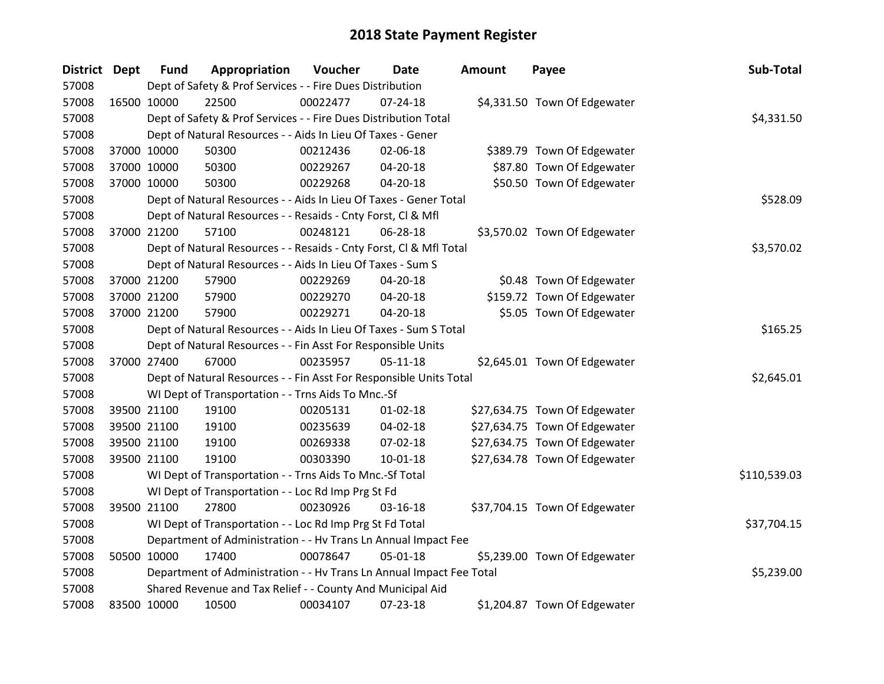| District Dept |             | <b>Fund</b> | Appropriation                                                        | Voucher  | <b>Date</b>    | <b>Amount</b> | Payee                         | Sub-Total    |
|---------------|-------------|-------------|----------------------------------------------------------------------|----------|----------------|---------------|-------------------------------|--------------|
| 57008         |             |             | Dept of Safety & Prof Services - - Fire Dues Distribution            |          |                |               |                               |              |
| 57008         |             | 16500 10000 | 22500                                                                | 00022477 | $07 - 24 - 18$ |               | \$4,331.50 Town Of Edgewater  |              |
| 57008         |             |             | Dept of Safety & Prof Services - - Fire Dues Distribution Total      |          |                |               |                               | \$4,331.50   |
| 57008         |             |             | Dept of Natural Resources - - Aids In Lieu Of Taxes - Gener          |          |                |               |                               |              |
| 57008         |             | 37000 10000 | 50300                                                                | 00212436 | 02-06-18       |               | \$389.79 Town Of Edgewater    |              |
| 57008         |             | 37000 10000 | 50300                                                                | 00229267 | $04 - 20 - 18$ |               | \$87.80 Town Of Edgewater     |              |
| 57008         |             | 37000 10000 | 50300                                                                | 00229268 | 04-20-18       |               | \$50.50 Town Of Edgewater     |              |
| 57008         |             |             | Dept of Natural Resources - - Aids In Lieu Of Taxes - Gener Total    |          |                |               |                               | \$528.09     |
| 57008         |             |             | Dept of Natural Resources - - Resaids - Cnty Forst, Cl & Mfl         |          |                |               |                               |              |
| 57008         |             | 37000 21200 | 57100                                                                | 00248121 | 06-28-18       |               | \$3,570.02 Town Of Edgewater  |              |
| 57008         |             |             | Dept of Natural Resources - - Resaids - Cnty Forst, Cl & Mfl Total   |          |                |               |                               | \$3,570.02   |
| 57008         |             |             | Dept of Natural Resources - - Aids In Lieu Of Taxes - Sum S          |          |                |               |                               |              |
| 57008         |             | 37000 21200 | 57900                                                                | 00229269 | $04 - 20 - 18$ |               | \$0.48 Town Of Edgewater      |              |
| 57008         |             | 37000 21200 | 57900                                                                | 00229270 | 04-20-18       |               | \$159.72 Town Of Edgewater    |              |
| 57008         |             | 37000 21200 | 57900                                                                | 00229271 | $04 - 20 - 18$ |               | \$5.05 Town Of Edgewater      |              |
| 57008         |             |             | Dept of Natural Resources - - Aids In Lieu Of Taxes - Sum S Total    |          | \$165.25       |               |                               |              |
| 57008         |             |             | Dept of Natural Resources - - Fin Asst For Responsible Units         |          |                |               |                               |              |
| 57008         |             | 37000 27400 | 67000                                                                | 00235957 | $05 - 11 - 18$ |               | \$2,645.01 Town Of Edgewater  |              |
| 57008         |             |             | Dept of Natural Resources - - Fin Asst For Responsible Units Total   |          |                |               |                               | \$2,645.01   |
| 57008         |             |             | WI Dept of Transportation - - Trns Aids To Mnc.-Sf                   |          |                |               |                               |              |
| 57008         |             | 39500 21100 | 19100                                                                | 00205131 | $01 - 02 - 18$ |               | \$27,634.75 Town Of Edgewater |              |
| 57008         |             | 39500 21100 | 19100                                                                | 00235639 | 04-02-18       |               | \$27,634.75 Town Of Edgewater |              |
| 57008         |             | 39500 21100 | 19100                                                                | 00269338 | 07-02-18       |               | \$27,634.75 Town Of Edgewater |              |
| 57008         |             | 39500 21100 | 19100                                                                | 00303390 | 10-01-18       |               | \$27,634.78 Town Of Edgewater |              |
| 57008         |             |             | WI Dept of Transportation - - Trns Aids To Mnc.-Sf Total             |          |                |               |                               | \$110,539.03 |
| 57008         |             |             | WI Dept of Transportation - - Loc Rd Imp Prg St Fd                   |          |                |               |                               |              |
| 57008         |             | 39500 21100 | 27800                                                                | 00230926 | $03 - 16 - 18$ |               | \$37,704.15 Town Of Edgewater |              |
| 57008         |             |             | WI Dept of Transportation - - Loc Rd Imp Prg St Fd Total             |          |                |               |                               | \$37,704.15  |
| 57008         |             |             | Department of Administration - - Hv Trans Ln Annual Impact Fee       |          |                |               |                               |              |
| 57008         |             | 50500 10000 | 17400                                                                | 00078647 | 05-01-18       |               | \$5,239.00 Town Of Edgewater  |              |
| 57008         |             |             | Department of Administration - - Hv Trans Ln Annual Impact Fee Total |          |                |               |                               | \$5,239.00   |
| 57008         |             |             | Shared Revenue and Tax Relief - - County And Municipal Aid           |          |                |               |                               |              |
| 57008         | 83500 10000 |             | 10500                                                                | 00034107 | 07-23-18       |               | \$1,204.87 Town Of Edgewater  |              |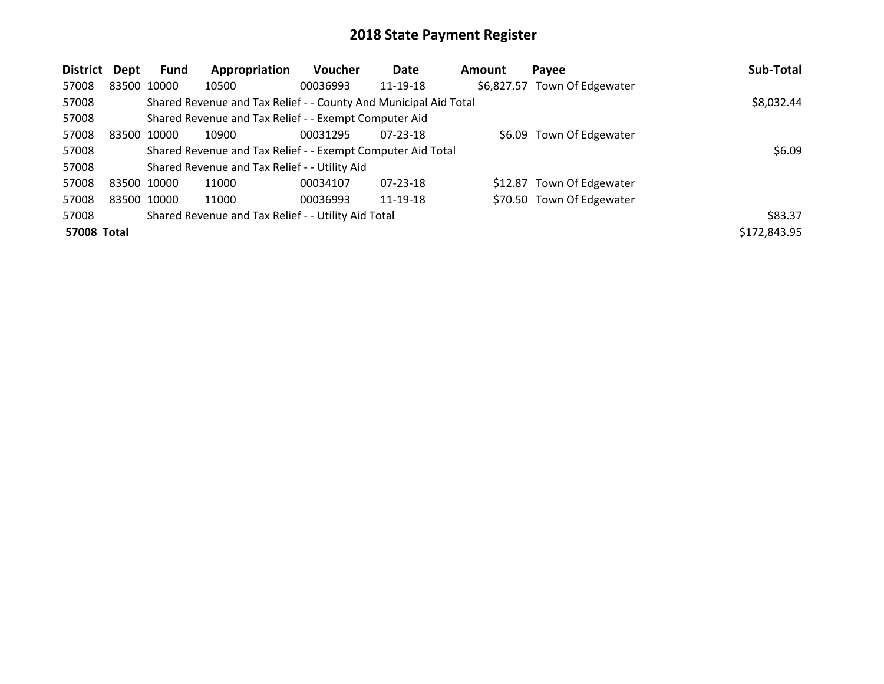| <b>District</b> | Dept        | Fund        | Appropriation                                                    | Voucher  | Date           | Amount | Payee                        | Sub-Total    |
|-----------------|-------------|-------------|------------------------------------------------------------------|----------|----------------|--------|------------------------------|--------------|
| 57008           |             | 83500 10000 | 10500                                                            | 00036993 | 11-19-18       |        | \$6,827.57 Town Of Edgewater |              |
| 57008           |             |             | Shared Revenue and Tax Relief - - County And Municipal Aid Total |          |                |        |                              | \$8,032.44   |
| 57008           |             |             | Shared Revenue and Tax Relief - - Exempt Computer Aid            |          |                |        |                              |              |
| 57008           | 83500 10000 |             | 10900                                                            | 00031295 | $07 - 23 - 18$ |        | \$6.09 Town Of Edgewater     |              |
| 57008           |             |             | Shared Revenue and Tax Relief - - Exempt Computer Aid Total      |          |                |        |                              | \$6.09       |
| 57008           |             |             | Shared Revenue and Tax Relief - - Utility Aid                    |          |                |        |                              |              |
| 57008           | 83500 10000 |             | 11000                                                            | 00034107 | $07 - 23 - 18$ |        | \$12.87 Town Of Edgewater    |              |
| 57008           |             | 83500 10000 | 11000                                                            | 00036993 | 11-19-18       |        | \$70.50 Town Of Edgewater    |              |
| 57008           |             |             | Shared Revenue and Tax Relief - - Utility Aid Total              |          |                |        |                              | \$83.37      |
| 57008 Total     |             |             |                                                                  |          |                |        |                              | \$172,843.95 |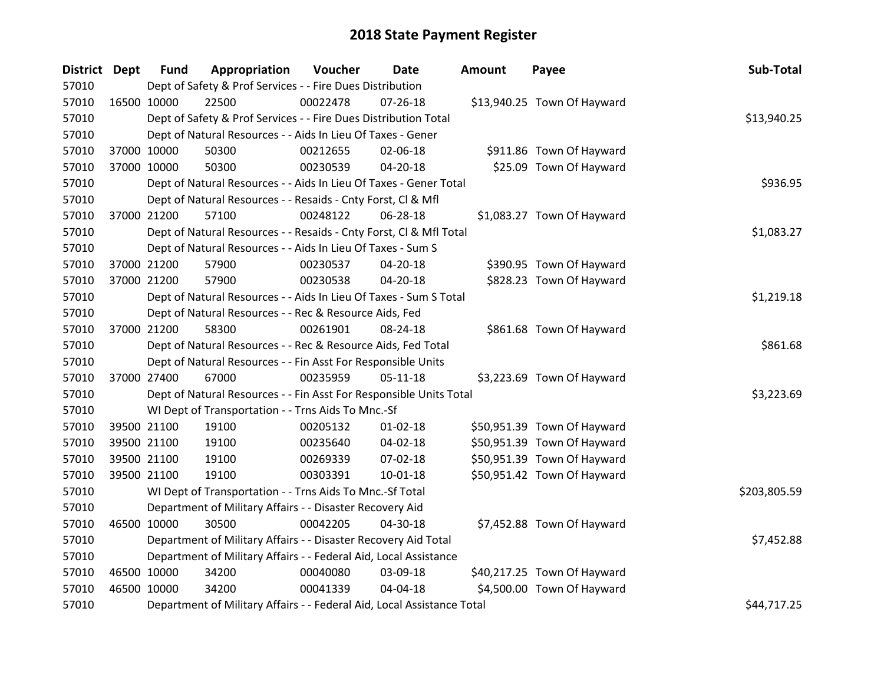| District Dept |             | <b>Fund</b> | Appropriation                                                          | Voucher  | <b>Date</b>    | <b>Amount</b> | Payee                       | Sub-Total    |
|---------------|-------------|-------------|------------------------------------------------------------------------|----------|----------------|---------------|-----------------------------|--------------|
| 57010         |             |             | Dept of Safety & Prof Services - - Fire Dues Distribution              |          |                |               |                             |              |
| 57010         | 16500 10000 |             | 22500                                                                  | 00022478 | $07 - 26 - 18$ |               | \$13,940.25 Town Of Hayward |              |
| 57010         |             |             | Dept of Safety & Prof Services - - Fire Dues Distribution Total        |          |                |               |                             | \$13,940.25  |
| 57010         |             |             | Dept of Natural Resources - - Aids In Lieu Of Taxes - Gener            |          |                |               |                             |              |
| 57010         | 37000 10000 |             | 50300                                                                  | 00212655 | 02-06-18       |               | \$911.86 Town Of Hayward    |              |
| 57010         | 37000 10000 |             | 50300                                                                  | 00230539 | 04-20-18       |               | \$25.09 Town Of Hayward     |              |
| 57010         |             |             | Dept of Natural Resources - - Aids In Lieu Of Taxes - Gener Total      |          |                |               |                             | \$936.95     |
| 57010         |             |             | Dept of Natural Resources - - Resaids - Cnty Forst, Cl & Mfl           |          |                |               |                             |              |
| 57010         |             | 37000 21200 | 57100                                                                  | 00248122 | 06-28-18       |               | \$1,083.27 Town Of Hayward  |              |
| 57010         |             |             | Dept of Natural Resources - - Resaids - Cnty Forst, Cl & Mfl Total     |          |                |               |                             | \$1,083.27   |
| 57010         |             |             | Dept of Natural Resources - - Aids In Lieu Of Taxes - Sum S            |          |                |               |                             |              |
| 57010         | 37000 21200 |             | 57900                                                                  | 00230537 | 04-20-18       |               | \$390.95 Town Of Hayward    |              |
| 57010         |             | 37000 21200 | 57900                                                                  | 00230538 | $04 - 20 - 18$ |               | \$828.23 Town Of Hayward    |              |
| 57010         |             |             | Dept of Natural Resources - - Aids In Lieu Of Taxes - Sum S Total      |          |                |               |                             | \$1,219.18   |
| 57010         |             |             | Dept of Natural Resources - - Rec & Resource Aids, Fed                 |          |                |               |                             |              |
| 57010         |             | 37000 21200 | 58300                                                                  | 00261901 | 08-24-18       |               | \$861.68 Town Of Hayward    |              |
| 57010         |             |             | Dept of Natural Resources - - Rec & Resource Aids, Fed Total           |          |                |               |                             | \$861.68     |
| 57010         |             |             | Dept of Natural Resources - - Fin Asst For Responsible Units           |          |                |               |                             |              |
| 57010         |             | 37000 27400 | 67000                                                                  | 00235959 | $05-11-18$     |               | \$3,223.69 Town Of Hayward  |              |
| 57010         |             |             | Dept of Natural Resources - - Fin Asst For Responsible Units Total     |          |                |               |                             | \$3,223.69   |
| 57010         |             |             | WI Dept of Transportation - - Trns Aids To Mnc.-Sf                     |          |                |               |                             |              |
| 57010         | 39500 21100 |             | 19100                                                                  | 00205132 | $01 - 02 - 18$ |               | \$50,951.39 Town Of Hayward |              |
| 57010         | 39500 21100 |             | 19100                                                                  | 00235640 | 04-02-18       |               | \$50,951.39 Town Of Hayward |              |
| 57010         | 39500 21100 |             | 19100                                                                  | 00269339 | 07-02-18       |               | \$50,951.39 Town Of Hayward |              |
| 57010         |             | 39500 21100 | 19100                                                                  | 00303391 | 10-01-18       |               | \$50,951.42 Town Of Hayward |              |
| 57010         |             |             | WI Dept of Transportation - - Trns Aids To Mnc.-Sf Total               |          |                |               |                             | \$203,805.59 |
| 57010         |             |             | Department of Military Affairs - - Disaster Recovery Aid               |          |                |               |                             |              |
| 57010         | 46500 10000 |             | 30500                                                                  | 00042205 | 04-30-18       |               | \$7,452.88 Town Of Hayward  |              |
| 57010         |             |             | Department of Military Affairs - - Disaster Recovery Aid Total         |          |                |               |                             | \$7,452.88   |
| 57010         |             |             | Department of Military Affairs - - Federal Aid, Local Assistance       |          |                |               |                             |              |
| 57010         | 46500 10000 |             | 34200                                                                  | 00040080 | 03-09-18       |               | \$40,217.25 Town Of Hayward |              |
| 57010         | 46500 10000 |             | 34200                                                                  | 00041339 | 04-04-18       |               | \$4,500.00 Town Of Hayward  |              |
| 57010         |             |             | Department of Military Affairs - - Federal Aid, Local Assistance Total |          |                |               |                             | \$44,717.25  |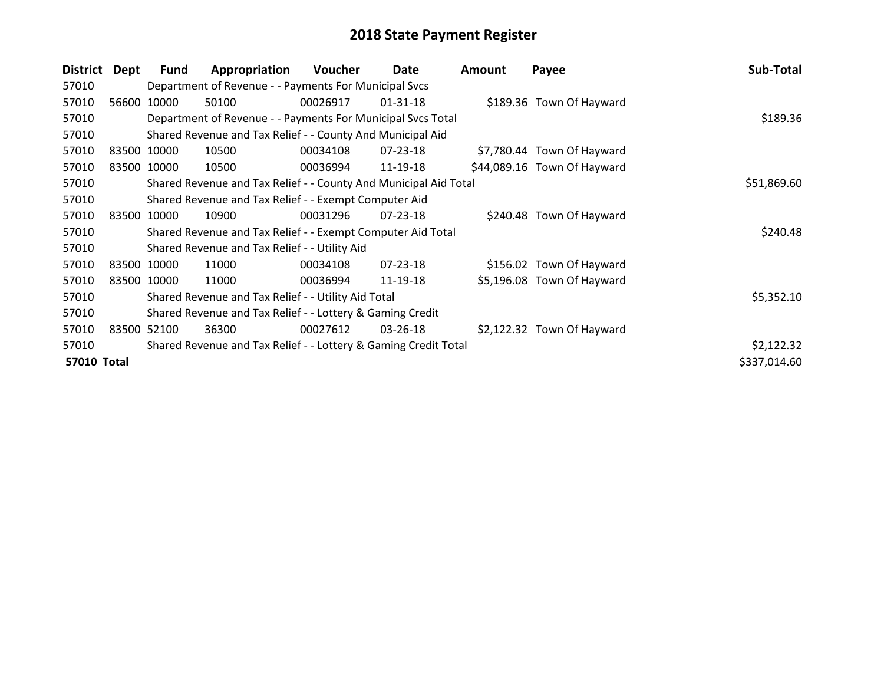| <b>District</b> | Dept  | <b>Fund</b> | Appropriation                                                    | <b>Voucher</b> | Date           | <b>Amount</b> | Payee                       | Sub-Total    |
|-----------------|-------|-------------|------------------------------------------------------------------|----------------|----------------|---------------|-----------------------------|--------------|
| 57010           |       |             | Department of Revenue - - Payments For Municipal Svcs            |                |                |               |                             |              |
| 57010           |       | 56600 10000 | 50100                                                            | 00026917       | $01 - 31 - 18$ |               | \$189.36 Town Of Hayward    |              |
| 57010           |       |             | Department of Revenue - - Payments For Municipal Svcs Total      |                |                |               |                             | \$189.36     |
| 57010           |       |             | Shared Revenue and Tax Relief - - County And Municipal Aid       |                |                |               |                             |              |
| 57010           |       | 83500 10000 | 10500                                                            | 00034108       | 07-23-18       |               | \$7,780.44 Town Of Hayward  |              |
| 57010           |       | 83500 10000 | 10500                                                            | 00036994       | 11-19-18       |               | \$44,089.16 Town Of Hayward |              |
| 57010           |       |             | Shared Revenue and Tax Relief - - County And Municipal Aid Total |                |                |               |                             | \$51,869.60  |
| 57010           |       |             | Shared Revenue and Tax Relief - - Exempt Computer Aid            |                |                |               |                             |              |
| 57010           |       | 83500 10000 | 10900                                                            | 00031296       | $07 - 23 - 18$ |               | \$240.48 Town Of Hayward    |              |
| 57010           |       |             | Shared Revenue and Tax Relief - - Exempt Computer Aid Total      |                |                |               |                             | \$240.48     |
| 57010           |       |             | Shared Revenue and Tax Relief - - Utility Aid                    |                |                |               |                             |              |
| 57010           |       | 83500 10000 | 11000                                                            | 00034108       | $07 - 23 - 18$ |               | \$156.02 Town Of Hayward    |              |
| 57010           |       | 83500 10000 | 11000                                                            | 00036994       | 11-19-18       |               | \$5,196.08 Town Of Hayward  |              |
| 57010           |       |             | Shared Revenue and Tax Relief - - Utility Aid Total              |                |                |               |                             | \$5,352.10   |
| 57010           |       |             | Shared Revenue and Tax Relief - - Lottery & Gaming Credit        |                |                |               |                             |              |
| 57010           | 83500 | 52100       | 36300                                                            | 00027612       | $03 - 26 - 18$ |               | \$2,122.32 Town Of Hayward  |              |
| 57010           |       |             | Shared Revenue and Tax Relief - - Lottery & Gaming Credit Total  |                |                |               |                             | \$2,122.32   |
| 57010 Total     |       |             |                                                                  |                |                |               |                             | \$337,014.60 |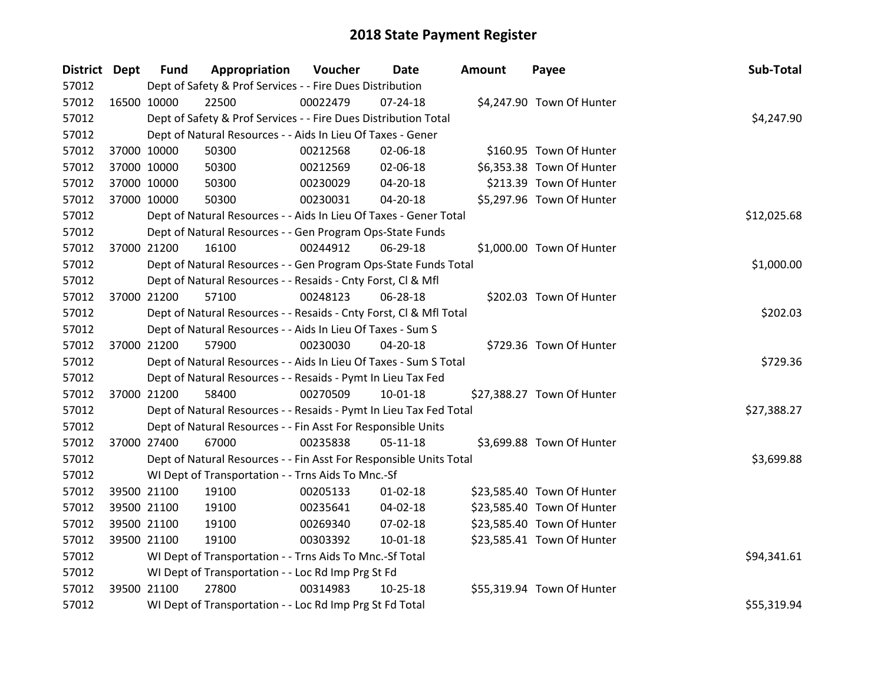| <b>District Dept</b> |             | <b>Fund</b> | Appropriation                                                      | Voucher  | Date           | <b>Amount</b> | Payee                      | Sub-Total   |
|----------------------|-------------|-------------|--------------------------------------------------------------------|----------|----------------|---------------|----------------------------|-------------|
| 57012                |             |             | Dept of Safety & Prof Services - - Fire Dues Distribution          |          |                |               |                            |             |
| 57012                | 16500 10000 |             | 22500                                                              | 00022479 | $07 - 24 - 18$ |               | \$4,247.90 Town Of Hunter  |             |
| 57012                |             |             | Dept of Safety & Prof Services - - Fire Dues Distribution Total    |          |                |               |                            | \$4,247.90  |
| 57012                |             |             | Dept of Natural Resources - - Aids In Lieu Of Taxes - Gener        |          |                |               |                            |             |
| 57012                |             | 37000 10000 | 50300                                                              | 00212568 | 02-06-18       |               | \$160.95 Town Of Hunter    |             |
| 57012                |             | 37000 10000 | 50300                                                              | 00212569 | 02-06-18       |               | \$6,353.38 Town Of Hunter  |             |
| 57012                |             | 37000 10000 | 50300                                                              | 00230029 | 04-20-18       |               | \$213.39 Town Of Hunter    |             |
| 57012                |             | 37000 10000 | 50300                                                              | 00230031 | 04-20-18       |               | \$5,297.96 Town Of Hunter  |             |
| 57012                |             |             | Dept of Natural Resources - - Aids In Lieu Of Taxes - Gener Total  |          |                |               |                            | \$12,025.68 |
| 57012                |             |             | Dept of Natural Resources - - Gen Program Ops-State Funds          |          |                |               |                            |             |
| 57012                |             | 37000 21200 | 16100                                                              | 00244912 | 06-29-18       |               | \$1,000.00 Town Of Hunter  |             |
| 57012                |             |             | Dept of Natural Resources - - Gen Program Ops-State Funds Total    |          |                |               |                            | \$1,000.00  |
| 57012                |             |             | Dept of Natural Resources - - Resaids - Cnty Forst, Cl & Mfl       |          |                |               |                            |             |
| 57012                |             | 37000 21200 | 57100                                                              | 00248123 | 06-28-18       |               | \$202.03 Town Of Hunter    |             |
| 57012                |             |             | Dept of Natural Resources - - Resaids - Cnty Forst, Cl & Mfl Total | \$202.03 |                |               |                            |             |
| 57012                |             |             | Dept of Natural Resources - - Aids In Lieu Of Taxes - Sum S        |          |                |               |                            |             |
| 57012                |             | 37000 21200 | 57900                                                              | 00230030 | 04-20-18       |               | \$729.36 Town Of Hunter    |             |
| 57012                |             |             | Dept of Natural Resources - - Aids In Lieu Of Taxes - Sum S Total  |          |                |               |                            | \$729.36    |
| 57012                |             |             | Dept of Natural Resources - - Resaids - Pymt In Lieu Tax Fed       |          |                |               |                            |             |
| 57012                |             | 37000 21200 | 58400                                                              | 00270509 | $10 - 01 - 18$ |               | \$27,388.27 Town Of Hunter |             |
| 57012                |             |             | Dept of Natural Resources - - Resaids - Pymt In Lieu Tax Fed Total |          |                |               |                            | \$27,388.27 |
| 57012                |             |             | Dept of Natural Resources - - Fin Asst For Responsible Units       |          |                |               |                            |             |
| 57012                |             | 37000 27400 | 67000                                                              | 00235838 | 05-11-18       |               | \$3,699.88 Town Of Hunter  |             |
| 57012                |             |             | Dept of Natural Resources - - Fin Asst For Responsible Units Total |          |                |               |                            | \$3,699.88  |
| 57012                |             |             | WI Dept of Transportation - - Trns Aids To Mnc.-Sf                 |          |                |               |                            |             |
| 57012                |             | 39500 21100 | 19100                                                              | 00205133 | $01 - 02 - 18$ |               | \$23,585.40 Town Of Hunter |             |
| 57012                |             | 39500 21100 | 19100                                                              | 00235641 | 04-02-18       |               | \$23,585.40 Town Of Hunter |             |
| 57012                |             | 39500 21100 | 19100                                                              | 00269340 | 07-02-18       |               | \$23,585.40 Town Of Hunter |             |
| 57012                |             | 39500 21100 | 19100                                                              | 00303392 | $10 - 01 - 18$ |               | \$23,585.41 Town Of Hunter |             |
| 57012                |             |             | WI Dept of Transportation - - Trns Aids To Mnc.-Sf Total           |          |                |               |                            | \$94,341.61 |
| 57012                |             |             | WI Dept of Transportation - - Loc Rd Imp Prg St Fd                 |          |                |               |                            |             |
| 57012                |             | 39500 21100 | 27800                                                              | 00314983 | $10 - 25 - 18$ |               | \$55,319.94 Town Of Hunter |             |
| 57012                |             |             | WI Dept of Transportation - - Loc Rd Imp Prg St Fd Total           |          |                |               |                            | \$55,319.94 |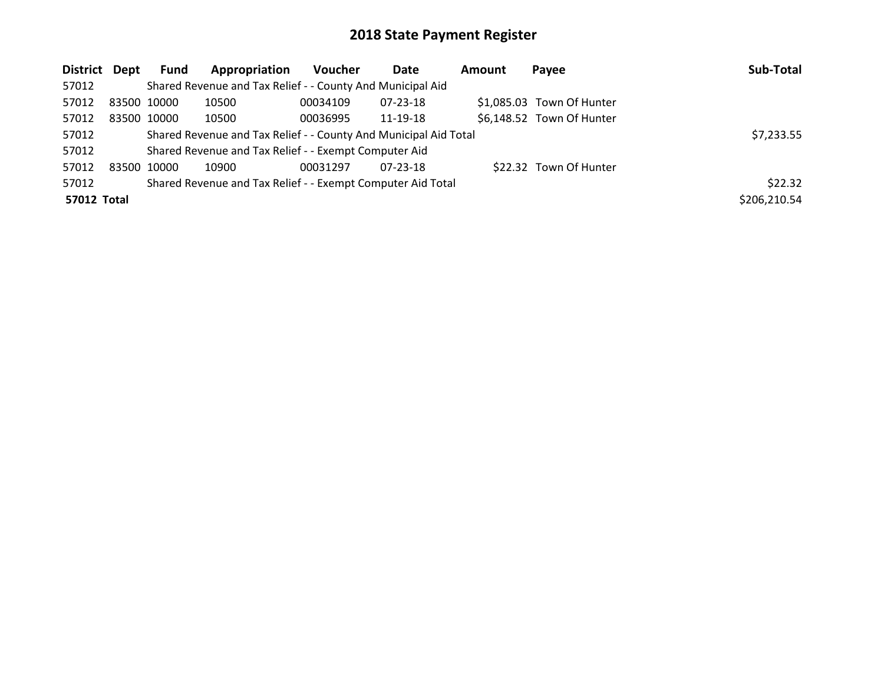| District Dept      |             | <b>Fund</b> | Appropriation                                                    | <b>Voucher</b> | Date     | Amount | Payee                     | Sub-Total    |
|--------------------|-------------|-------------|------------------------------------------------------------------|----------------|----------|--------|---------------------------|--------------|
| 57012              |             |             | Shared Revenue and Tax Relief - - County And Municipal Aid       |                |          |        |                           |              |
| 57012              | 83500 10000 |             | 10500                                                            | 00034109       | 07-23-18 |        | \$1,085.03 Town Of Hunter |              |
| 57012              | 83500 10000 |             | 10500                                                            | 00036995       | 11-19-18 |        | \$6,148.52 Town Of Hunter |              |
| 57012              |             |             | Shared Revenue and Tax Relief - - County And Municipal Aid Total |                |          |        |                           | \$7,233.55   |
| 57012              |             |             | Shared Revenue and Tax Relief - - Exempt Computer Aid            |                |          |        |                           |              |
| 57012              | 83500       | 10000       | 10900                                                            | 00031297       | 07-23-18 |        | \$22.32 Town Of Hunter    |              |
| 57012              |             |             | Shared Revenue and Tax Relief - - Exempt Computer Aid Total      |                |          |        |                           | \$22.32      |
| <b>57012 Total</b> |             |             |                                                                  |                |          |        |                           | \$206,210.54 |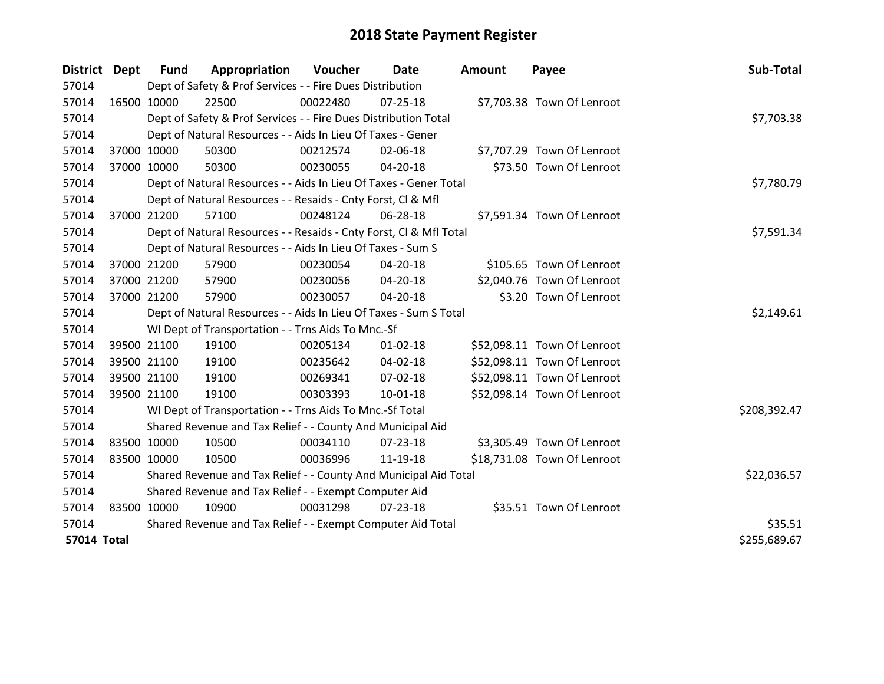| District Dept      |             | <b>Fund</b> | Appropriation                                                      | <b>Voucher</b> | Date           | <b>Amount</b> | Payee                       | Sub-Total    |
|--------------------|-------------|-------------|--------------------------------------------------------------------|----------------|----------------|---------------|-----------------------------|--------------|
| 57014              |             |             | Dept of Safety & Prof Services - - Fire Dues Distribution          |                |                |               |                             |              |
| 57014              |             | 16500 10000 | 22500                                                              | 00022480       | 07-25-18       |               | \$7,703.38 Town Of Lenroot  |              |
| 57014              |             |             | Dept of Safety & Prof Services - - Fire Dues Distribution Total    |                |                |               |                             | \$7,703.38   |
| 57014              |             |             | Dept of Natural Resources - - Aids In Lieu Of Taxes - Gener        |                |                |               |                             |              |
| 57014              |             | 37000 10000 | 50300                                                              | 00212574       | 02-06-18       |               | \$7,707.29 Town Of Lenroot  |              |
| 57014              |             | 37000 10000 | 50300                                                              | 00230055       | 04-20-18       |               | \$73.50 Town Of Lenroot     |              |
| 57014              |             |             | Dept of Natural Resources - - Aids In Lieu Of Taxes - Gener Total  |                |                |               |                             | \$7,780.79   |
| 57014              |             |             | Dept of Natural Resources - - Resaids - Cnty Forst, Cl & Mfl       |                |                |               |                             |              |
| 57014              |             | 37000 21200 | 57100                                                              | 00248124       | 06-28-18       |               | \$7,591.34 Town Of Lenroot  |              |
| 57014              |             |             | Dept of Natural Resources - - Resaids - Cnty Forst, CI & Mfl Total |                |                |               |                             | \$7,591.34   |
| 57014              |             |             | Dept of Natural Resources - - Aids In Lieu Of Taxes - Sum S        |                |                |               |                             |              |
| 57014              |             | 37000 21200 | 57900                                                              | 00230054       | 04-20-18       |               | \$105.65 Town Of Lenroot    |              |
| 57014              |             | 37000 21200 | 57900                                                              | 00230056       | 04-20-18       |               | \$2,040.76 Town Of Lenroot  |              |
| 57014              |             | 37000 21200 | 57900                                                              | 00230057       | 04-20-18       |               | \$3.20 Town Of Lenroot      |              |
| 57014              |             |             | Dept of Natural Resources - - Aids In Lieu Of Taxes - Sum S Total  |                |                |               |                             | \$2,149.61   |
| 57014              |             |             | WI Dept of Transportation - - Trns Aids To Mnc.-Sf                 |                |                |               |                             |              |
| 57014              |             | 39500 21100 | 19100                                                              | 00205134       | $01 - 02 - 18$ |               | \$52,098.11 Town Of Lenroot |              |
| 57014              |             | 39500 21100 | 19100                                                              | 00235642       | 04-02-18       |               | \$52,098.11 Town Of Lenroot |              |
| 57014              |             | 39500 21100 | 19100                                                              | 00269341       | 07-02-18       |               | \$52,098.11 Town Of Lenroot |              |
| 57014              |             | 39500 21100 | 19100                                                              | 00303393       | $10 - 01 - 18$ |               | \$52,098.14 Town Of Lenroot |              |
| 57014              |             |             | WI Dept of Transportation - - Trns Aids To Mnc.-Sf Total           |                |                |               |                             | \$208,392.47 |
| 57014              |             |             | Shared Revenue and Tax Relief - - County And Municipal Aid         |                |                |               |                             |              |
| 57014              | 83500 10000 |             | 10500                                                              | 00034110       | 07-23-18       |               | \$3,305.49 Town Of Lenroot  |              |
| 57014              |             | 83500 10000 | 10500                                                              | 00036996       | 11-19-18       |               | \$18,731.08 Town Of Lenroot |              |
| 57014              |             |             | Shared Revenue and Tax Relief - - County And Municipal Aid Total   |                |                |               |                             | \$22,036.57  |
| 57014              |             |             | Shared Revenue and Tax Relief - - Exempt Computer Aid              |                |                |               |                             |              |
| 57014              | 83500 10000 |             | 10900                                                              | 00031298       | $07 - 23 - 18$ |               | \$35.51 Town Of Lenroot     |              |
| 57014              |             |             | Shared Revenue and Tax Relief - - Exempt Computer Aid Total        |                |                |               |                             | \$35.51      |
| <b>57014 Total</b> |             |             |                                                                    |                |                |               |                             | \$255,689.67 |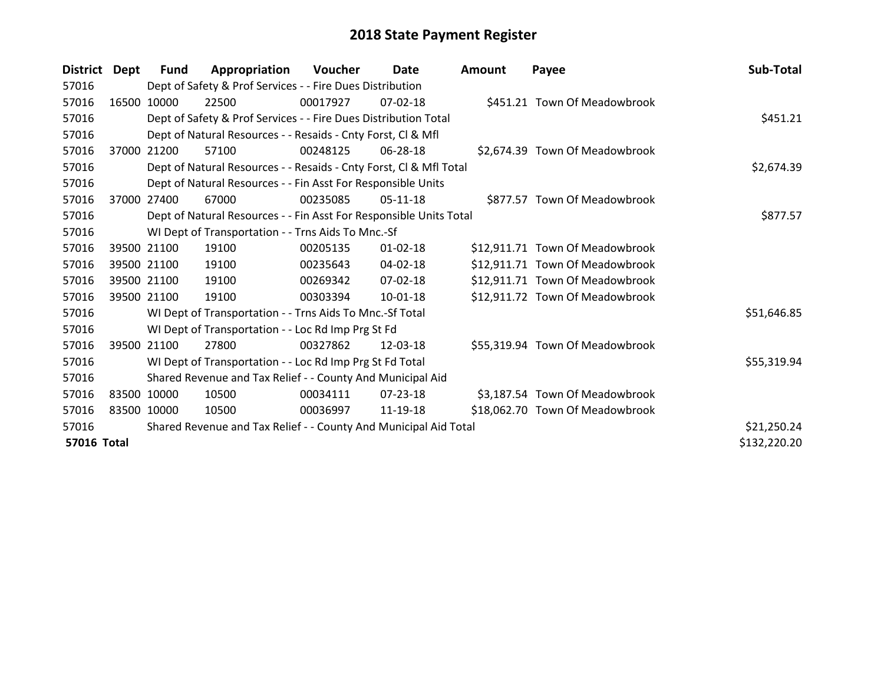| District           | Dept  | Fund        | Appropriation                                                      | <b>Voucher</b> | Date           | Amount | Payee                           | Sub-Total    |
|--------------------|-------|-------------|--------------------------------------------------------------------|----------------|----------------|--------|---------------------------------|--------------|
| 57016              |       |             | Dept of Safety & Prof Services - - Fire Dues Distribution          |                |                |        |                                 |              |
| 57016              |       | 16500 10000 | 22500                                                              | 00017927       | $07-02-18$     |        | \$451.21 Town Of Meadowbrook    |              |
| 57016              |       |             | Dept of Safety & Prof Services - - Fire Dues Distribution Total    |                |                |        |                                 | \$451.21     |
| 57016              |       |             | Dept of Natural Resources - - Resaids - Cnty Forst, CI & Mfl       |                |                |        |                                 |              |
| 57016              | 37000 | 21200       | 57100                                                              | 00248125       | 06-28-18       |        | \$2,674.39 Town Of Meadowbrook  |              |
| 57016              |       |             | Dept of Natural Resources - - Resaids - Cnty Forst, Cl & Mfl Total |                | \$2,674.39     |        |                                 |              |
| 57016              |       |             | Dept of Natural Resources - - Fin Asst For Responsible Units       |                |                |        |                                 |              |
| 57016              | 37000 | 27400       | 67000                                                              | 00235085       | 05-11-18       |        | \$877.57 Town Of Meadowbrook    |              |
| 57016              |       |             | Dept of Natural Resources - - Fin Asst For Responsible Units Total |                |                |        |                                 | \$877.57     |
| 57016              |       |             | WI Dept of Transportation - - Trns Aids To Mnc.-Sf                 |                |                |        |                                 |              |
| 57016              |       | 39500 21100 | 19100                                                              | 00205135       | $01 - 02 - 18$ |        | \$12,911.71 Town Of Meadowbrook |              |
| 57016              |       | 39500 21100 | 19100                                                              | 00235643       | 04-02-18       |        | \$12,911.71 Town Of Meadowbrook |              |
| 57016              |       | 39500 21100 | 19100                                                              | 00269342       | $07 - 02 - 18$ |        | \$12,911.71 Town Of Meadowbrook |              |
| 57016              |       | 39500 21100 | 19100                                                              | 00303394       | $10 - 01 - 18$ |        | \$12,911.72 Town Of Meadowbrook |              |
| 57016              |       |             | WI Dept of Transportation - - Trns Aids To Mnc.-Sf Total           |                |                |        |                                 | \$51,646.85  |
| 57016              |       |             | WI Dept of Transportation - - Loc Rd Imp Prg St Fd                 |                |                |        |                                 |              |
| 57016              |       | 39500 21100 | 27800                                                              | 00327862       | 12-03-18       |        | \$55,319.94 Town Of Meadowbrook |              |
| 57016              |       |             | WI Dept of Transportation - - Loc Rd Imp Prg St Fd Total           |                |                |        |                                 | \$55,319.94  |
| 57016              |       |             | Shared Revenue and Tax Relief - - County And Municipal Aid         |                |                |        |                                 |              |
| 57016              |       | 83500 10000 | 10500                                                              | 00034111       | 07-23-18       |        | \$3,187.54 Town Of Meadowbrook  |              |
| 57016              |       | 83500 10000 | 10500                                                              | 00036997       | 11-19-18       |        | \$18,062.70 Town Of Meadowbrook |              |
| 57016              |       |             | Shared Revenue and Tax Relief - - County And Municipal Aid Total   |                |                |        |                                 | \$21,250.24  |
| <b>57016 Total</b> |       |             |                                                                    |                |                |        |                                 | \$132,220.20 |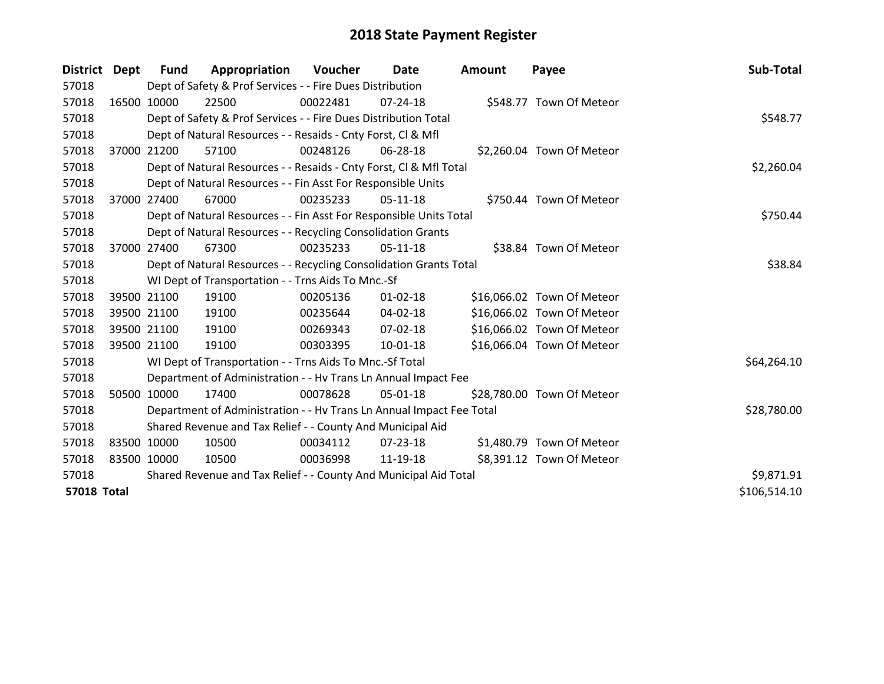| District Dept      |       | <b>Fund</b>                                                        | Appropriation                                                        | Voucher  | Date           | Amount | Payee                      | Sub-Total    |
|--------------------|-------|--------------------------------------------------------------------|----------------------------------------------------------------------|----------|----------------|--------|----------------------------|--------------|
| 57018              |       |                                                                    | Dept of Safety & Prof Services - - Fire Dues Distribution            |          |                |        |                            |              |
| 57018              |       | 16500 10000                                                        | 22500                                                                | 00022481 | $07 - 24 - 18$ |        | \$548.77 Town Of Meteor    |              |
| 57018              |       |                                                                    | Dept of Safety & Prof Services - - Fire Dues Distribution Total      |          |                |        |                            | \$548.77     |
| 57018              |       |                                                                    | Dept of Natural Resources - - Resaids - Cnty Forst, CI & Mfl         |          |                |        |                            |              |
| 57018              |       | 37000 21200                                                        | 57100                                                                | 00248126 | 06-28-18       |        | \$2,260.04 Town Of Meteor  |              |
| 57018              |       |                                                                    | Dept of Natural Resources - - Resaids - Cnty Forst, Cl & Mfl Total   |          | \$2,260.04     |        |                            |              |
| 57018              |       |                                                                    | Dept of Natural Resources - - Fin Asst For Responsible Units         |          |                |        |                            |              |
| 57018              | 37000 | 27400                                                              | 67000                                                                | 00235233 | 05-11-18       |        | \$750.44 Town Of Meteor    |              |
| 57018              |       |                                                                    | Dept of Natural Resources - - Fin Asst For Responsible Units Total   |          |                |        |                            | \$750.44     |
| 57018              |       |                                                                    | Dept of Natural Resources - - Recycling Consolidation Grants         |          |                |        |                            |              |
| 57018              |       | 37000 27400                                                        | 67300                                                                | 00235233 | $05-11-18$     |        | \$38.84 Town Of Meteor     |              |
| 57018              |       | Dept of Natural Resources - - Recycling Consolidation Grants Total |                                                                      | \$38.84  |                |        |                            |              |
| 57018              |       |                                                                    | WI Dept of Transportation - - Trns Aids To Mnc.-Sf                   |          |                |        |                            |              |
| 57018              |       | 39500 21100                                                        | 19100                                                                | 00205136 | $01 - 02 - 18$ |        | \$16,066.02 Town Of Meteor |              |
| 57018              |       | 39500 21100                                                        | 19100                                                                | 00235644 | 04-02-18       |        | \$16,066.02 Town Of Meteor |              |
| 57018              |       | 39500 21100                                                        | 19100                                                                | 00269343 | 07-02-18       |        | \$16,066.02 Town Of Meteor |              |
| 57018              |       | 39500 21100                                                        | 19100                                                                | 00303395 | 10-01-18       |        | \$16,066.04 Town Of Meteor |              |
| 57018              |       |                                                                    | WI Dept of Transportation - - Trns Aids To Mnc.-Sf Total             |          |                |        |                            | \$64,264.10  |
| 57018              |       |                                                                    | Department of Administration - - Hv Trans Ln Annual Impact Fee       |          |                |        |                            |              |
| 57018              |       | 50500 10000                                                        | 17400                                                                | 00078628 | 05-01-18       |        | \$28,780.00 Town Of Meteor |              |
| 57018              |       |                                                                    | Department of Administration - - Hv Trans Ln Annual Impact Fee Total |          |                |        |                            | \$28,780.00  |
| 57018              |       |                                                                    | Shared Revenue and Tax Relief - - County And Municipal Aid           |          |                |        |                            |              |
| 57018              |       | 83500 10000                                                        | 10500                                                                | 00034112 | $07 - 23 - 18$ |        | \$1,480.79 Town Of Meteor  |              |
| 57018              |       | 83500 10000                                                        | 10500                                                                | 00036998 | 11-19-18       |        | \$8,391.12 Town Of Meteor  |              |
| 57018              |       |                                                                    | Shared Revenue and Tax Relief - - County And Municipal Aid Total     |          |                |        |                            | \$9,871.91   |
| <b>57018 Total</b> |       |                                                                    |                                                                      |          |                |        |                            | \$106,514.10 |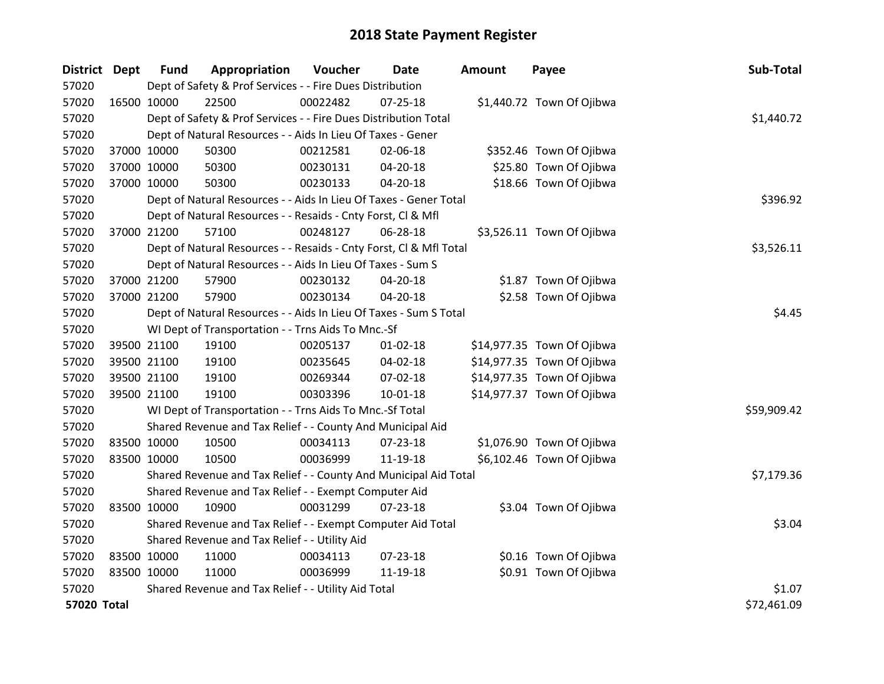| District Dept      |             | <b>Fund</b> | Appropriation                                                      | Voucher  | <b>Date</b>    | Amount | Payee                      | Sub-Total   |
|--------------------|-------------|-------------|--------------------------------------------------------------------|----------|----------------|--------|----------------------------|-------------|
| 57020              |             |             | Dept of Safety & Prof Services - - Fire Dues Distribution          |          |                |        |                            |             |
| 57020              | 16500 10000 |             | 22500                                                              | 00022482 | $07 - 25 - 18$ |        | \$1,440.72 Town Of Ojibwa  |             |
| 57020              |             |             | Dept of Safety & Prof Services - - Fire Dues Distribution Total    |          |                |        |                            | \$1,440.72  |
| 57020              |             |             | Dept of Natural Resources - - Aids In Lieu Of Taxes - Gener        |          |                |        |                            |             |
| 57020              |             | 37000 10000 | 50300                                                              | 00212581 | 02-06-18       |        | \$352.46 Town Of Ojibwa    |             |
| 57020              |             | 37000 10000 | 50300                                                              | 00230131 | 04-20-18       |        | \$25.80 Town Of Ojibwa     |             |
| 57020              | 37000 10000 |             | 50300                                                              | 00230133 | 04-20-18       |        | \$18.66 Town Of Ojibwa     |             |
| 57020              |             |             | Dept of Natural Resources - - Aids In Lieu Of Taxes - Gener Total  |          |                |        |                            | \$396.92    |
| 57020              |             |             | Dept of Natural Resources - - Resaids - Cnty Forst, Cl & Mfl       |          |                |        |                            |             |
| 57020              |             | 37000 21200 | 57100                                                              | 00248127 | 06-28-18       |        | \$3,526.11 Town Of Ojibwa  |             |
| 57020              |             |             | Dept of Natural Resources - - Resaids - Cnty Forst, Cl & Mfl Total |          |                |        |                            | \$3,526.11  |
| 57020              |             |             | Dept of Natural Resources - - Aids In Lieu Of Taxes - Sum S        |          |                |        |                            |             |
| 57020              | 37000 21200 |             | 57900                                                              | 00230132 | 04-20-18       |        | \$1.87 Town Of Ojibwa      |             |
| 57020              |             | 37000 21200 | 57900                                                              | 00230134 | 04-20-18       |        | \$2.58 Town Of Ojibwa      |             |
| 57020              |             |             | Dept of Natural Resources - - Aids In Lieu Of Taxes - Sum S Total  | \$4.45   |                |        |                            |             |
| 57020              |             |             | WI Dept of Transportation - - Trns Aids To Mnc.-Sf                 |          |                |        |                            |             |
| 57020              | 39500 21100 |             | 19100                                                              | 00205137 | $01 - 02 - 18$ |        | \$14,977.35 Town Of Ojibwa |             |
| 57020              | 39500 21100 |             | 19100                                                              | 00235645 | 04-02-18       |        | \$14,977.35 Town Of Ojibwa |             |
| 57020              | 39500 21100 |             | 19100                                                              | 00269344 | 07-02-18       |        | \$14,977.35 Town Of Ojibwa |             |
| 57020              |             | 39500 21100 | 19100                                                              | 00303396 | 10-01-18       |        | \$14,977.37 Town Of Ojibwa |             |
| 57020              |             |             | WI Dept of Transportation - - Trns Aids To Mnc.-Sf Total           |          |                |        |                            | \$59,909.42 |
| 57020              |             |             | Shared Revenue and Tax Relief - - County And Municipal Aid         |          |                |        |                            |             |
| 57020              | 83500 10000 |             | 10500                                                              | 00034113 | 07-23-18       |        | \$1,076.90 Town Of Ojibwa  |             |
| 57020              | 83500 10000 |             | 10500                                                              | 00036999 | 11-19-18       |        | \$6,102.46 Town Of Ojibwa  |             |
| 57020              |             |             | Shared Revenue and Tax Relief - - County And Municipal Aid Total   |          |                |        |                            | \$7,179.36  |
| 57020              |             |             | Shared Revenue and Tax Relief - - Exempt Computer Aid              |          |                |        |                            |             |
| 57020              | 83500 10000 |             | 10900                                                              | 00031299 | $07 - 23 - 18$ |        | \$3.04 Town Of Ojibwa      |             |
| 57020              |             |             | Shared Revenue and Tax Relief - - Exempt Computer Aid Total        |          |                |        |                            | \$3.04      |
| 57020              |             |             | Shared Revenue and Tax Relief - - Utility Aid                      |          |                |        |                            |             |
| 57020              | 83500 10000 |             | 11000                                                              | 00034113 | 07-23-18       |        | \$0.16 Town Of Ojibwa      |             |
| 57020              | 83500 10000 |             | 11000                                                              | 00036999 | 11-19-18       |        | \$0.91 Town Of Ojibwa      |             |
| 57020              |             |             | Shared Revenue and Tax Relief - - Utility Aid Total                |          |                |        |                            | \$1.07      |
| <b>57020 Total</b> |             |             |                                                                    |          |                |        |                            | \$72,461.09 |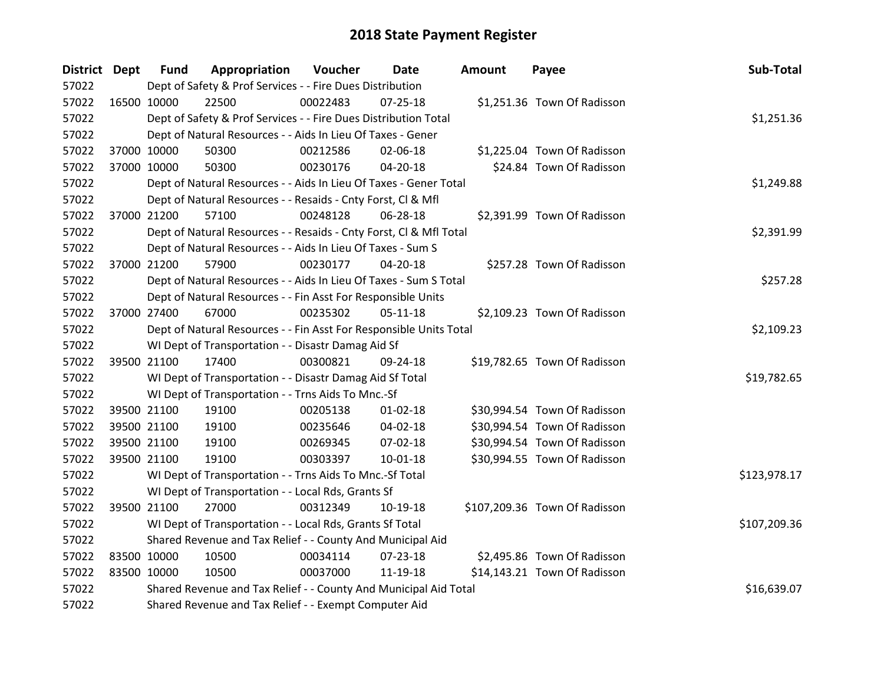| District Dept |             | <b>Fund</b> | Appropriation                                                      | Voucher    | <b>Date</b>    | <b>Amount</b> | Payee                         | Sub-Total    |
|---------------|-------------|-------------|--------------------------------------------------------------------|------------|----------------|---------------|-------------------------------|--------------|
| 57022         |             |             | Dept of Safety & Prof Services - - Fire Dues Distribution          |            |                |               |                               |              |
| 57022         |             | 16500 10000 | 22500                                                              | 00022483   | $07 - 25 - 18$ |               | \$1,251.36 Town Of Radisson   |              |
| 57022         |             |             | Dept of Safety & Prof Services - - Fire Dues Distribution Total    |            |                |               |                               | \$1,251.36   |
| 57022         |             |             | Dept of Natural Resources - - Aids In Lieu Of Taxes - Gener        |            |                |               |                               |              |
| 57022         |             | 37000 10000 | 50300                                                              | 00212586   | 02-06-18       |               | \$1,225.04 Town Of Radisson   |              |
| 57022         |             | 37000 10000 | 50300                                                              | 00230176   | $04 - 20 - 18$ |               | \$24.84 Town Of Radisson      |              |
| 57022         |             |             | Dept of Natural Resources - - Aids In Lieu Of Taxes - Gener Total  |            |                |               |                               | \$1,249.88   |
| 57022         |             |             | Dept of Natural Resources - - Resaids - Cnty Forst, Cl & Mfl       |            |                |               |                               |              |
| 57022         |             | 37000 21200 | 57100                                                              | 00248128   | 06-28-18       |               | \$2,391.99 Town Of Radisson   |              |
| 57022         |             |             | Dept of Natural Resources - - Resaids - Cnty Forst, Cl & Mfl Total |            |                |               |                               | \$2,391.99   |
| 57022         |             |             | Dept of Natural Resources - - Aids In Lieu Of Taxes - Sum S        |            |                |               |                               |              |
| 57022         |             | 37000 21200 | 57900                                                              | 00230177   | 04-20-18       |               | \$257.28 Town Of Radisson     |              |
| 57022         |             |             | Dept of Natural Resources - - Aids In Lieu Of Taxes - Sum S Total  |            |                |               |                               | \$257.28     |
| 57022         |             |             | Dept of Natural Resources - - Fin Asst For Responsible Units       |            |                |               |                               |              |
| 57022         |             | 37000 27400 | 67000                                                              | 00235302   | $05-11-18$     |               | \$2,109.23 Town Of Radisson   |              |
| 57022         |             |             | Dept of Natural Resources - - Fin Asst For Responsible Units Total | \$2,109.23 |                |               |                               |              |
| 57022         |             |             | WI Dept of Transportation - - Disastr Damag Aid Sf                 |            |                |               |                               |              |
| 57022         |             | 39500 21100 | 17400                                                              | 00300821   | 09-24-18       |               | \$19,782.65 Town Of Radisson  |              |
| 57022         |             |             | WI Dept of Transportation - - Disastr Damag Aid Sf Total           |            |                |               |                               | \$19,782.65  |
| 57022         |             |             | WI Dept of Transportation - - Trns Aids To Mnc.-Sf                 |            |                |               |                               |              |
| 57022         |             | 39500 21100 | 19100                                                              | 00205138   | $01 - 02 - 18$ |               | \$30,994.54 Town Of Radisson  |              |
| 57022         |             | 39500 21100 | 19100                                                              | 00235646   | 04-02-18       |               | \$30,994.54 Town Of Radisson  |              |
| 57022         |             | 39500 21100 | 19100                                                              | 00269345   | 07-02-18       |               | \$30,994.54 Town Of Radisson  |              |
| 57022         |             | 39500 21100 | 19100                                                              | 00303397   | 10-01-18       |               | \$30,994.55 Town Of Radisson  |              |
| 57022         |             |             | WI Dept of Transportation - - Trns Aids To Mnc.-Sf Total           |            |                |               |                               | \$123,978.17 |
| 57022         |             |             | WI Dept of Transportation - - Local Rds, Grants Sf                 |            |                |               |                               |              |
| 57022         |             | 39500 21100 | 27000                                                              | 00312349   | 10-19-18       |               | \$107,209.36 Town Of Radisson |              |
| 57022         |             |             | WI Dept of Transportation - - Local Rds, Grants Sf Total           |            |                |               |                               | \$107,209.36 |
| 57022         |             |             | Shared Revenue and Tax Relief - - County And Municipal Aid         |            |                |               |                               |              |
| 57022         | 83500 10000 |             | 10500                                                              | 00034114   | 07-23-18       |               | \$2,495.86 Town Of Radisson   |              |
| 57022         | 83500 10000 |             | 10500                                                              | 00037000   | 11-19-18       |               | \$14,143.21 Town Of Radisson  |              |
| 57022         |             |             | Shared Revenue and Tax Relief - - County And Municipal Aid Total   |            |                |               |                               | \$16,639.07  |
| 57022         |             |             | Shared Revenue and Tax Relief - - Exempt Computer Aid              |            |                |               |                               |              |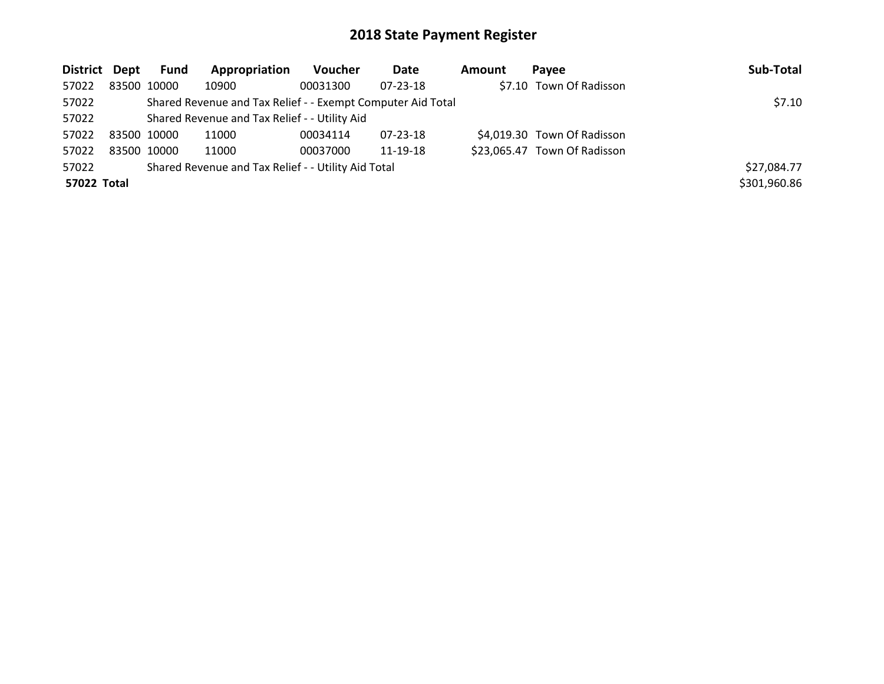| District Dept |             | Fund | Appropriation                                               | <b>Voucher</b> | Date           | Amount | Pavee                        | Sub-Total    |
|---------------|-------------|------|-------------------------------------------------------------|----------------|----------------|--------|------------------------------|--------------|
| 57022         | 83500 10000 |      | 10900                                                       | 00031300       | $07 - 23 - 18$ |        | \$7.10 Town Of Radisson      |              |
| 57022         |             |      | Shared Revenue and Tax Relief - - Exempt Computer Aid Total |                |                |        |                              | \$7.10       |
| 57022         |             |      | Shared Revenue and Tax Relief - - Utility Aid               |                |                |        |                              |              |
| 57022         | 83500 10000 |      | 11000                                                       | 00034114       | 07-23-18       |        | \$4,019.30 Town Of Radisson  |              |
| 57022         | 83500 10000 |      | 11000                                                       | 00037000       | 11-19-18       |        | \$23,065.47 Town Of Radisson |              |
| 57022         |             |      | Shared Revenue and Tax Relief - - Utility Aid Total         |                |                |        |                              | \$27,084.77  |
| 57022 Total   |             |      |                                                             |                |                |        |                              | \$301,960.86 |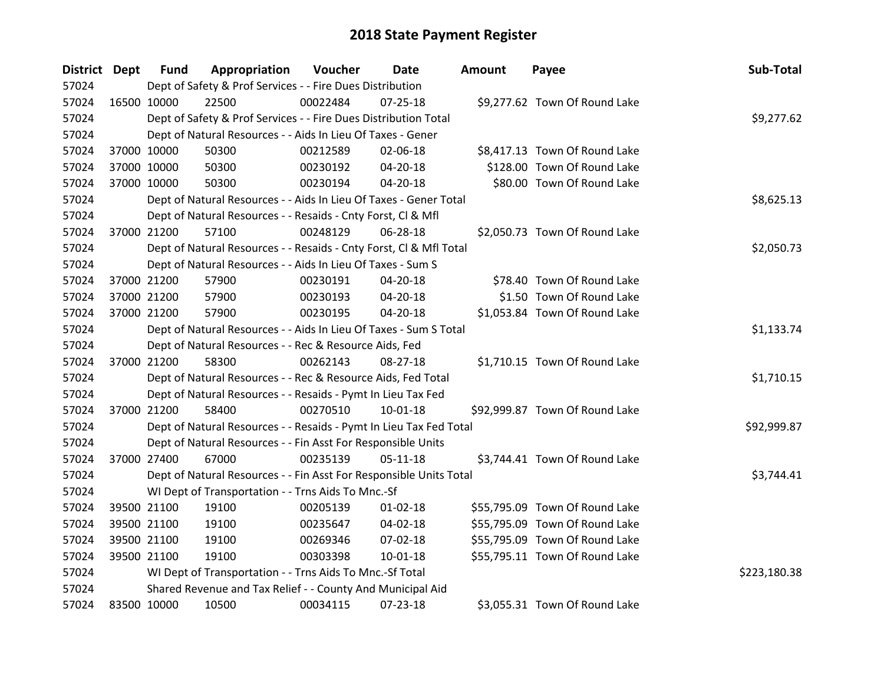| District Dept |             | <b>Fund</b> | Appropriation                                                      | Voucher    | Date           | Amount | Payee                          | Sub-Total    |
|---------------|-------------|-------------|--------------------------------------------------------------------|------------|----------------|--------|--------------------------------|--------------|
| 57024         |             |             | Dept of Safety & Prof Services - - Fire Dues Distribution          |            |                |        |                                |              |
| 57024         | 16500 10000 |             | 22500                                                              | 00022484   | $07 - 25 - 18$ |        | \$9,277.62 Town Of Round Lake  |              |
| 57024         |             |             | Dept of Safety & Prof Services - - Fire Dues Distribution Total    |            |                |        |                                | \$9,277.62   |
| 57024         |             |             | Dept of Natural Resources - - Aids In Lieu Of Taxes - Gener        |            |                |        |                                |              |
| 57024         |             | 37000 10000 | 50300                                                              | 00212589   | 02-06-18       |        | \$8,417.13 Town Of Round Lake  |              |
| 57024         |             | 37000 10000 | 50300                                                              | 00230192   | 04-20-18       |        | \$128.00 Town Of Round Lake    |              |
| 57024         |             | 37000 10000 | 50300                                                              | 00230194   | 04-20-18       |        | \$80.00 Town Of Round Lake     |              |
| 57024         |             |             | Dept of Natural Resources - - Aids In Lieu Of Taxes - Gener Total  |            |                |        |                                | \$8,625.13   |
| 57024         |             |             | Dept of Natural Resources - - Resaids - Cnty Forst, Cl & Mfl       |            |                |        |                                |              |
| 57024         |             | 37000 21200 | 57100                                                              | 00248129   | 06-28-18       |        | \$2,050.73 Town Of Round Lake  |              |
| 57024         |             |             | Dept of Natural Resources - - Resaids - Cnty Forst, CI & Mfl Total |            |                |        |                                | \$2,050.73   |
| 57024         |             |             | Dept of Natural Resources - - Aids In Lieu Of Taxes - Sum S        |            |                |        |                                |              |
| 57024         |             | 37000 21200 | 57900                                                              | 00230191   | 04-20-18       |        | \$78.40 Town Of Round Lake     |              |
| 57024         |             | 37000 21200 | 57900                                                              | 00230193   | 04-20-18       |        | \$1.50 Town Of Round Lake      |              |
| 57024         |             | 37000 21200 | 57900                                                              | 00230195   | 04-20-18       |        | \$1,053.84 Town Of Round Lake  |              |
| 57024         |             |             | Dept of Natural Resources - - Aids In Lieu Of Taxes - Sum S Total  | \$1,133.74 |                |        |                                |              |
| 57024         |             |             | Dept of Natural Resources - - Rec & Resource Aids, Fed             |            |                |        |                                |              |
| 57024         |             | 37000 21200 | 58300                                                              | 00262143   | 08-27-18       |        | \$1,710.15 Town Of Round Lake  |              |
| 57024         |             |             | Dept of Natural Resources - - Rec & Resource Aids, Fed Total       |            |                |        |                                | \$1,710.15   |
| 57024         |             |             | Dept of Natural Resources - - Resaids - Pymt In Lieu Tax Fed       |            |                |        |                                |              |
| 57024         |             | 37000 21200 | 58400                                                              | 00270510   | $10-01-18$     |        | \$92,999.87 Town Of Round Lake |              |
| 57024         |             |             | Dept of Natural Resources - - Resaids - Pymt In Lieu Tax Fed Total |            |                |        |                                | \$92,999.87  |
| 57024         |             |             | Dept of Natural Resources - - Fin Asst For Responsible Units       |            |                |        |                                |              |
| 57024         |             | 37000 27400 | 67000                                                              | 00235139   | $05-11-18$     |        | \$3,744.41 Town Of Round Lake  |              |
| 57024         |             |             | Dept of Natural Resources - - Fin Asst For Responsible Units Total |            |                |        |                                | \$3,744.41   |
| 57024         |             |             | WI Dept of Transportation - - Trns Aids To Mnc.-Sf                 |            |                |        |                                |              |
| 57024         |             | 39500 21100 | 19100                                                              | 00205139   | $01 - 02 - 18$ |        | \$55,795.09 Town Of Round Lake |              |
| 57024         |             | 39500 21100 | 19100                                                              | 00235647   | $04 - 02 - 18$ |        | \$55,795.09 Town Of Round Lake |              |
| 57024         |             | 39500 21100 | 19100                                                              | 00269346   | 07-02-18       |        | \$55,795.09 Town Of Round Lake |              |
| 57024         |             | 39500 21100 | 19100                                                              | 00303398   | 10-01-18       |        | \$55,795.11 Town Of Round Lake |              |
| 57024         |             |             | WI Dept of Transportation - - Trns Aids To Mnc.-Sf Total           |            |                |        |                                | \$223,180.38 |
| 57024         |             |             | Shared Revenue and Tax Relief - - County And Municipal Aid         |            |                |        |                                |              |
| 57024         | 83500 10000 |             | 10500                                                              | 00034115   | 07-23-18       |        | \$3,055.31 Town Of Round Lake  |              |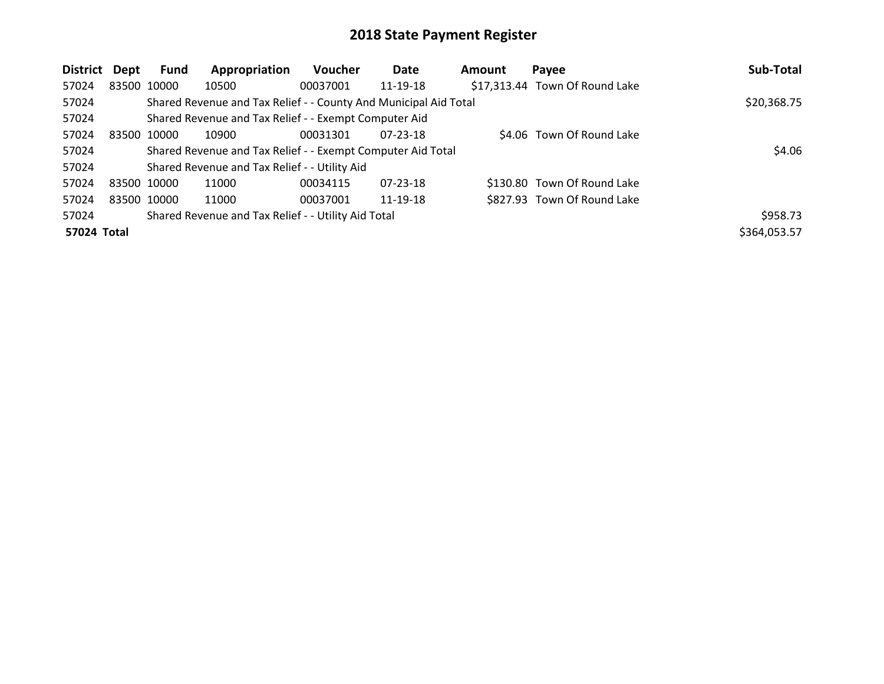| <b>District</b> | Dept        | Fund        | Appropriation                                                    | Voucher  | Date           | Amount | Payee                          | Sub-Total    |
|-----------------|-------------|-------------|------------------------------------------------------------------|----------|----------------|--------|--------------------------------|--------------|
| 57024           | 83500 10000 |             | 10500                                                            | 00037001 | 11-19-18       |        | \$17,313.44 Town Of Round Lake |              |
| 57024           |             |             | Shared Revenue and Tax Relief - - County And Municipal Aid Total |          |                |        |                                | \$20,368.75  |
| 57024           |             |             | Shared Revenue and Tax Relief - - Exempt Computer Aid            |          |                |        |                                |              |
| 57024           | 83500 10000 |             | 10900                                                            | 00031301 | $07 - 23 - 18$ |        | \$4.06 Town Of Round Lake      |              |
| 57024           |             |             | Shared Revenue and Tax Relief - - Exempt Computer Aid Total      |          |                |        |                                | \$4.06       |
| 57024           |             |             | Shared Revenue and Tax Relief - - Utility Aid                    |          |                |        |                                |              |
| 57024           | 83500 10000 |             | 11000                                                            | 00034115 | $07 - 23 - 18$ |        | \$130.80 Town Of Round Lake    |              |
| 57024           |             | 83500 10000 | 11000                                                            | 00037001 | 11-19-18       |        | \$827.93 Town Of Round Lake    |              |
| 57024           |             |             | Shared Revenue and Tax Relief - - Utility Aid Total              |          |                |        |                                | \$958.73     |
| 57024 Total     |             |             |                                                                  |          |                |        |                                | \$364,053.57 |
|                 |             |             |                                                                  |          |                |        |                                |              |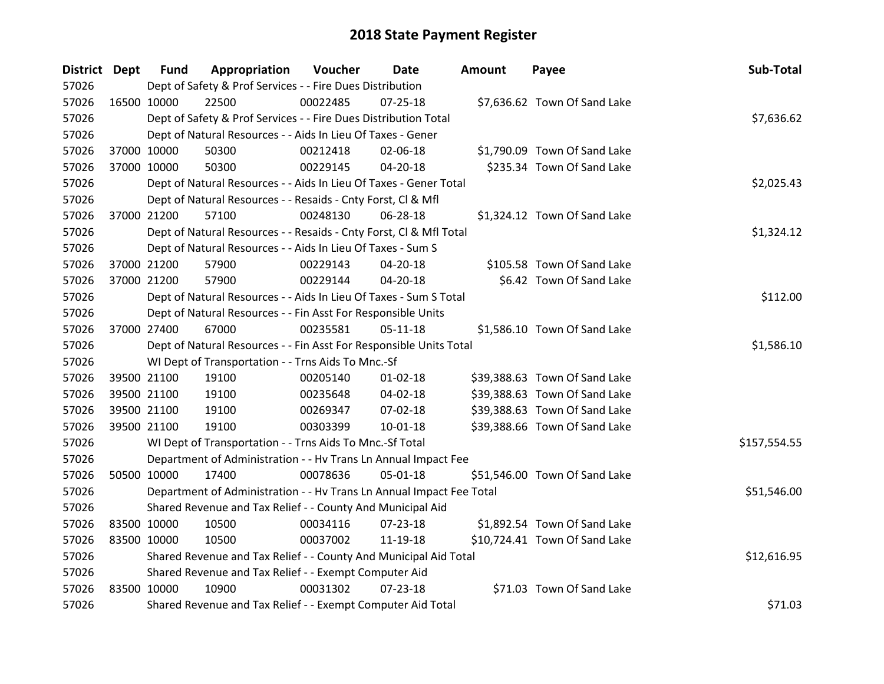| District Dept |             | <b>Fund</b> | Appropriation                                                        | Voucher  | Date           | Amount | Payee                         | Sub-Total    |
|---------------|-------------|-------------|----------------------------------------------------------------------|----------|----------------|--------|-------------------------------|--------------|
| 57026         |             |             | Dept of Safety & Prof Services - - Fire Dues Distribution            |          |                |        |                               |              |
| 57026         | 16500 10000 |             | 22500                                                                | 00022485 | $07 - 25 - 18$ |        | \$7,636.62 Town Of Sand Lake  |              |
| 57026         |             |             | Dept of Safety & Prof Services - - Fire Dues Distribution Total      |          |                |        |                               | \$7,636.62   |
| 57026         |             |             | Dept of Natural Resources - - Aids In Lieu Of Taxes - Gener          |          |                |        |                               |              |
| 57026         |             | 37000 10000 | 50300                                                                | 00212418 | 02-06-18       |        | \$1,790.09 Town Of Sand Lake  |              |
| 57026         |             | 37000 10000 | 50300                                                                | 00229145 | 04-20-18       |        | \$235.34 Town Of Sand Lake    |              |
| 57026         |             |             | Dept of Natural Resources - - Aids In Lieu Of Taxes - Gener Total    |          |                |        |                               | \$2,025.43   |
| 57026         |             |             | Dept of Natural Resources - - Resaids - Cnty Forst, Cl & Mfl         |          |                |        |                               |              |
| 57026         |             | 37000 21200 | 57100                                                                | 00248130 | 06-28-18       |        | \$1,324.12 Town Of Sand Lake  |              |
| 57026         |             |             | Dept of Natural Resources - - Resaids - Cnty Forst, Cl & Mfl Total   |          |                |        |                               | \$1,324.12   |
| 57026         |             |             | Dept of Natural Resources - - Aids In Lieu Of Taxes - Sum S          |          |                |        |                               |              |
| 57026         | 37000 21200 |             | 57900                                                                | 00229143 | $04 - 20 - 18$ |        | \$105.58 Town Of Sand Lake    |              |
| 57026         |             | 37000 21200 | 57900                                                                | 00229144 | 04-20-18       |        | \$6.42 Town Of Sand Lake      |              |
| 57026         |             |             | Dept of Natural Resources - - Aids In Lieu Of Taxes - Sum S Total    |          |                |        |                               | \$112.00     |
| 57026         |             |             | Dept of Natural Resources - - Fin Asst For Responsible Units         |          |                |        |                               |              |
| 57026         | 37000 27400 |             | 67000                                                                | 00235581 | $05 - 11 - 18$ |        | \$1,586.10 Town Of Sand Lake  |              |
| 57026         |             |             | Dept of Natural Resources - - Fin Asst For Responsible Units Total   |          |                |        |                               | \$1,586.10   |
| 57026         |             |             | WI Dept of Transportation - - Trns Aids To Mnc.-Sf                   |          |                |        |                               |              |
| 57026         | 39500 21100 |             | 19100                                                                | 00205140 | $01 - 02 - 18$ |        | \$39,388.63 Town Of Sand Lake |              |
| 57026         |             | 39500 21100 | 19100                                                                | 00235648 | 04-02-18       |        | \$39,388.63 Town Of Sand Lake |              |
| 57026         |             | 39500 21100 | 19100                                                                | 00269347 | 07-02-18       |        | \$39,388.63 Town Of Sand Lake |              |
| 57026         |             | 39500 21100 | 19100                                                                | 00303399 | 10-01-18       |        | \$39,388.66 Town Of Sand Lake |              |
| 57026         |             |             | WI Dept of Transportation - - Trns Aids To Mnc.-Sf Total             |          |                |        |                               | \$157,554.55 |
| 57026         |             |             | Department of Administration - - Hv Trans Ln Annual Impact Fee       |          |                |        |                               |              |
| 57026         | 50500 10000 |             | 17400                                                                | 00078636 | 05-01-18       |        | \$51,546.00 Town Of Sand Lake |              |
| 57026         |             |             | Department of Administration - - Hv Trans Ln Annual Impact Fee Total |          |                |        |                               | \$51,546.00  |
| 57026         |             |             | Shared Revenue and Tax Relief - - County And Municipal Aid           |          |                |        |                               |              |
| 57026         | 83500 10000 |             | 10500                                                                | 00034116 | $07 - 23 - 18$ |        | \$1,892.54 Town Of Sand Lake  |              |
| 57026         | 83500 10000 |             | 10500                                                                | 00037002 | 11-19-18       |        | \$10,724.41 Town Of Sand Lake |              |
| 57026         |             |             | Shared Revenue and Tax Relief - - County And Municipal Aid Total     |          |                |        |                               | \$12,616.95  |
| 57026         |             |             | Shared Revenue and Tax Relief - - Exempt Computer Aid                |          |                |        |                               |              |
| 57026         | 83500 10000 |             | 10900                                                                | 00031302 | 07-23-18       |        | \$71.03 Town Of Sand Lake     |              |
| 57026         |             |             | Shared Revenue and Tax Relief - - Exempt Computer Aid Total          |          |                |        |                               | \$71.03      |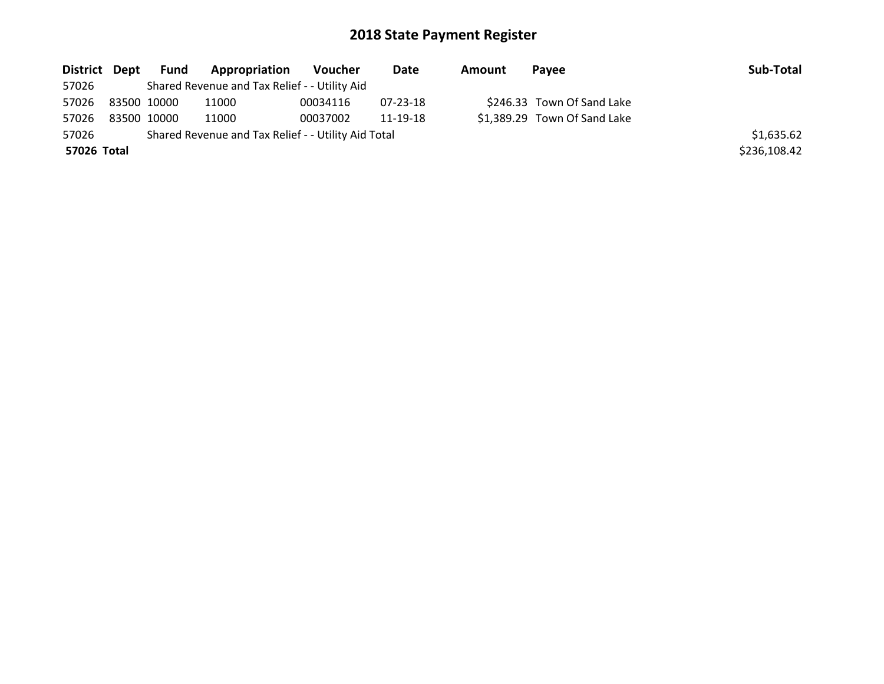| District Dept | Fund        | <b>Appropriation</b>                                | Voucher  | Date     | Amount | Pavee                        | Sub-Total    |
|---------------|-------------|-----------------------------------------------------|----------|----------|--------|------------------------------|--------------|
| 57026         |             | Shared Revenue and Tax Relief - - Utility Aid       |          |          |        |                              |              |
| 57026         | 83500 10000 | 11000                                               | 00034116 | 07-23-18 |        | \$246.33 Town Of Sand Lake   |              |
| 57026         | 83500 10000 | 11000                                               | 00037002 | 11-19-18 |        | \$1,389.29 Town Of Sand Lake |              |
| 57026         |             | Shared Revenue and Tax Relief - - Utility Aid Total |          |          |        |                              | \$1,635.62   |
| 57026 Total   |             |                                                     |          |          |        |                              | \$236,108.42 |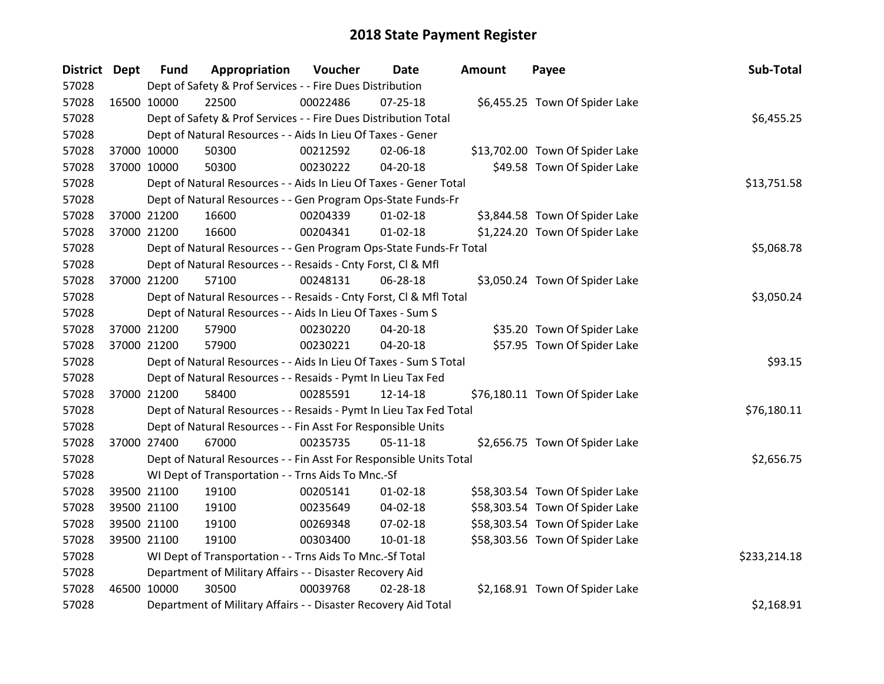| District Dept |             | <b>Fund</b> | Appropriation                                                      | Voucher  | <b>Date</b>    | <b>Amount</b> | Payee                           | Sub-Total    |
|---------------|-------------|-------------|--------------------------------------------------------------------|----------|----------------|---------------|---------------------------------|--------------|
| 57028         |             |             | Dept of Safety & Prof Services - - Fire Dues Distribution          |          |                |               |                                 |              |
| 57028         | 16500 10000 |             | 22500                                                              | 00022486 | $07 - 25 - 18$ |               | \$6,455.25 Town Of Spider Lake  |              |
| 57028         |             |             | Dept of Safety & Prof Services - - Fire Dues Distribution Total    |          |                |               |                                 | \$6,455.25   |
| 57028         |             |             | Dept of Natural Resources - - Aids In Lieu Of Taxes - Gener        |          |                |               |                                 |              |
| 57028         |             | 37000 10000 | 50300                                                              | 00212592 | 02-06-18       |               | \$13,702.00 Town Of Spider Lake |              |
| 57028         |             | 37000 10000 | 50300                                                              | 00230222 | 04-20-18       |               | \$49.58 Town Of Spider Lake     |              |
| 57028         |             |             | Dept of Natural Resources - - Aids In Lieu Of Taxes - Gener Total  |          | \$13,751.58    |               |                                 |              |
| 57028         |             |             | Dept of Natural Resources - - Gen Program Ops-State Funds-Fr       |          |                |               |                                 |              |
| 57028         |             | 37000 21200 | 16600                                                              | 00204339 | $01 - 02 - 18$ |               | \$3,844.58 Town Of Spider Lake  |              |
| 57028         |             | 37000 21200 | 16600                                                              | 00204341 | $01 - 02 - 18$ |               | \$1,224.20 Town Of Spider Lake  |              |
| 57028         |             |             | Dept of Natural Resources - - Gen Program Ops-State Funds-Fr Total |          |                |               |                                 | \$5,068.78   |
| 57028         |             |             | Dept of Natural Resources - - Resaids - Cnty Forst, Cl & Mfl       |          |                |               |                                 |              |
| 57028         |             | 37000 21200 | 57100                                                              | 00248131 | 06-28-18       |               | \$3,050.24 Town Of Spider Lake  |              |
| 57028         |             |             | Dept of Natural Resources - - Resaids - Cnty Forst, Cl & Mfl Total |          |                |               |                                 | \$3,050.24   |
| 57028         |             |             | Dept of Natural Resources - - Aids In Lieu Of Taxes - Sum S        |          |                |               |                                 |              |
| 57028         |             | 37000 21200 | 57900                                                              | 00230220 | 04-20-18       |               | \$35.20 Town Of Spider Lake     |              |
| 57028         |             | 37000 21200 | 57900                                                              | 00230221 | 04-20-18       |               | \$57.95 Town Of Spider Lake     |              |
| 57028         |             |             | Dept of Natural Resources - - Aids In Lieu Of Taxes - Sum S Total  |          |                |               |                                 | \$93.15      |
| 57028         |             |             | Dept of Natural Resources - - Resaids - Pymt In Lieu Tax Fed       |          |                |               |                                 |              |
| 57028         |             | 37000 21200 | 58400                                                              | 00285591 | 12-14-18       |               | \$76,180.11 Town Of Spider Lake |              |
| 57028         |             |             | Dept of Natural Resources - - Resaids - Pymt In Lieu Tax Fed Total |          |                |               |                                 | \$76,180.11  |
| 57028         |             |             | Dept of Natural Resources - - Fin Asst For Responsible Units       |          |                |               |                                 |              |
| 57028         |             | 37000 27400 | 67000                                                              | 00235735 | $05 - 11 - 18$ |               | \$2,656.75 Town Of Spider Lake  |              |
| 57028         |             |             | Dept of Natural Resources - - Fin Asst For Responsible Units Total |          |                |               |                                 | \$2,656.75   |
| 57028         |             |             | WI Dept of Transportation - - Trns Aids To Mnc.-Sf                 |          |                |               |                                 |              |
| 57028         |             | 39500 21100 | 19100                                                              | 00205141 | $01 - 02 - 18$ |               | \$58,303.54 Town Of Spider Lake |              |
| 57028         |             | 39500 21100 | 19100                                                              | 00235649 | $04 - 02 - 18$ |               | \$58,303.54 Town Of Spider Lake |              |
| 57028         |             | 39500 21100 | 19100                                                              | 00269348 | 07-02-18       |               | \$58,303.54 Town Of Spider Lake |              |
| 57028         |             | 39500 21100 | 19100                                                              | 00303400 | $10 - 01 - 18$ |               | \$58,303.56 Town Of Spider Lake |              |
| 57028         |             |             | WI Dept of Transportation - - Trns Aids To Mnc.-Sf Total           |          |                |               |                                 | \$233,214.18 |
| 57028         |             |             | Department of Military Affairs - - Disaster Recovery Aid           |          |                |               |                                 |              |
| 57028         | 46500 10000 |             | 30500                                                              | 00039768 | 02-28-18       |               | \$2,168.91 Town Of Spider Lake  |              |
| 57028         |             |             | Department of Military Affairs - - Disaster Recovery Aid Total     |          |                |               |                                 | \$2,168.91   |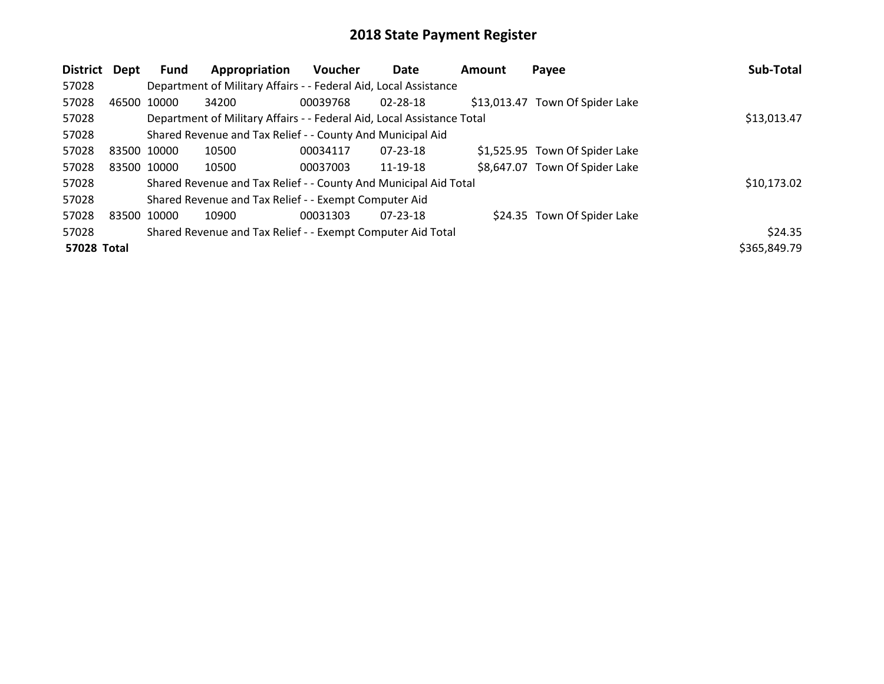| <b>District</b> | Dept        | <b>Fund</b> | Appropriation                                                          | <b>Voucher</b> | Date           | Amount | Payee                           | Sub-Total    |
|-----------------|-------------|-------------|------------------------------------------------------------------------|----------------|----------------|--------|---------------------------------|--------------|
| 57028           |             |             | Department of Military Affairs - - Federal Aid, Local Assistance       |                |                |        |                                 |              |
| 57028           | 46500 10000 |             | 34200                                                                  | 00039768       | $02 - 28 - 18$ |        | \$13,013.47 Town Of Spider Lake |              |
| 57028           |             |             | Department of Military Affairs - - Federal Aid, Local Assistance Total |                |                |        |                                 | \$13,013.47  |
| 57028           |             |             | Shared Revenue and Tax Relief - - County And Municipal Aid             |                |                |        |                                 |              |
| 57028           | 83500 10000 |             | 10500                                                                  | 00034117       | $07 - 23 - 18$ |        | \$1,525.95 Town Of Spider Lake  |              |
| 57028           | 83500 10000 |             | 10500                                                                  | 00037003       | 11-19-18       |        | \$8,647.07 Town Of Spider Lake  |              |
| 57028           |             |             | Shared Revenue and Tax Relief - - County And Municipal Aid Total       |                |                |        |                                 | \$10,173.02  |
| 57028           |             |             | Shared Revenue and Tax Relief - - Exempt Computer Aid                  |                |                |        |                                 |              |
| 57028           | 83500 10000 |             | 10900                                                                  | 00031303       | $07 - 23 - 18$ |        | \$24.35 Town Of Spider Lake     |              |
| 57028           |             |             | Shared Revenue and Tax Relief - - Exempt Computer Aid Total            |                |                |        |                                 | \$24.35      |
| 57028 Total     |             |             |                                                                        |                |                |        |                                 | \$365,849.79 |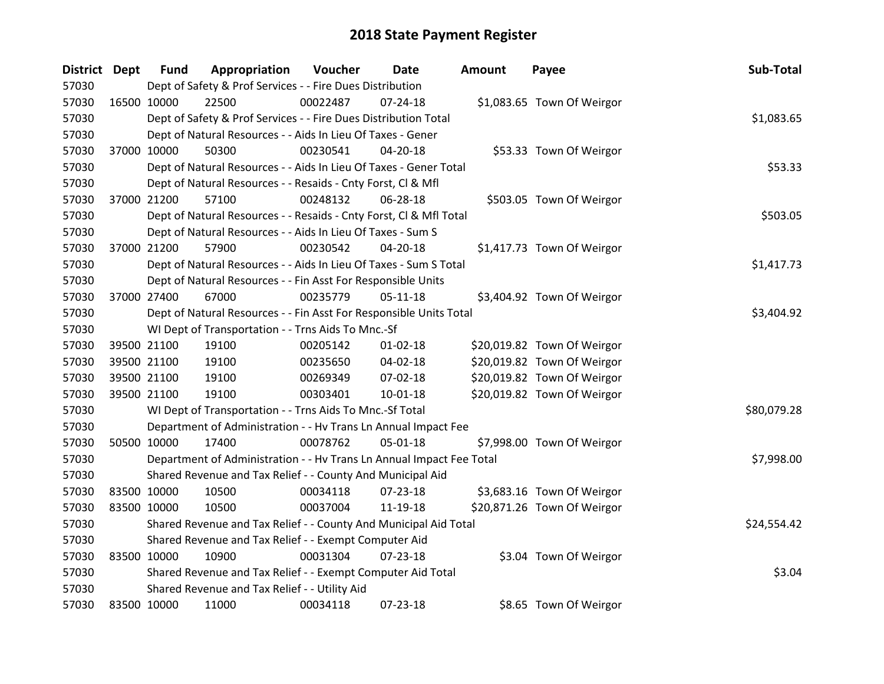| District Dept |             | <b>Fund</b> | Appropriation                                                        | Voucher    | Date           | <b>Amount</b> | Payee                       | Sub-Total   |
|---------------|-------------|-------------|----------------------------------------------------------------------|------------|----------------|---------------|-----------------------------|-------------|
| 57030         |             |             | Dept of Safety & Prof Services - - Fire Dues Distribution            |            |                |               |                             |             |
| 57030         | 16500 10000 |             | 22500                                                                | 00022487   | $07 - 24 - 18$ |               | \$1,083.65 Town Of Weirgor  |             |
| 57030         |             |             | Dept of Safety & Prof Services - - Fire Dues Distribution Total      |            |                |               |                             | \$1,083.65  |
| 57030         |             |             | Dept of Natural Resources - - Aids In Lieu Of Taxes - Gener          |            |                |               |                             |             |
| 57030         |             | 37000 10000 | 50300                                                                | 00230541   | 04-20-18       |               | \$53.33 Town Of Weirgor     |             |
| 57030         |             |             | Dept of Natural Resources - - Aids In Lieu Of Taxes - Gener Total    |            |                |               |                             | \$53.33     |
| 57030         |             |             | Dept of Natural Resources - - Resaids - Cnty Forst, Cl & Mfl         |            |                |               |                             |             |
| 57030         |             | 37000 21200 | 57100                                                                | 00248132   | 06-28-18       |               | \$503.05 Town Of Weirgor    |             |
| 57030         |             |             | Dept of Natural Resources - - Resaids - Cnty Forst, CI & Mfl Total   |            |                |               |                             | \$503.05    |
| 57030         |             |             | Dept of Natural Resources - - Aids In Lieu Of Taxes - Sum S          |            |                |               |                             |             |
| 57030         |             | 37000 21200 | 57900                                                                | 00230542   | $04 - 20 - 18$ |               | \$1,417.73 Town Of Weirgor  |             |
| 57030         |             |             | Dept of Natural Resources - - Aids In Lieu Of Taxes - Sum S Total    |            |                |               |                             | \$1,417.73  |
| 57030         |             |             | Dept of Natural Resources - - Fin Asst For Responsible Units         |            |                |               |                             |             |
| 57030         |             | 37000 27400 | 67000                                                                | 00235779   | $05 - 11 - 18$ |               | \$3,404.92 Town Of Weirgor  |             |
| 57030         |             |             | Dept of Natural Resources - - Fin Asst For Responsible Units Total   | \$3,404.92 |                |               |                             |             |
| 57030         |             |             | WI Dept of Transportation - - Trns Aids To Mnc.-Sf                   |            |                |               |                             |             |
| 57030         | 39500 21100 |             | 19100                                                                | 00205142   | $01 - 02 - 18$ |               | \$20,019.82 Town Of Weirgor |             |
| 57030         |             | 39500 21100 | 19100                                                                | 00235650   | 04-02-18       |               | \$20,019.82 Town Of Weirgor |             |
| 57030         |             | 39500 21100 | 19100                                                                | 00269349   | 07-02-18       |               | \$20,019.82 Town Of Weirgor |             |
| 57030         |             | 39500 21100 | 19100                                                                | 00303401   | 10-01-18       |               | \$20,019.82 Town Of Weirgor |             |
| 57030         |             |             | WI Dept of Transportation - - Trns Aids To Mnc.-Sf Total             |            |                |               |                             | \$80,079.28 |
| 57030         |             |             | Department of Administration - - Hv Trans Ln Annual Impact Fee       |            |                |               |                             |             |
| 57030         | 50500 10000 |             | 17400                                                                | 00078762   | 05-01-18       |               | \$7,998.00 Town Of Weirgor  |             |
| 57030         |             |             | Department of Administration - - Hv Trans Ln Annual Impact Fee Total |            |                |               |                             | \$7,998.00  |
| 57030         |             |             | Shared Revenue and Tax Relief - - County And Municipal Aid           |            |                |               |                             |             |
| 57030         | 83500 10000 |             | 10500                                                                | 00034118   | 07-23-18       |               | \$3,683.16 Town Of Weirgor  |             |
| 57030         | 83500 10000 |             | 10500                                                                | 00037004   | 11-19-18       |               | \$20,871.26 Town Of Weirgor |             |
| 57030         |             |             | Shared Revenue and Tax Relief - - County And Municipal Aid Total     |            |                |               |                             | \$24,554.42 |
| 57030         |             |             | Shared Revenue and Tax Relief - - Exempt Computer Aid                |            |                |               |                             |             |
| 57030         | 83500 10000 |             | 10900                                                                | 00031304   | $07 - 23 - 18$ |               | \$3.04 Town Of Weirgor      |             |
| 57030         |             |             | Shared Revenue and Tax Relief - - Exempt Computer Aid Total          |            |                |               |                             | \$3.04      |
| 57030         |             |             | Shared Revenue and Tax Relief - - Utility Aid                        |            |                |               |                             |             |
| 57030         | 83500 10000 |             | 11000                                                                | 00034118   | 07-23-18       |               | \$8.65 Town Of Weirgor      |             |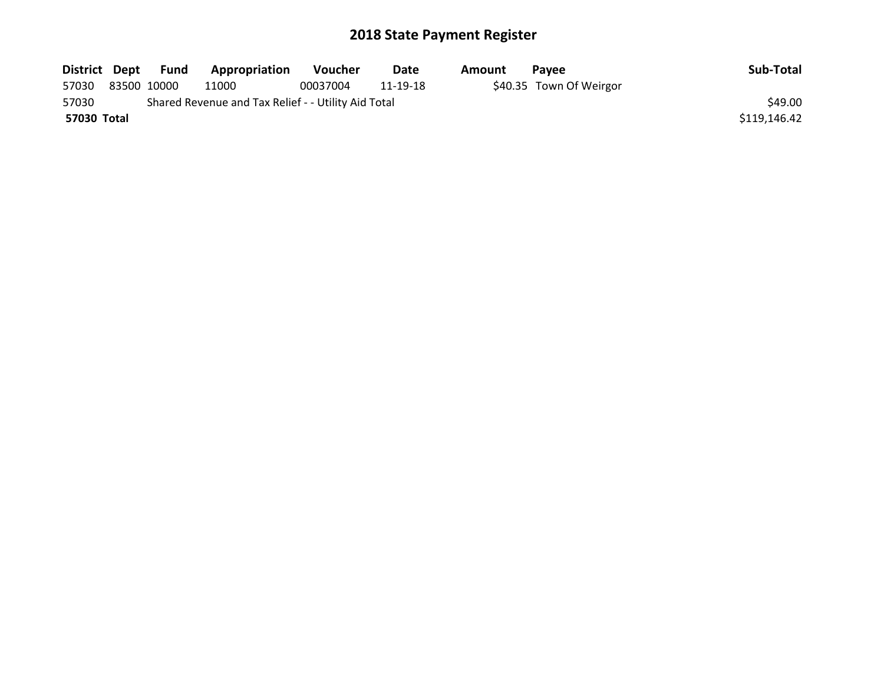| District Dept | Fund        | Appropriation                                       | <b>Voucher</b> | Date     | Amount | <b>Pavee</b>            | Sub-Total    |
|---------------|-------------|-----------------------------------------------------|----------------|----------|--------|-------------------------|--------------|
| 57030         | 83500 10000 | 11000                                               | 00037004       | 11-19-18 |        | \$40.35 Town Of Weirgor |              |
| 57030         |             | Shared Revenue and Tax Relief - - Utility Aid Total |                |          |        |                         | \$49.00      |
| 57030 Total   |             |                                                     |                |          |        |                         | \$119,146.42 |
|               |             |                                                     |                |          |        |                         |              |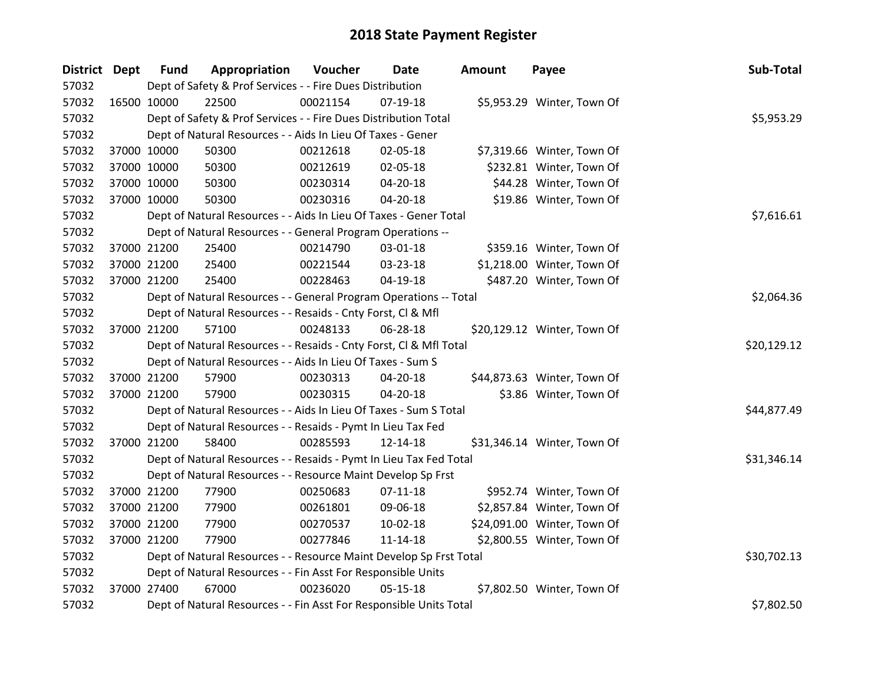| <b>District Dept</b> |             | <b>Fund</b> | Appropriation                                                      | Voucher  | Date           | <b>Amount</b> | Payee                       | Sub-Total   |
|----------------------|-------------|-------------|--------------------------------------------------------------------|----------|----------------|---------------|-----------------------------|-------------|
| 57032                |             |             | Dept of Safety & Prof Services - - Fire Dues Distribution          |          |                |               |                             |             |
| 57032                | 16500 10000 |             | 22500                                                              | 00021154 | $07-19-18$     |               | \$5,953.29 Winter, Town Of  |             |
| 57032                |             |             | Dept of Safety & Prof Services - - Fire Dues Distribution Total    |          |                |               |                             | \$5,953.29  |
| 57032                |             |             | Dept of Natural Resources - - Aids In Lieu Of Taxes - Gener        |          |                |               |                             |             |
| 57032                |             | 37000 10000 | 50300                                                              | 00212618 | 02-05-18       |               | \$7,319.66 Winter, Town Of  |             |
| 57032                |             | 37000 10000 | 50300                                                              | 00212619 | 02-05-18       |               | \$232.81 Winter, Town Of    |             |
| 57032                |             | 37000 10000 | 50300                                                              | 00230314 | 04-20-18       |               | \$44.28 Winter, Town Of     |             |
| 57032                |             | 37000 10000 | 50300                                                              | 00230316 | 04-20-18       |               | \$19.86 Winter, Town Of     |             |
| 57032                |             |             | Dept of Natural Resources - - Aids In Lieu Of Taxes - Gener Total  |          |                |               |                             | \$7,616.61  |
| 57032                |             |             | Dept of Natural Resources - - General Program Operations --        |          |                |               |                             |             |
| 57032                |             | 37000 21200 | 25400                                                              | 00214790 | 03-01-18       |               | \$359.16 Winter, Town Of    |             |
| 57032                |             | 37000 21200 | 25400                                                              | 00221544 | 03-23-18       |               | \$1,218.00 Winter, Town Of  |             |
| 57032                |             | 37000 21200 | 25400                                                              | 00228463 | 04-19-18       |               | \$487.20 Winter, Town Of    |             |
| 57032                |             |             | Dept of Natural Resources - - General Program Operations -- Total  |          |                |               |                             | \$2,064.36  |
| 57032                |             |             | Dept of Natural Resources - - Resaids - Cnty Forst, Cl & Mfl       |          |                |               |                             |             |
| 57032                |             | 37000 21200 | 57100                                                              | 00248133 | 06-28-18       |               | \$20,129.12 Winter, Town Of |             |
| 57032                |             |             | Dept of Natural Resources - - Resaids - Cnty Forst, CI & Mfl Total |          |                |               |                             | \$20,129.12 |
| 57032                |             |             | Dept of Natural Resources - - Aids In Lieu Of Taxes - Sum S        |          |                |               |                             |             |
| 57032                |             | 37000 21200 | 57900                                                              | 00230313 | 04-20-18       |               | \$44,873.63 Winter, Town Of |             |
| 57032                |             | 37000 21200 | 57900                                                              | 00230315 | 04-20-18       |               | \$3.86 Winter, Town Of      |             |
| 57032                |             |             | Dept of Natural Resources - - Aids In Lieu Of Taxes - Sum S Total  |          |                |               |                             | \$44,877.49 |
| 57032                |             |             | Dept of Natural Resources - - Resaids - Pymt In Lieu Tax Fed       |          |                |               |                             |             |
| 57032                |             | 37000 21200 | 58400                                                              | 00285593 | 12-14-18       |               | \$31,346.14 Winter, Town Of |             |
| 57032                |             |             | Dept of Natural Resources - - Resaids - Pymt In Lieu Tax Fed Total |          |                |               |                             | \$31,346.14 |
| 57032                |             |             | Dept of Natural Resources - - Resource Maint Develop Sp Frst       |          |                |               |                             |             |
| 57032                |             | 37000 21200 | 77900                                                              | 00250683 | $07-11-18$     |               | \$952.74 Winter, Town Of    |             |
| 57032                |             | 37000 21200 | 77900                                                              | 00261801 | 09-06-18       |               | \$2,857.84 Winter, Town Of  |             |
| 57032                |             | 37000 21200 | 77900                                                              | 00270537 | 10-02-18       |               | \$24,091.00 Winter, Town Of |             |
| 57032                |             | 37000 21200 | 77900                                                              | 00277846 | $11 - 14 - 18$ |               | \$2,800.55 Winter, Town Of  |             |
| 57032                |             |             | Dept of Natural Resources - - Resource Maint Develop Sp Frst Total |          |                |               |                             | \$30,702.13 |
| 57032                |             |             | Dept of Natural Resources - - Fin Asst For Responsible Units       |          |                |               |                             |             |
| 57032                |             | 37000 27400 | 67000                                                              | 00236020 | $05 - 15 - 18$ |               | \$7,802.50 Winter, Town Of  |             |
| 57032                |             |             | Dept of Natural Resources - - Fin Asst For Responsible Units Total |          |                |               |                             | \$7,802.50  |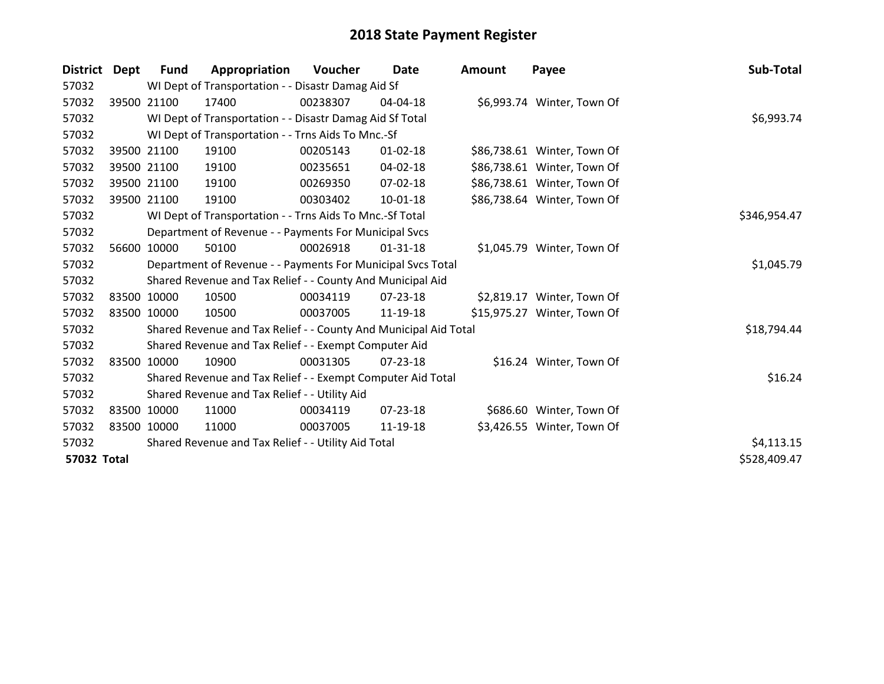| <b>District</b> | Dept  | Fund        | Appropriation                                                    | Voucher  | Date           | <b>Amount</b> | Payee                       | Sub-Total    |
|-----------------|-------|-------------|------------------------------------------------------------------|----------|----------------|---------------|-----------------------------|--------------|
| 57032           |       |             | WI Dept of Transportation - - Disastr Damag Aid Sf               |          |                |               |                             |              |
| 57032           |       | 39500 21100 | 17400                                                            | 00238307 | $04 - 04 - 18$ |               | \$6,993.74 Winter, Town Of  |              |
| 57032           |       |             | WI Dept of Transportation - - Disastr Damag Aid Sf Total         |          |                |               |                             | \$6,993.74   |
| 57032           |       |             | WI Dept of Transportation - - Trns Aids To Mnc.-Sf               |          |                |               |                             |              |
| 57032           |       | 39500 21100 | 19100                                                            | 00205143 | $01 - 02 - 18$ |               | \$86,738.61 Winter, Town Of |              |
| 57032           |       | 39500 21100 | 19100                                                            | 00235651 | $04 - 02 - 18$ |               | \$86,738.61 Winter, Town Of |              |
| 57032           |       | 39500 21100 | 19100                                                            | 00269350 | 07-02-18       |               | \$86,738.61 Winter, Town Of |              |
| 57032           |       | 39500 21100 | 19100                                                            | 00303402 | $10-01-18$     |               | \$86,738.64 Winter, Town Of |              |
| 57032           |       |             | WI Dept of Transportation - - Trns Aids To Mnc.-Sf Total         |          |                |               |                             | \$346,954.47 |
| 57032           |       |             | Department of Revenue - - Payments For Municipal Svcs            |          |                |               |                             |              |
| 57032           | 56600 | 10000       | 50100                                                            | 00026918 | 01-31-18       |               | \$1,045.79 Winter, Town Of  |              |
| 57032           |       |             | Department of Revenue - - Payments For Municipal Svcs Total      |          |                |               |                             | \$1,045.79   |
| 57032           |       |             | Shared Revenue and Tax Relief - - County And Municipal Aid       |          |                |               |                             |              |
| 57032           |       | 83500 10000 | 10500                                                            | 00034119 | 07-23-18       |               | \$2,819.17 Winter, Town Of  |              |
| 57032           |       | 83500 10000 | 10500                                                            | 00037005 | 11-19-18       |               | \$15,975.27 Winter, Town Of |              |
| 57032           |       |             | Shared Revenue and Tax Relief - - County And Municipal Aid Total |          |                |               |                             | \$18,794.44  |
| 57032           |       |             | Shared Revenue and Tax Relief - - Exempt Computer Aid            |          |                |               |                             |              |
| 57032           |       | 83500 10000 | 10900                                                            | 00031305 | $07 - 23 - 18$ |               | \$16.24 Winter, Town Of     |              |
| 57032           |       |             | Shared Revenue and Tax Relief - - Exempt Computer Aid Total      |          |                |               |                             | \$16.24      |
| 57032           |       |             | Shared Revenue and Tax Relief - - Utility Aid                    |          |                |               |                             |              |
| 57032           |       | 83500 10000 | 11000                                                            | 00034119 | $07 - 23 - 18$ |               | \$686.60 Winter, Town Of    |              |
| 57032           |       | 83500 10000 | 11000                                                            | 00037005 | 11-19-18       |               | \$3,426.55 Winter, Town Of  |              |
| 57032           |       |             | Shared Revenue and Tax Relief - - Utility Aid Total              |          |                |               |                             | \$4,113.15   |
| 57032 Total     |       |             |                                                                  |          |                |               |                             | \$528,409.47 |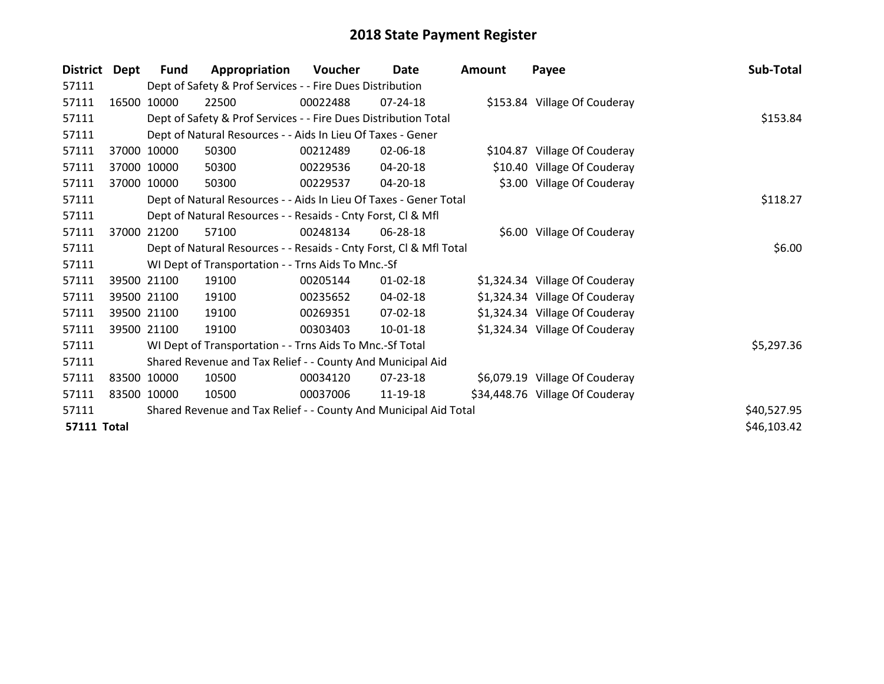| <b>District</b>    | Dept  | <b>Fund</b> | Appropriation                                                      | Voucher  | Date           | <b>Amount</b> | Payee                           | Sub-Total   |
|--------------------|-------|-------------|--------------------------------------------------------------------|----------|----------------|---------------|---------------------------------|-------------|
| 57111              |       |             | Dept of Safety & Prof Services - - Fire Dues Distribution          |          |                |               |                                 |             |
| 57111              | 16500 | 10000       | 22500                                                              | 00022488 | $07 - 24 - 18$ |               | \$153.84 Village Of Couderay    |             |
| 57111              |       |             | Dept of Safety & Prof Services - - Fire Dues Distribution Total    |          |                |               |                                 | \$153.84    |
| 57111              |       |             | Dept of Natural Resources - - Aids In Lieu Of Taxes - Gener        |          |                |               |                                 |             |
| 57111              |       | 37000 10000 | 50300                                                              | 00212489 | 02-06-18       |               | \$104.87 Village Of Couderay    |             |
| 57111              |       | 37000 10000 | 50300                                                              | 00229536 | 04-20-18       |               | \$10.40 Village Of Couderay     |             |
| 57111              |       | 37000 10000 | 50300                                                              | 00229537 | 04-20-18       |               | \$3.00 Village Of Couderay      |             |
| 57111              |       |             | Dept of Natural Resources - - Aids In Lieu Of Taxes - Gener Total  |          | \$118.27       |               |                                 |             |
| 57111              |       |             | Dept of Natural Resources - - Resaids - Cnty Forst, CI & Mfl       |          |                |               |                                 |             |
| 57111              | 37000 | 21200       | 57100                                                              | 00248134 | 06-28-18       |               | \$6.00 Village Of Couderay      |             |
| 57111              |       |             | Dept of Natural Resources - - Resaids - Cnty Forst, CI & Mfl Total |          |                |               |                                 | \$6.00      |
| 57111              |       |             | WI Dept of Transportation - - Trns Aids To Mnc.-Sf                 |          |                |               |                                 |             |
| 57111              |       | 39500 21100 | 19100                                                              | 00205144 | $01 - 02 - 18$ |               | \$1,324.34 Village Of Couderay  |             |
| 57111              |       | 39500 21100 | 19100                                                              | 00235652 | 04-02-18       |               | \$1,324.34 Village Of Couderay  |             |
| 57111              |       | 39500 21100 | 19100                                                              | 00269351 | 07-02-18       |               | \$1,324.34 Village Of Couderay  |             |
| 57111              |       | 39500 21100 | 19100                                                              | 00303403 | 10-01-18       |               | \$1,324.34 Village Of Couderay  |             |
| 57111              |       |             | WI Dept of Transportation - - Trns Aids To Mnc.-Sf Total           |          |                |               |                                 | \$5,297.36  |
| 57111              |       |             | Shared Revenue and Tax Relief - - County And Municipal Aid         |          |                |               |                                 |             |
| 57111              |       | 83500 10000 | 10500                                                              | 00034120 | 07-23-18       |               | \$6,079.19 Village Of Couderay  |             |
| 57111              |       | 83500 10000 | 10500                                                              | 00037006 | 11-19-18       |               | \$34,448.76 Village Of Couderay |             |
| 57111              |       |             | Shared Revenue and Tax Relief - - County And Municipal Aid Total   |          |                |               |                                 | \$40,527.95 |
| <b>57111 Total</b> |       |             |                                                                    |          |                |               |                                 | \$46,103.42 |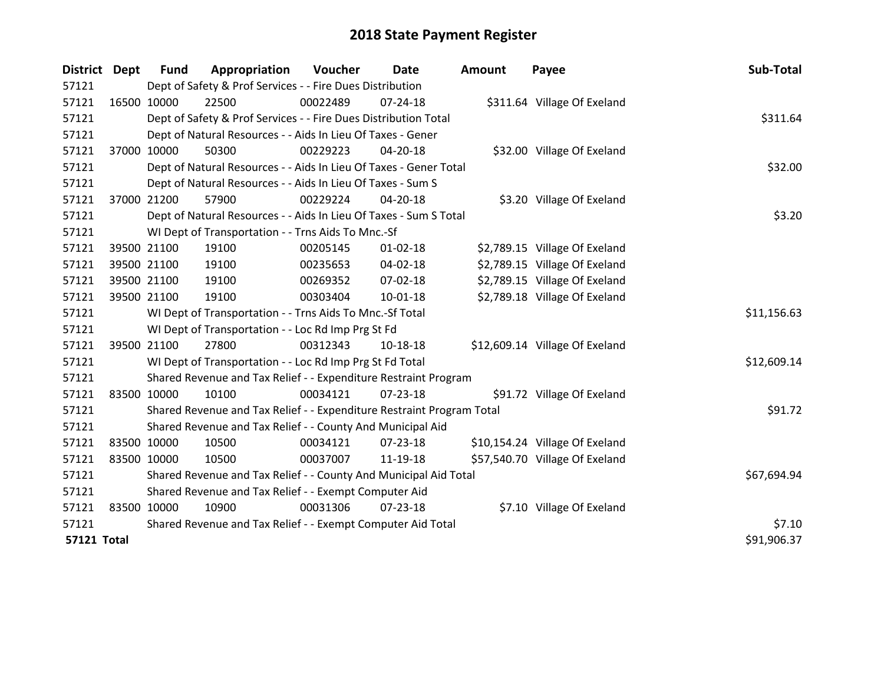| District Dept      |             | <b>Fund</b>                                                      | Appropriation                                                         | Voucher  | Date           | <b>Amount</b> | Payee                          | Sub-Total   |
|--------------------|-------------|------------------------------------------------------------------|-----------------------------------------------------------------------|----------|----------------|---------------|--------------------------------|-------------|
| 57121              |             |                                                                  | Dept of Safety & Prof Services - - Fire Dues Distribution             |          |                |               |                                |             |
| 57121              | 16500 10000 |                                                                  | 22500                                                                 | 00022489 | 07-24-18       |               | \$311.64 Village Of Exeland    |             |
| 57121              |             |                                                                  | Dept of Safety & Prof Services - - Fire Dues Distribution Total       |          |                |               |                                | \$311.64    |
| 57121              |             |                                                                  | Dept of Natural Resources - - Aids In Lieu Of Taxes - Gener           |          |                |               |                                |             |
| 57121              |             | 37000 10000                                                      | 50300                                                                 | 00229223 | 04-20-18       |               | \$32.00 Village Of Exeland     |             |
| 57121              |             |                                                                  | Dept of Natural Resources - - Aids In Lieu Of Taxes - Gener Total     |          |                |               |                                | \$32.00     |
| 57121              |             |                                                                  | Dept of Natural Resources - - Aids In Lieu Of Taxes - Sum S           |          |                |               |                                |             |
| 57121              |             | 37000 21200                                                      | 57900                                                                 | 00229224 | 04-20-18       |               | \$3.20 Village Of Exeland      |             |
| 57121              |             |                                                                  | Dept of Natural Resources - - Aids In Lieu Of Taxes - Sum S Total     |          |                |               |                                | \$3.20      |
| 57121              |             |                                                                  | WI Dept of Transportation - - Trns Aids To Mnc.-Sf                    |          |                |               |                                |             |
| 57121              |             | 39500 21100                                                      | 19100                                                                 | 00205145 | $01 - 02 - 18$ |               | \$2,789.15 Village Of Exeland  |             |
| 57121              |             | 39500 21100                                                      | 19100                                                                 | 00235653 | 04-02-18       |               | \$2,789.15 Village Of Exeland  |             |
| 57121              |             | 39500 21100                                                      | 19100                                                                 | 00269352 | 07-02-18       |               | \$2,789.15 Village Of Exeland  |             |
| 57121              |             | 39500 21100                                                      | 19100                                                                 | 00303404 | $10 - 01 - 18$ |               | \$2,789.18 Village Of Exeland  |             |
| 57121              |             |                                                                  | WI Dept of Transportation - - Trns Aids To Mnc.-Sf Total              |          |                |               |                                | \$11,156.63 |
| 57121              |             |                                                                  | WI Dept of Transportation - - Loc Rd Imp Prg St Fd                    |          |                |               |                                |             |
| 57121              |             | 39500 21100                                                      | 27800                                                                 | 00312343 | 10-18-18       |               | \$12,609.14 Village Of Exeland |             |
| 57121              |             |                                                                  | WI Dept of Transportation - - Loc Rd Imp Prg St Fd Total              |          |                |               |                                | \$12,609.14 |
| 57121              |             |                                                                  | Shared Revenue and Tax Relief - - Expenditure Restraint Program       |          |                |               |                                |             |
| 57121              | 83500 10000 |                                                                  | 10100                                                                 | 00034121 | $07 - 23 - 18$ |               | \$91.72 Village Of Exeland     |             |
| 57121              |             |                                                                  | Shared Revenue and Tax Relief - - Expenditure Restraint Program Total |          |                |               |                                | \$91.72     |
| 57121              |             |                                                                  | Shared Revenue and Tax Relief - - County And Municipal Aid            |          |                |               |                                |             |
| 57121              |             | 83500 10000                                                      | 10500                                                                 | 00034121 | 07-23-18       |               | \$10,154.24 Village Of Exeland |             |
| 57121              | 83500 10000 |                                                                  | 10500                                                                 | 00037007 | 11-19-18       |               | \$57,540.70 Village Of Exeland |             |
| 57121              |             | Shared Revenue and Tax Relief - - County And Municipal Aid Total |                                                                       |          |                |               |                                | \$67,694.94 |
| 57121              |             |                                                                  | Shared Revenue and Tax Relief - - Exempt Computer Aid                 |          |                |               |                                |             |
| 57121              | 83500 10000 |                                                                  | 10900                                                                 | 00031306 | 07-23-18       |               | \$7.10 Village Of Exeland      |             |
| 57121              |             |                                                                  | Shared Revenue and Tax Relief - - Exempt Computer Aid Total           | \$7.10   |                |               |                                |             |
| <b>57121 Total</b> |             |                                                                  |                                                                       |          |                |               |                                | \$91,906.37 |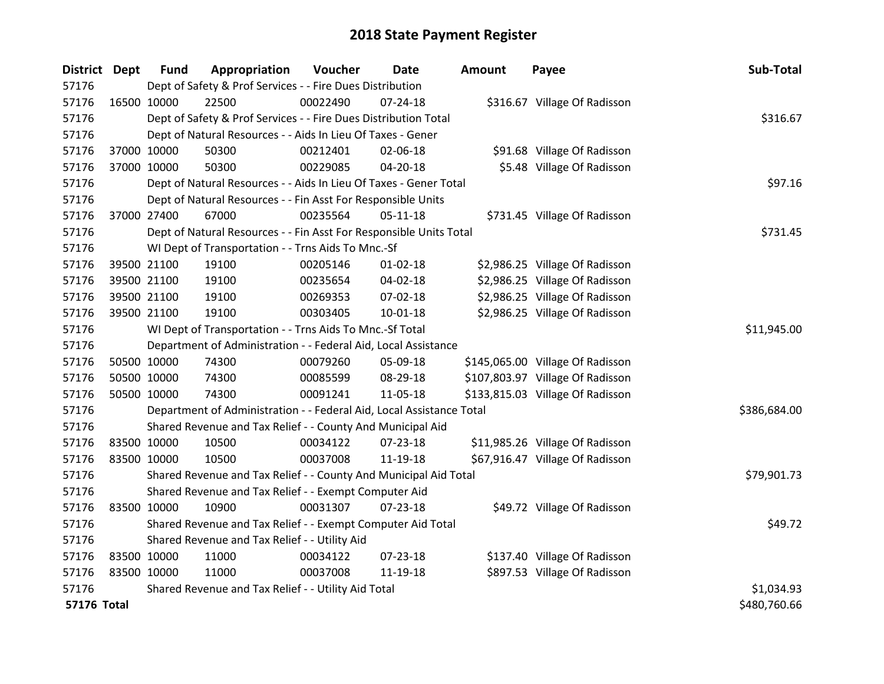| District Dept      |             | <b>Fund</b> | Appropriation                                                        | Voucher  | Date           | <b>Amount</b> | Payee                            | Sub-Total    |
|--------------------|-------------|-------------|----------------------------------------------------------------------|----------|----------------|---------------|----------------------------------|--------------|
| 57176              |             |             | Dept of Safety & Prof Services - - Fire Dues Distribution            |          |                |               |                                  |              |
| 57176              | 16500 10000 |             | 22500                                                                | 00022490 | $07 - 24 - 18$ |               | \$316.67 Village Of Radisson     |              |
| 57176              |             |             | Dept of Safety & Prof Services - - Fire Dues Distribution Total      |          |                |               |                                  | \$316.67     |
| 57176              |             |             | Dept of Natural Resources - - Aids In Lieu Of Taxes - Gener          |          |                |               |                                  |              |
| 57176              |             | 37000 10000 | 50300                                                                | 00212401 | 02-06-18       |               | \$91.68 Village Of Radisson      |              |
| 57176              | 37000 10000 |             | 50300                                                                | 00229085 | $04 - 20 - 18$ |               | \$5.48 Village Of Radisson       |              |
| 57176              |             |             | Dept of Natural Resources - - Aids In Lieu Of Taxes - Gener Total    |          |                |               |                                  | \$97.16      |
| 57176              |             |             | Dept of Natural Resources - - Fin Asst For Responsible Units         |          |                |               |                                  |              |
| 57176              |             | 37000 27400 | 67000                                                                | 00235564 | $05 - 11 - 18$ |               | \$731.45 Village Of Radisson     |              |
| 57176              |             |             | Dept of Natural Resources - - Fin Asst For Responsible Units Total   |          |                |               |                                  | \$731.45     |
| 57176              |             |             | WI Dept of Transportation - - Trns Aids To Mnc.-Sf                   |          |                |               |                                  |              |
| 57176              |             | 39500 21100 | 19100                                                                | 00205146 | $01 - 02 - 18$ |               | \$2,986.25 Village Of Radisson   |              |
| 57176              | 39500 21100 |             | 19100                                                                | 00235654 | 04-02-18       |               | \$2,986.25 Village Of Radisson   |              |
| 57176              |             | 39500 21100 | 19100                                                                | 00269353 | 07-02-18       |               | \$2,986.25 Village Of Radisson   |              |
| 57176              |             | 39500 21100 | 19100                                                                | 00303405 | $10 - 01 - 18$ |               | \$2,986.25 Village Of Radisson   |              |
| 57176              |             |             | WI Dept of Transportation - - Trns Aids To Mnc.-Sf Total             |          |                |               |                                  | \$11,945.00  |
| 57176              |             |             | Department of Administration - - Federal Aid, Local Assistance       |          |                |               |                                  |              |
| 57176              | 50500 10000 |             | 74300                                                                | 00079260 | 05-09-18       |               | \$145,065.00 Village Of Radisson |              |
| 57176              | 50500 10000 |             | 74300                                                                | 00085599 | 08-29-18       |               | \$107,803.97 Village Of Radisson |              |
| 57176              | 50500 10000 |             | 74300                                                                | 00091241 | 11-05-18       |               | \$133,815.03 Village Of Radisson |              |
| 57176              |             |             | Department of Administration - - Federal Aid, Local Assistance Total |          |                |               |                                  | \$386,684.00 |
| 57176              |             |             | Shared Revenue and Tax Relief - - County And Municipal Aid           |          |                |               |                                  |              |
| 57176              | 83500 10000 |             | 10500                                                                | 00034122 | $07 - 23 - 18$ |               | \$11,985.26 Village Of Radisson  |              |
| 57176              | 83500 10000 |             | 10500                                                                | 00037008 | 11-19-18       |               | \$67,916.47 Village Of Radisson  |              |
| 57176              |             |             | Shared Revenue and Tax Relief - - County And Municipal Aid Total     |          |                |               |                                  | \$79,901.73  |
| 57176              |             |             | Shared Revenue and Tax Relief - - Exempt Computer Aid                |          |                |               |                                  |              |
| 57176              | 83500 10000 |             | 10900                                                                | 00031307 | 07-23-18       |               | \$49.72 Village Of Radisson      |              |
| 57176              |             |             | Shared Revenue and Tax Relief - - Exempt Computer Aid Total          |          |                |               |                                  | \$49.72      |
| 57176              |             |             | Shared Revenue and Tax Relief - - Utility Aid                        |          |                |               |                                  |              |
| 57176              | 83500 10000 |             | 11000                                                                | 00034122 | $07 - 23 - 18$ |               | \$137.40 Village Of Radisson     |              |
| 57176              | 83500 10000 |             | 11000                                                                | 00037008 | 11-19-18       |               | \$897.53 Village Of Radisson     |              |
| 57176              |             |             | Shared Revenue and Tax Relief - - Utility Aid Total                  |          |                |               |                                  | \$1,034.93   |
| <b>57176 Total</b> |             |             |                                                                      |          |                |               |                                  | \$480,760.66 |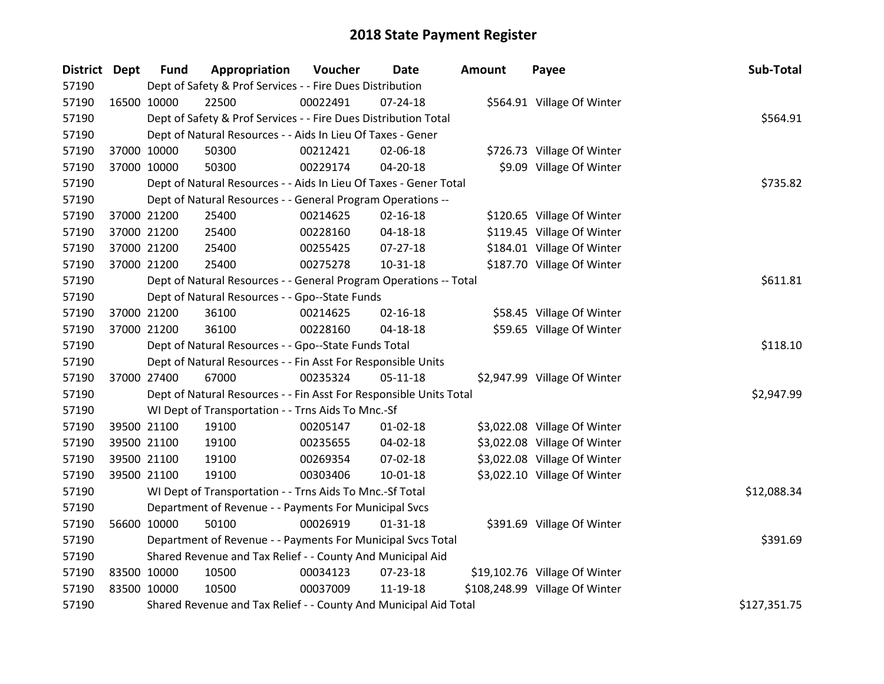| District Dept | <b>Fund</b> | Appropriation                                                      | Voucher  | <b>Date</b>    | <b>Amount</b> | Payee                          | Sub-Total    |
|---------------|-------------|--------------------------------------------------------------------|----------|----------------|---------------|--------------------------------|--------------|
| 57190         |             | Dept of Safety & Prof Services - - Fire Dues Distribution          |          |                |               |                                |              |
| 57190         | 16500 10000 | 22500                                                              | 00022491 | $07 - 24 - 18$ |               | \$564.91 Village Of Winter     |              |
| 57190         |             | Dept of Safety & Prof Services - - Fire Dues Distribution Total    |          |                |               |                                | \$564.91     |
| 57190         |             | Dept of Natural Resources - - Aids In Lieu Of Taxes - Gener        |          |                |               |                                |              |
| 57190         | 37000 10000 | 50300                                                              | 00212421 | 02-06-18       |               | \$726.73 Village Of Winter     |              |
| 57190         | 37000 10000 | 50300                                                              | 00229174 | 04-20-18       |               | \$9.09 Village Of Winter       |              |
| 57190         |             | Dept of Natural Resources - - Aids In Lieu Of Taxes - Gener Total  |          |                |               |                                | \$735.82     |
| 57190         |             | Dept of Natural Resources - - General Program Operations --        |          |                |               |                                |              |
| 57190         | 37000 21200 | 25400                                                              | 00214625 | $02 - 16 - 18$ |               | \$120.65 Village Of Winter     |              |
| 57190         | 37000 21200 | 25400                                                              | 00228160 | $04 - 18 - 18$ |               | \$119.45 Village Of Winter     |              |
| 57190         | 37000 21200 | 25400                                                              | 00255425 | $07-27-18$     |               | \$184.01 Village Of Winter     |              |
| 57190         | 37000 21200 | 25400                                                              | 00275278 | 10-31-18       |               | \$187.70 Village Of Winter     |              |
| 57190         |             | Dept of Natural Resources - - General Program Operations -- Total  |          |                |               |                                | \$611.81     |
| 57190         |             | Dept of Natural Resources - - Gpo--State Funds                     |          |                |               |                                |              |
| 57190         | 37000 21200 | 36100                                                              | 00214625 | $02 - 16 - 18$ |               | \$58.45 Village Of Winter      |              |
| 57190         | 37000 21200 | 36100                                                              | 00228160 | 04-18-18       |               | \$59.65 Village Of Winter      |              |
| 57190         |             | Dept of Natural Resources - - Gpo--State Funds Total               |          |                |               |                                | \$118.10     |
| 57190         |             | Dept of Natural Resources - - Fin Asst For Responsible Units       |          |                |               |                                |              |
| 57190         | 37000 27400 | 67000                                                              | 00235324 | $05-11-18$     |               | \$2,947.99 Village Of Winter   |              |
| 57190         |             | Dept of Natural Resources - - Fin Asst For Responsible Units Total |          |                |               |                                | \$2,947.99   |
| 57190         |             | WI Dept of Transportation - - Trns Aids To Mnc.-Sf                 |          |                |               |                                |              |
| 57190         | 39500 21100 | 19100                                                              | 00205147 | $01 - 02 - 18$ |               | \$3,022.08 Village Of Winter   |              |
| 57190         | 39500 21100 | 19100                                                              | 00235655 | 04-02-18       |               | \$3,022.08 Village Of Winter   |              |
| 57190         | 39500 21100 | 19100                                                              | 00269354 | 07-02-18       |               | \$3,022.08 Village Of Winter   |              |
| 57190         | 39500 21100 | 19100                                                              | 00303406 | $10 - 01 - 18$ |               | \$3,022.10 Village Of Winter   |              |
| 57190         |             | WI Dept of Transportation - - Trns Aids To Mnc.-Sf Total           |          |                |               |                                | \$12,088.34  |
| 57190         |             | Department of Revenue - - Payments For Municipal Svcs              |          |                |               |                                |              |
| 57190         | 56600 10000 | 50100                                                              | 00026919 | $01 - 31 - 18$ |               | \$391.69 Village Of Winter     |              |
| 57190         |             | Department of Revenue - - Payments For Municipal Svcs Total        |          |                |               |                                | \$391.69     |
| 57190         |             | Shared Revenue and Tax Relief - - County And Municipal Aid         |          |                |               |                                |              |
| 57190         | 83500 10000 | 10500                                                              | 00034123 | 07-23-18       |               | \$19,102.76 Village Of Winter  |              |
| 57190         | 83500 10000 | 10500                                                              | 00037009 | 11-19-18       |               | \$108,248.99 Village Of Winter |              |
| 57190         |             | Shared Revenue and Tax Relief - - County And Municipal Aid Total   |          |                |               |                                | \$127,351.75 |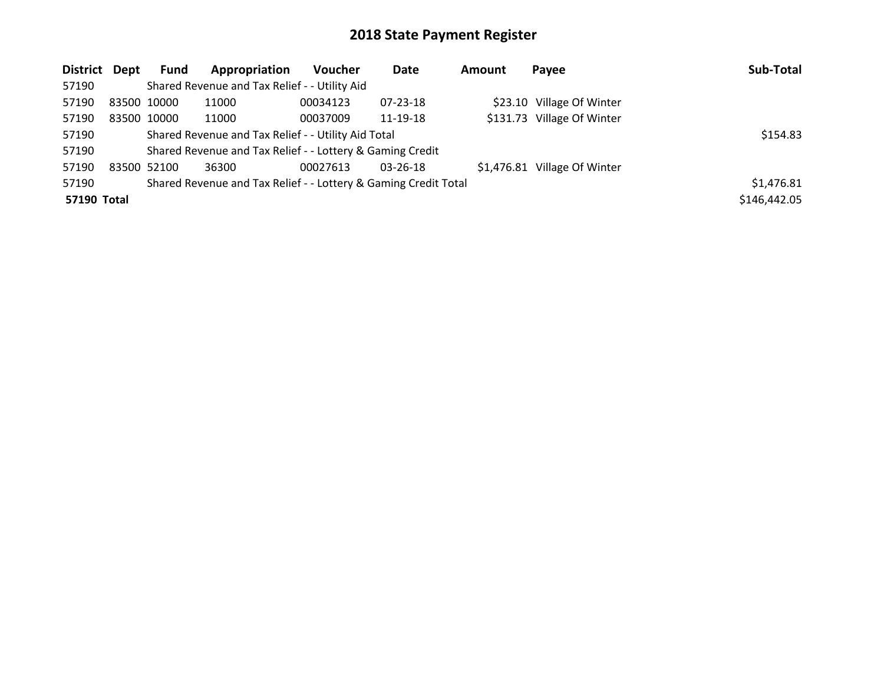| District Dept |                                                     | <b>Fund</b> | Appropriation                                                   | <b>Voucher</b> | Date           | Amount | Payee                        | Sub-Total    |
|---------------|-----------------------------------------------------|-------------|-----------------------------------------------------------------|----------------|----------------|--------|------------------------------|--------------|
| 57190         |                                                     |             | Shared Revenue and Tax Relief - - Utility Aid                   |                |                |        |                              |              |
| 57190         | 83500 10000                                         |             | 11000                                                           | 00034123       | $07 - 23 - 18$ |        | \$23.10 Village Of Winter    |              |
| 57190         |                                                     | 83500 10000 | 11000                                                           | 00037009       | 11-19-18       |        | \$131.73 Village Of Winter   |              |
| 57190         | Shared Revenue and Tax Relief - - Utility Aid Total | \$154.83    |                                                                 |                |                |        |                              |              |
| 57190         |                                                     |             | Shared Revenue and Tax Relief - - Lottery & Gaming Credit       |                |                |        |                              |              |
| 57190         | 83500 52100                                         |             | 36300                                                           | 00027613       | 03-26-18       |        | \$1,476.81 Village Of Winter |              |
| 57190         |                                                     |             | Shared Revenue and Tax Relief - - Lottery & Gaming Credit Total |                |                |        |                              | \$1,476.81   |
| 57190 Total   |                                                     |             |                                                                 |                |                |        |                              | \$146,442.05 |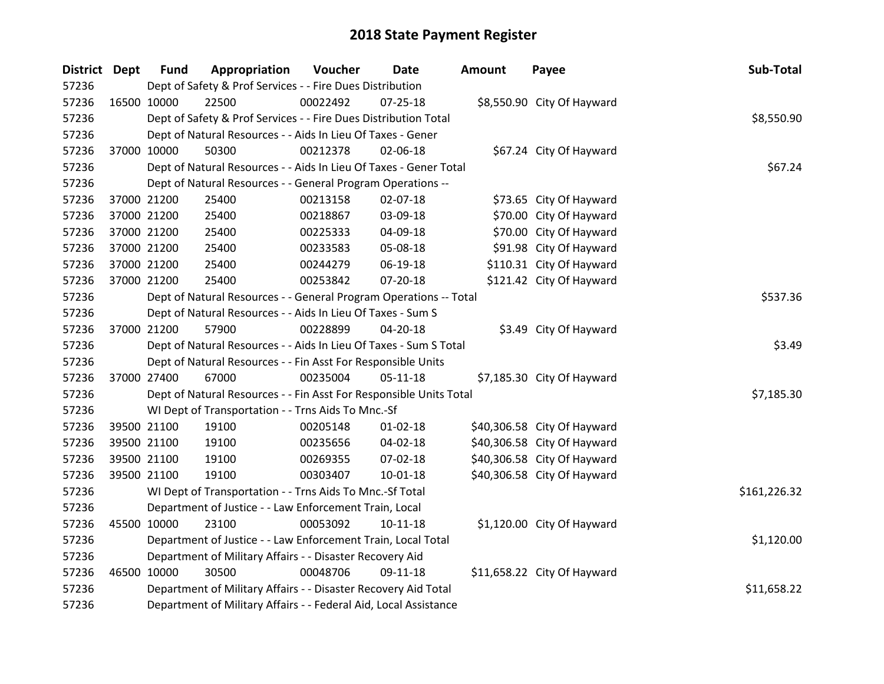| District Dept | <b>Fund</b> | Appropriation                                                      | Voucher  | Date           | <b>Amount</b> | Payee                       | Sub-Total    |
|---------------|-------------|--------------------------------------------------------------------|----------|----------------|---------------|-----------------------------|--------------|
| 57236         |             | Dept of Safety & Prof Services - - Fire Dues Distribution          |          |                |               |                             |              |
| 57236         | 16500 10000 | 22500                                                              | 00022492 | $07 - 25 - 18$ |               | \$8,550.90 City Of Hayward  |              |
| 57236         |             | Dept of Safety & Prof Services - - Fire Dues Distribution Total    |          |                |               |                             | \$8,550.90   |
| 57236         |             | Dept of Natural Resources - - Aids In Lieu Of Taxes - Gener        |          |                |               |                             |              |
| 57236         | 37000 10000 | 50300                                                              | 00212378 | 02-06-18       |               | \$67.24 City Of Hayward     |              |
| 57236         |             | Dept of Natural Resources - - Aids In Lieu Of Taxes - Gener Total  |          | \$67.24        |               |                             |              |
| 57236         |             | Dept of Natural Resources - - General Program Operations --        |          |                |               |                             |              |
| 57236         | 37000 21200 | 25400                                                              | 00213158 | 02-07-18       |               | \$73.65 City Of Hayward     |              |
| 57236         | 37000 21200 | 25400                                                              | 00218867 | 03-09-18       |               | \$70.00 City Of Hayward     |              |
| 57236         | 37000 21200 | 25400                                                              | 00225333 | 04-09-18       |               | \$70.00 City Of Hayward     |              |
| 57236         | 37000 21200 | 25400                                                              | 00233583 | 05-08-18       |               | \$91.98 City Of Hayward     |              |
| 57236         | 37000 21200 | 25400                                                              | 00244279 | 06-19-18       |               | \$110.31 City Of Hayward    |              |
| 57236         | 37000 21200 | 25400                                                              | 00253842 | 07-20-18       |               | \$121.42 City Of Hayward    |              |
| 57236         |             | Dept of Natural Resources - - General Program Operations -- Total  |          |                |               |                             | \$537.36     |
| 57236         |             | Dept of Natural Resources - - Aids In Lieu Of Taxes - Sum S        |          |                |               |                             |              |
| 57236         | 37000 21200 | 57900                                                              | 00228899 | 04-20-18       |               | \$3.49 City Of Hayward      |              |
| 57236         |             | Dept of Natural Resources - - Aids In Lieu Of Taxes - Sum S Total  |          |                |               |                             | \$3.49       |
| 57236         |             | Dept of Natural Resources - - Fin Asst For Responsible Units       |          |                |               |                             |              |
| 57236         | 37000 27400 | 67000                                                              | 00235004 | $05 - 11 - 18$ |               | \$7,185.30 City Of Hayward  |              |
| 57236         |             | Dept of Natural Resources - - Fin Asst For Responsible Units Total |          |                |               |                             | \$7,185.30   |
| 57236         |             | WI Dept of Transportation - - Trns Aids To Mnc.-Sf                 |          |                |               |                             |              |
| 57236         | 39500 21100 | 19100                                                              | 00205148 | 01-02-18       |               | \$40,306.58 City Of Hayward |              |
| 57236         | 39500 21100 | 19100                                                              | 00235656 | 04-02-18       |               | \$40,306.58 City Of Hayward |              |
| 57236         | 39500 21100 | 19100                                                              | 00269355 | 07-02-18       |               | \$40,306.58 City Of Hayward |              |
| 57236         | 39500 21100 | 19100                                                              | 00303407 | 10-01-18       |               | \$40,306.58 City Of Hayward |              |
| 57236         |             | WI Dept of Transportation - - Trns Aids To Mnc.-Sf Total           |          |                |               |                             | \$161,226.32 |
| 57236         |             | Department of Justice - - Law Enforcement Train, Local             |          |                |               |                             |              |
| 57236         | 45500 10000 | 23100                                                              | 00053092 | $10 - 11 - 18$ |               | \$1,120.00 City Of Hayward  |              |
| 57236         |             | Department of Justice - - Law Enforcement Train, Local Total       |          |                |               |                             | \$1,120.00   |
| 57236         |             | Department of Military Affairs - - Disaster Recovery Aid           |          |                |               |                             |              |
| 57236         | 46500 10000 | 30500                                                              | 00048706 | 09-11-18       |               | \$11,658.22 City Of Hayward |              |
| 57236         |             | Department of Military Affairs - - Disaster Recovery Aid Total     |          |                |               |                             | \$11,658.22  |
| 57236         |             | Department of Military Affairs - - Federal Aid, Local Assistance   |          |                |               |                             |              |